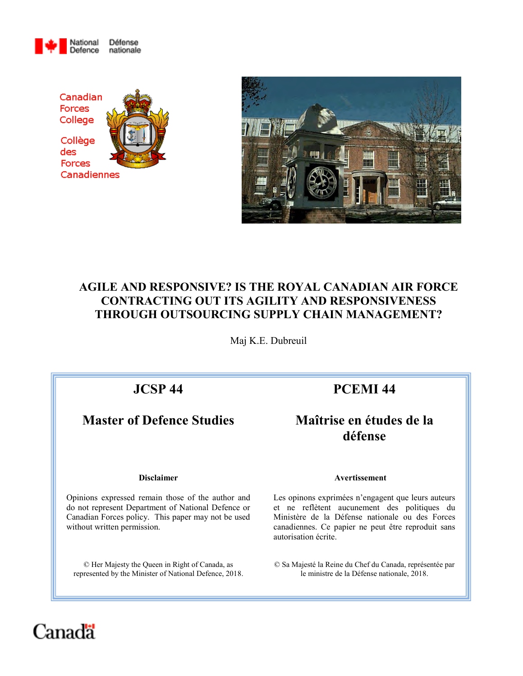





# **AGILE AND RESPONSIVE? IS THE ROYAL CANADIAN AIR FORCE CONTRACTING OUT ITS AGILITY AND RESPONSIVENESS THROUGH OUTSOURCING SUPPLY CHAIN MANAGEMENT?**

Maj K.E. Dubreuil

# **Master of Defence Studies Maîtrise en études de la**

# **JCSP 44 PCEMI 44**

# **défense**

Opinions expressed remain those of the author and do not represent Department of National Defence or Canadian Forces policy. This paper may not be used without written permission.

© Her Majesty the Queen in Right of Canada, as represented by the Minister of National Defence, 2018.

#### **Disclaimer Avertissement**

Les opinons exprimées n'engagent que leurs auteurs et ne reflètent aucunement des politiques du Ministère de la Défense nationale ou des Forces canadiennes. Ce papier ne peut être reproduit sans autorisation écrite.

© Sa Majesté la Reine du Chef du Canada, représentée par le ministre de la Défense nationale, 2018.

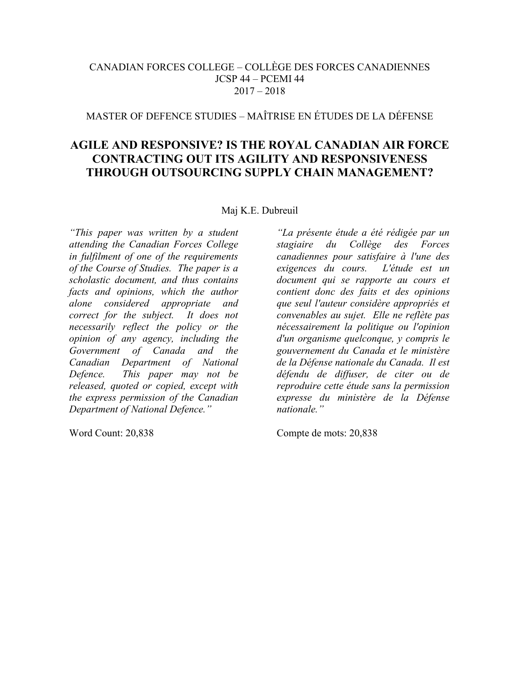## CANADIAN FORCES COLLEGE – COLLÈGE DES FORCES CANADIENNES JCSP 44 – PCEMI 44  $2017 - 2018$

# MASTER OF DEFENCE STUDIES – MAÎTRISE EN ÉTUDES DE LA DÉFENSE

## **AGILE AND RESPONSIVE? IS THE ROYAL CANADIAN AIR FORCE CONTRACTING OUT ITS AGILITY AND RESPONSIVENESS THROUGH OUTSOURCING SUPPLY CHAIN MANAGEMENT?**

Maj K.E. Dubreuil

*"This paper was written by a student attending the Canadian Forces College in fulfilment of one of the requirements of the Course of Studies. The paper is a scholastic document, and thus contains facts and opinions, which the author alone considered appropriate and correct for the subject. It does not necessarily reflect the policy or the opinion of any agency, including the Government of Canada and the Canadian Department of National Defence. This paper may not be released, quoted or copied, except with the express permission of the Canadian Department of National Defence."*

*"La présente étude a été rédigée par un stagiaire du Collège des Forces canadiennes pour satisfaire à l'une des exigences du cours. L'étude est un document qui se rapporte au cours et contient donc des faits et des opinions que seul l'auteur considère appropriés et convenables au sujet. Elle ne reflète pas nécessairement la politique ou l'opinion d'un organisme quelconque, y compris le gouvernement du Canada et le ministère de la Défense nationale du Canada. Il est défendu de diffuser, de citer ou de reproduire cette étude sans la permission expresse du ministère de la Défense nationale."*

Word Count: 20,838 Compte de mots: 20,838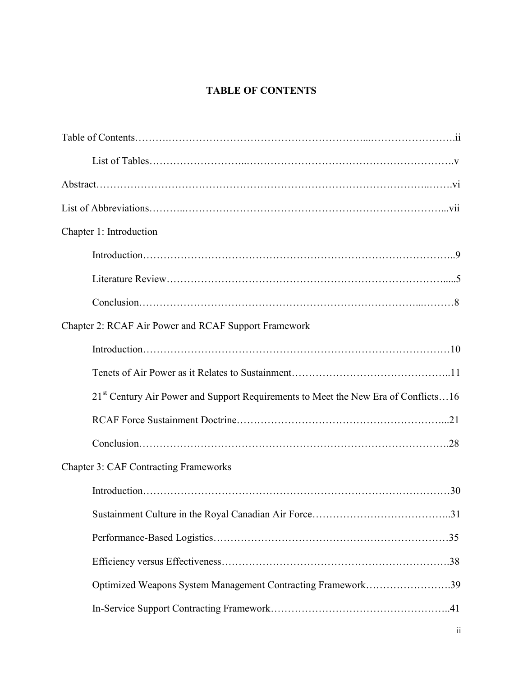# **TABLE OF CONTENTS**

| Chapter 1: Introduction                                                                        |
|------------------------------------------------------------------------------------------------|
|                                                                                                |
|                                                                                                |
|                                                                                                |
| Chapter 2: RCAF Air Power and RCAF Support Framework                                           |
|                                                                                                |
|                                                                                                |
| 21 <sup>st</sup> Century Air Power and Support Requirements to Meet the New Era of Conflicts16 |
|                                                                                                |
|                                                                                                |
| <b>Chapter 3: CAF Contracting Frameworks</b>                                                   |
|                                                                                                |
|                                                                                                |
|                                                                                                |
|                                                                                                |
| Optimized Weapons System Management Contracting Framework39                                    |
|                                                                                                |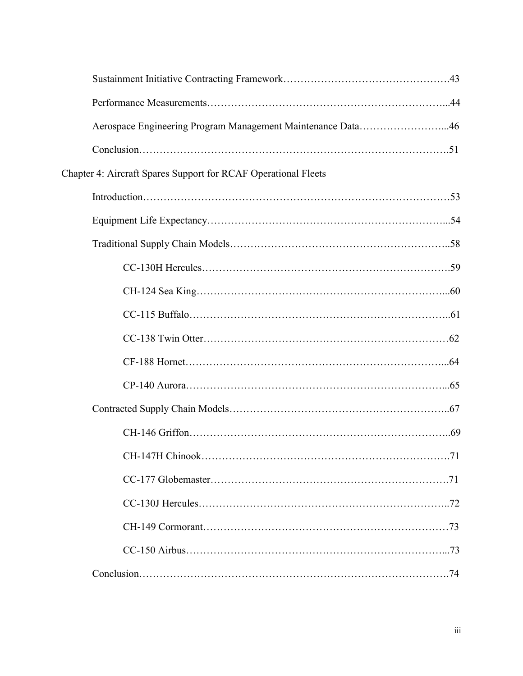| Aerospace Engineering Program Management Maintenance Data46    |
|----------------------------------------------------------------|
|                                                                |
| Chapter 4: Aircraft Spares Support for RCAF Operational Fleets |
|                                                                |
|                                                                |
|                                                                |
|                                                                |
|                                                                |
|                                                                |
|                                                                |
|                                                                |
|                                                                |
|                                                                |
|                                                                |
|                                                                |
|                                                                |
|                                                                |
|                                                                |
|                                                                |
|                                                                |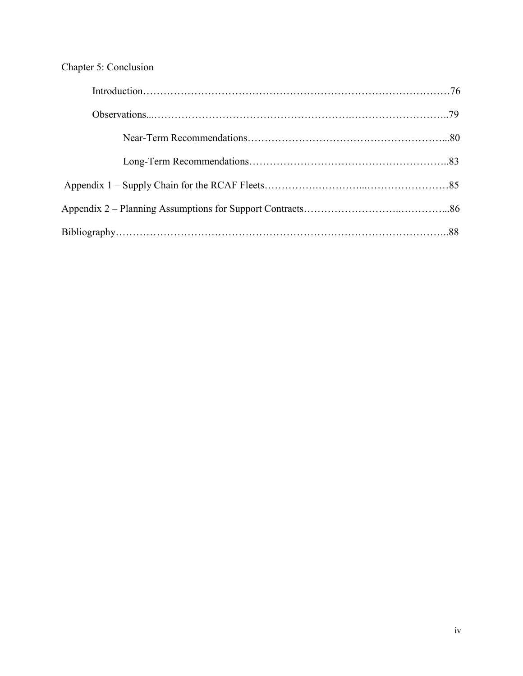# Chapter 5: Conclusion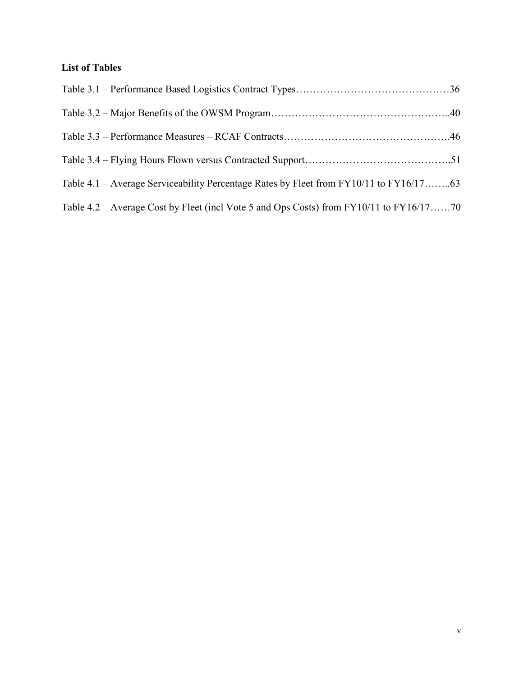# **List of Tables**

| Table 4.1 – Average Serviceability Percentage Rates by Fleet from FY10/11 to FY16/1763  |  |
|-----------------------------------------------------------------------------------------|--|
| Table 4.2 – Average Cost by Fleet (incl Vote 5 and Ops Costs) from FY10/11 to FY16/1770 |  |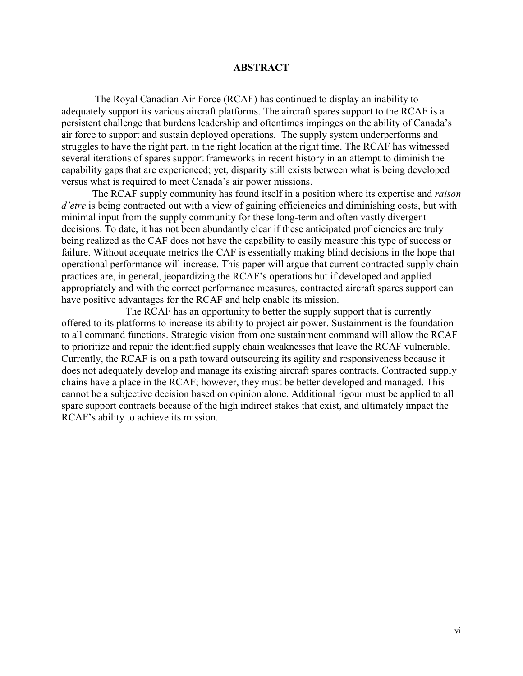#### **ABSTRACT**

The Royal Canadian Air Force (RCAF) has continued to display an inability to adequately support its various aircraft platforms. The aircraft spares support to the RCAF is a persistent challenge that burdens leadership and oftentimes impinges on the ability of Canada's air force to support and sustain deployed operations. The supply system underperforms and struggles to have the right part, in the right location at the right time. The RCAF has witnessed several iterations of spares support frameworks in recent history in an attempt to diminish the capability gaps that are experienced; yet, disparity still exists between what is being developed versus what is required to meet Canada's air power missions.

The RCAF supply community has found itself in a position where its expertise and *raison d'etre* is being contracted out with a view of gaining efficiencies and diminishing costs, but with minimal input from the supply community for these long-term and often vastly divergent decisions. To date, it has not been abundantly clear if these anticipated proficiencies are truly being realized as the CAF does not have the capability to easily measure this type of success or failure. Without adequate metrics the CAF is essentially making blind decisions in the hope that operational performance will increase. This paper will argue that current contracted supply chain practices are, in general, jeopardizing the RCAF's operations but if developed and applied appropriately and with the correct performance measures, contracted aircraft spares support can have positive advantages for the RCAF and help enable its mission.

 The RCAF has an opportunity to better the supply support that is currently offered to its platforms to increase its ability to project air power. Sustainment is the foundation to all command functions. Strategic vision from one sustainment command will allow the RCAF to prioritize and repair the identified supply chain weaknesses that leave the RCAF vulnerable. Currently, the RCAF is on a path toward outsourcing its agility and responsiveness because it does not adequately develop and manage its existing aircraft spares contracts. Contracted supply chains have a place in the RCAF; however, they must be better developed and managed. This cannot be a subjective decision based on opinion alone. Additional rigour must be applied to all spare support contracts because of the high indirect stakes that exist, and ultimately impact the RCAF's ability to achieve its mission.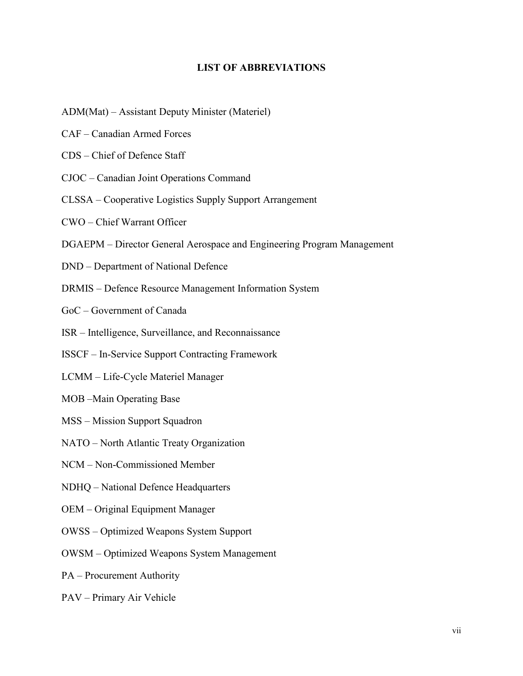#### **LIST OF ABBREVIATIONS**

- ADM(Mat) Assistant Deputy Minister (Materiel)
- CAF Canadian Armed Forces
- CDS Chief of Defence Staff
- CJOC Canadian Joint Operations Command
- CLSSA Cooperative Logistics Supply Support Arrangement
- CWO Chief Warrant Officer
- DGAEPM Director General Aerospace and Engineering Program Management
- DND Department of National Defence
- DRMIS Defence Resource Management Information System
- GoC Government of Canada
- ISR Intelligence, Surveillance, and Reconnaissance
- ISSCF In-Service Support Contracting Framework
- LCMM Life-Cycle Materiel Manager
- MOB –Main Operating Base
- MSS Mission Support Squadron
- NATO North Atlantic Treaty Organization
- NCM Non-Commissioned Member
- NDHQ National Defence Headquarters
- OEM Original Equipment Manager
- OWSS Optimized Weapons System Support
- OWSM Optimized Weapons System Management
- PA Procurement Authority
- PAV Primary Air Vehicle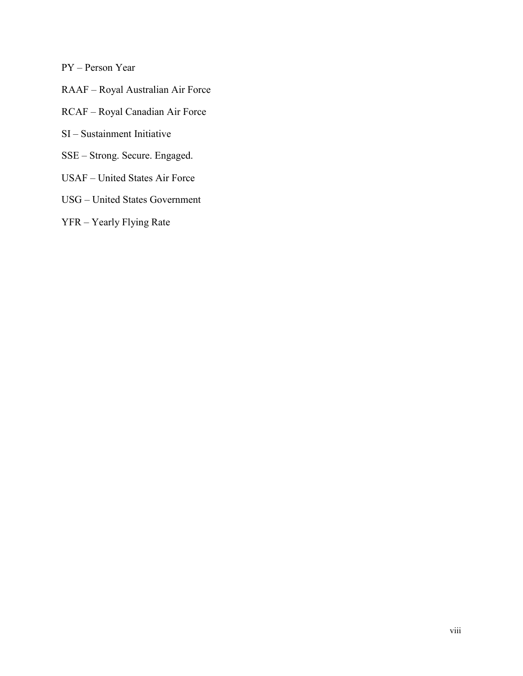PY – Person Year

- RAAF Royal Australian Air Force
- RCAF Royal Canadian Air Force
- SI Sustainment Initiative
- SSE Strong. Secure. Engaged.
- USAF United States Air Force
- USG United States Government
- YFR Yearly Flying Rate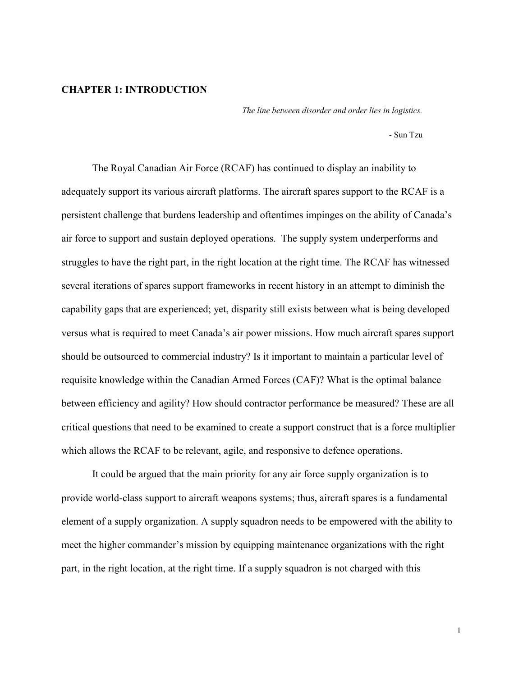#### **CHAPTER 1: INTRODUCTION**

*The line between disorder and order lies in logistics.* 

- Sun Tzu

The Royal Canadian Air Force (RCAF) has continued to display an inability to adequately support its various aircraft platforms. The aircraft spares support to the RCAF is a persistent challenge that burdens leadership and oftentimes impinges on the ability of Canada's air force to support and sustain deployed operations. The supply system underperforms and struggles to have the right part, in the right location at the right time. The RCAF has witnessed several iterations of spares support frameworks in recent history in an attempt to diminish the capability gaps that are experienced; yet, disparity still exists between what is being developed versus what is required to meet Canada's air power missions. How much aircraft spares support should be outsourced to commercial industry? Is it important to maintain a particular level of requisite knowledge within the Canadian Armed Forces (CAF)? What is the optimal balance between efficiency and agility? How should contractor performance be measured? These are all critical questions that need to be examined to create a support construct that is a force multiplier which allows the RCAF to be relevant, agile, and responsive to defence operations.

 It could be argued that the main priority for any air force supply organization is to provide world-class support to aircraft weapons systems; thus, aircraft spares is a fundamental element of a supply organization. A supply squadron needs to be empowered with the ability to meet the higher commander's mission by equipping maintenance organizations with the right part, in the right location, at the right time. If a supply squadron is not charged with this

1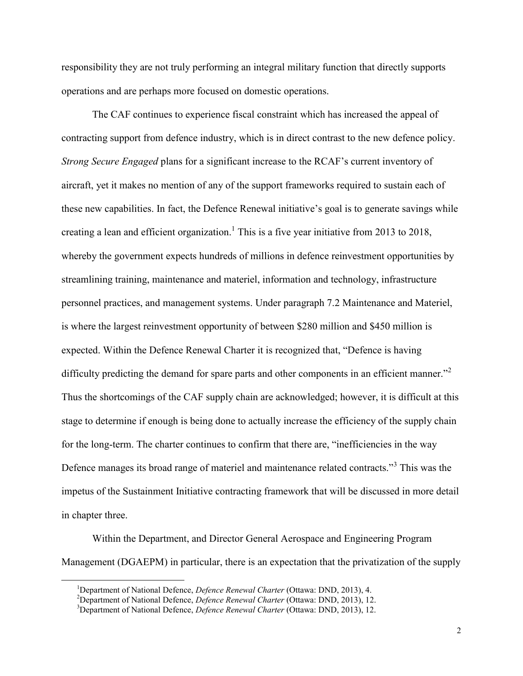responsibility they are not truly performing an integral military function that directly supports operations and are perhaps more focused on domestic operations.

 The CAF continues to experience fiscal constraint which has increased the appeal of contracting support from defence industry, which is in direct contrast to the new defence policy. *Strong Secure Engaged* plans for a significant increase to the RCAF's current inventory of aircraft, yet it makes no mention of any of the support frameworks required to sustain each of these new capabilities. In fact, the Defence Renewal initiative's goal is to generate savings while creating a lean and efficient organization.<sup>1</sup> This is a five year initiative from 2013 to 2018, whereby the government expects hundreds of millions in defence reinvestment opportunities by streamlining training, maintenance and materiel, information and technology, infrastructure personnel practices, and management systems. Under paragraph 7.2 Maintenance and Materiel, is where the largest reinvestment opportunity of between \$280 million and \$450 million is expected. Within the Defence Renewal Charter it is recognized that, "Defence is having difficulty predicting the demand for spare parts and other components in an efficient manner."<sup>2</sup> Thus the shortcomings of the CAF supply chain are acknowledged; however, it is difficult at this stage to determine if enough is being done to actually increase the efficiency of the supply chain for the long-term. The charter continues to confirm that there are, "inefficiencies in the way Defence manages its broad range of materiel and maintenance related contracts."<sup>3</sup> This was the impetus of the Sustainment Initiative contracting framework that will be discussed in more detail in chapter three.

Within the Department, and Director General Aerospace and Engineering Program Management (DGAEPM) in particular, there is an expectation that the privatization of the supply

<sup>&</sup>lt;sup>1</sup>Department of National Defence, *Defence Renewal Charter* (Ottawa: DND, 2013), 4.

<sup>2</sup>Department of National Defence, *Defence Renewal Charter* (Ottawa: DND, 2013), 12.

<sup>3</sup>Department of National Defence, *Defence Renewal Charter* (Ottawa: DND, 2013), 12.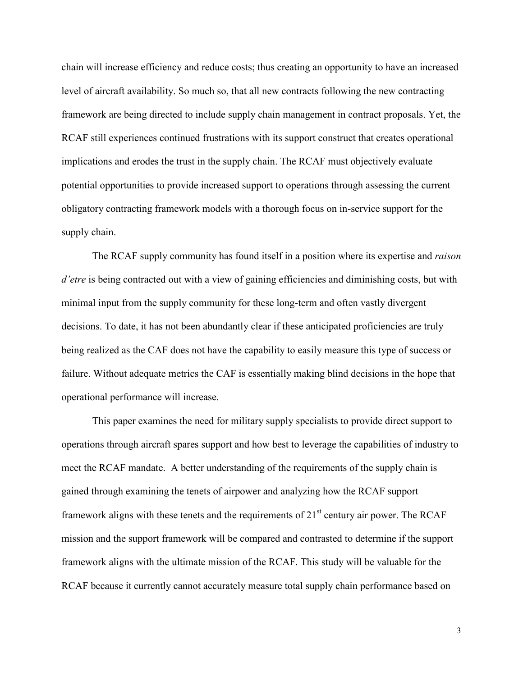chain will increase efficiency and reduce costs; thus creating an opportunity to have an increased level of aircraft availability. So much so, that all new contracts following the new contracting framework are being directed to include supply chain management in contract proposals. Yet, the RCAF still experiences continued frustrations with its support construct that creates operational implications and erodes the trust in the supply chain. The RCAF must objectively evaluate potential opportunities to provide increased support to operations through assessing the current obligatory contracting framework models with a thorough focus on in-service support for the supply chain.

 The RCAF supply community has found itself in a position where its expertise and *raison d'etre* is being contracted out with a view of gaining efficiencies and diminishing costs, but with minimal input from the supply community for these long-term and often vastly divergent decisions. To date, it has not been abundantly clear if these anticipated proficiencies are truly being realized as the CAF does not have the capability to easily measure this type of success or failure. Without adequate metrics the CAF is essentially making blind decisions in the hope that operational performance will increase.

This paper examines the need for military supply specialists to provide direct support to operations through aircraft spares support and how best to leverage the capabilities of industry to meet the RCAF mandate. A better understanding of the requirements of the supply chain is gained through examining the tenets of airpower and analyzing how the RCAF support framework aligns with these tenets and the requirements of  $21<sup>st</sup>$  century air power. The RCAF mission and the support framework will be compared and contrasted to determine if the support framework aligns with the ultimate mission of the RCAF. This study will be valuable for the RCAF because it currently cannot accurately measure total supply chain performance based on

3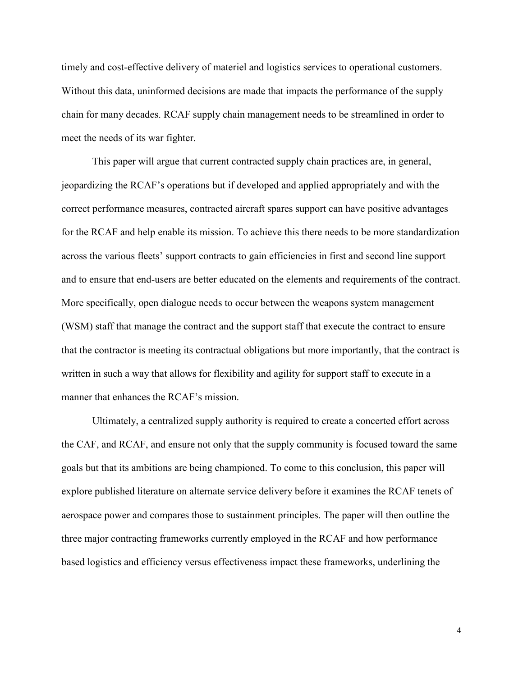timely and cost-effective delivery of materiel and logistics services to operational customers. Without this data, uninformed decisions are made that impacts the performance of the supply chain for many decades. RCAF supply chain management needs to be streamlined in order to meet the needs of its war fighter.

 This paper will argue that current contracted supply chain practices are, in general, jeopardizing the RCAF's operations but if developed and applied appropriately and with the correct performance measures, contracted aircraft spares support can have positive advantages for the RCAF and help enable its mission. To achieve this there needs to be more standardization across the various fleets' support contracts to gain efficiencies in first and second line support and to ensure that end-users are better educated on the elements and requirements of the contract. More specifically, open dialogue needs to occur between the weapons system management (WSM) staff that manage the contract and the support staff that execute the contract to ensure that the contractor is meeting its contractual obligations but more importantly, that the contract is written in such a way that allows for flexibility and agility for support staff to execute in a manner that enhances the RCAF's mission.

Ultimately, a centralized supply authority is required to create a concerted effort across the CAF, and RCAF, and ensure not only that the supply community is focused toward the same goals but that its ambitions are being championed. To come to this conclusion, this paper will explore published literature on alternate service delivery before it examines the RCAF tenets of aerospace power and compares those to sustainment principles. The paper will then outline the three major contracting frameworks currently employed in the RCAF and how performance based logistics and efficiency versus effectiveness impact these frameworks, underlining the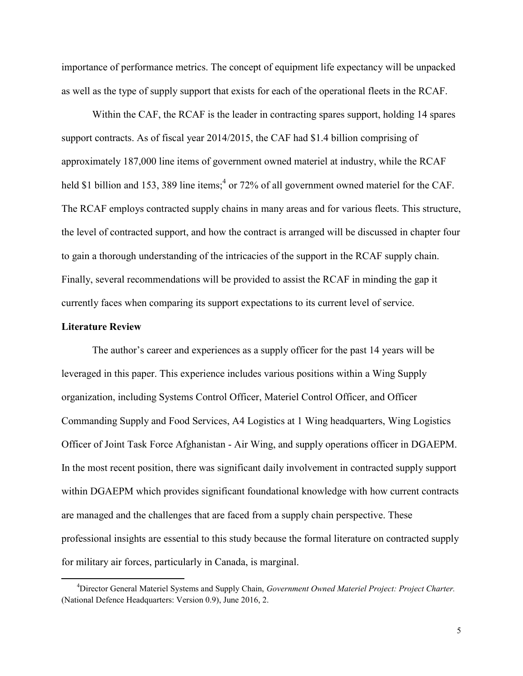importance of performance metrics. The concept of equipment life expectancy will be unpacked as well as the type of supply support that exists for each of the operational fleets in the RCAF.

Within the CAF, the RCAF is the leader in contracting spares support, holding 14 spares support contracts. As of fiscal year 2014/2015, the CAF had \$1.4 billion comprising of approximately 187,000 line items of government owned materiel at industry, while the RCAF held \$1 billion and 153, 389 line items;<sup>4</sup> or 72% of all government owned materiel for the CAF. The RCAF employs contracted supply chains in many areas and for various fleets. This structure, the level of contracted support, and how the contract is arranged will be discussed in chapter four to gain a thorough understanding of the intricacies of the support in the RCAF supply chain. Finally, several recommendations will be provided to assist the RCAF in minding the gap it currently faces when comparing its support expectations to its current level of service.

#### **Literature Review**

 $\overline{a}$ 

 The author's career and experiences as a supply officer for the past 14 years will be leveraged in this paper. This experience includes various positions within a Wing Supply organization, including Systems Control Officer, Materiel Control Officer, and Officer Commanding Supply and Food Services, A4 Logistics at 1 Wing headquarters, Wing Logistics Officer of Joint Task Force Afghanistan - Air Wing, and supply operations officer in DGAEPM. In the most recent position, there was significant daily involvement in contracted supply support within DGAEPM which provides significant foundational knowledge with how current contracts are managed and the challenges that are faced from a supply chain perspective. These professional insights are essential to this study because the formal literature on contracted supply for military air forces, particularly in Canada, is marginal.

<sup>4</sup>Director General Materiel Systems and Supply Chain, *Government Owned Materiel Project: Project Charter.* (National Defence Headquarters: Version 0.9), June 2016, 2.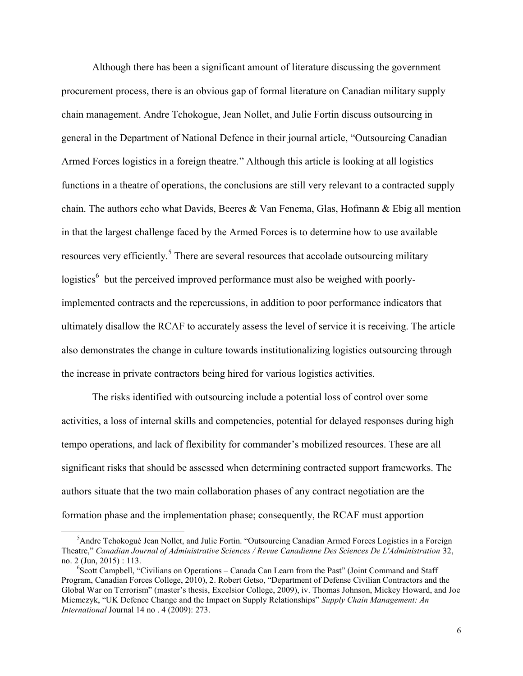Although there has been a significant amount of literature discussing the government procurement process, there is an obvious gap of formal literature on Canadian military supply chain management. Andre Tchokogue, Jean Nollet, and Julie Fortin discuss outsourcing in general in the Department of National Defence in their journal article, "Outsourcing Canadian Armed Forces logistics in a foreign theatre*.*" Although this article is looking at all logistics functions in a theatre of operations, the conclusions are still very relevant to a contracted supply chain. The authors echo what Davids, Beeres & Van Fenema, Glas, Hofmann & Ebig all mention in that the largest challenge faced by the Armed Forces is to determine how to use available resources very efficiently.<sup>5</sup> There are several resources that accolade outsourcing military logistics<sup>6</sup> but the perceived improved performance must also be weighed with poorlyimplemented contracts and the repercussions, in addition to poor performance indicators that ultimately disallow the RCAF to accurately assess the level of service it is receiving. The article also demonstrates the change in culture towards institutionalizing logistics outsourcing through the increase in private contractors being hired for various logistics activities.

 The risks identified with outsourcing include a potential loss of control over some activities, a loss of internal skills and competencies, potential for delayed responses during high tempo operations, and lack of flexibility for commander's mobilized resources. These are all significant risks that should be assessed when determining contracted support frameworks. The authors situate that the two main collaboration phases of any contract negotiation are the formation phase and the implementation phase; consequently, the RCAF must apportion

<sup>&</sup>lt;sup>5</sup>Andre Tchokogué Jean Nollet, and Julie Fortin. "Outsourcing Canadian Armed Forces Logistics in a Foreign Theatre," *Canadian Journal of Administrative Sciences / Revue Canadienne Des Sciences De L'Administration* 32, no. 2 (Jun, 2015) : 113.

<sup>&</sup>lt;sup>6</sup>Scott Campbell, "Civilians on Operations - Canada Can Learn from the Past" (Joint Command and Staff Program, Canadian Forces College, 2010), 2. Robert Getso, "Department of Defense Civilian Contractors and the Global War on Terrorism" (master's thesis, Excelsior College, 2009), iv. Thomas Johnson, Mickey Howard, and Joe Miemczyk, "UK Defence Change and the Impact on Supply Relationships" *Supply Chain Management: An International* Journal 14 no . 4 (2009): 273.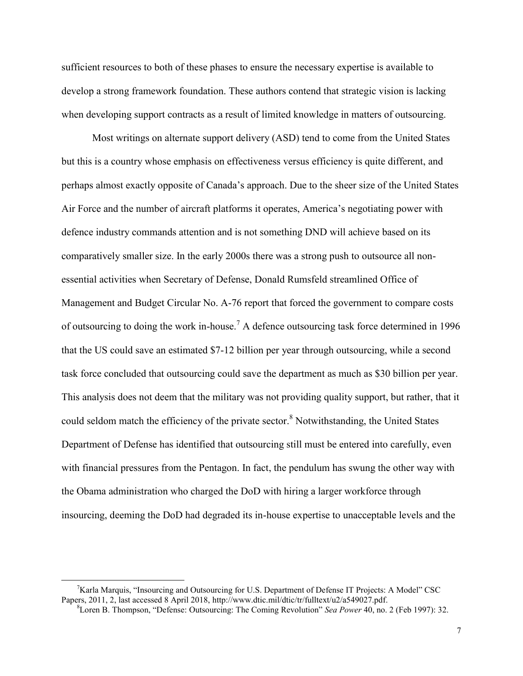sufficient resources to both of these phases to ensure the necessary expertise is available to develop a strong framework foundation. These authors contend that strategic vision is lacking when developing support contracts as a result of limited knowledge in matters of outsourcing.

 Most writings on alternate support delivery (ASD) tend to come from the United States but this is a country whose emphasis on effectiveness versus efficiency is quite different, and perhaps almost exactly opposite of Canada's approach. Due to the sheer size of the United States Air Force and the number of aircraft platforms it operates, America's negotiating power with defence industry commands attention and is not something DND will achieve based on its comparatively smaller size. In the early 2000s there was a strong push to outsource all nonessential activities when Secretary of Defense, Donald Rumsfeld streamlined Office of Management and Budget Circular No. A-76 report that forced the government to compare costs of outsourcing to doing the work in-house.<sup>7</sup> A defence outsourcing task force determined in 1996 that the US could save an estimated \$7-12 billion per year through outsourcing, while a second task force concluded that outsourcing could save the department as much as \$30 billion per year. This analysis does not deem that the military was not providing quality support, but rather, that it could seldom match the efficiency of the private sector.<sup>8</sup> Notwithstanding, the United States Department of Defense has identified that outsourcing still must be entered into carefully, even with financial pressures from the Pentagon. In fact, the pendulum has swung the other way with the Obama administration who charged the DoD with hiring a larger workforce through insourcing, deeming the DoD had degraded its in-house expertise to unacceptable levels and the

 $7$ Karla Marquis, "Insourcing and Outsourcing for U.S. Department of Defense IT Projects: A Model" CSC Papers, 2011, 2, last accessed 8 April 2018, http://www.dtic.mil/dtic/tr/fulltext/u2/a549027.pdf.

<sup>8</sup>Loren B. Thompson, "Defense: Outsourcing: The Coming Revolution" *Sea Power* 40, no. 2 (Feb 1997): 32.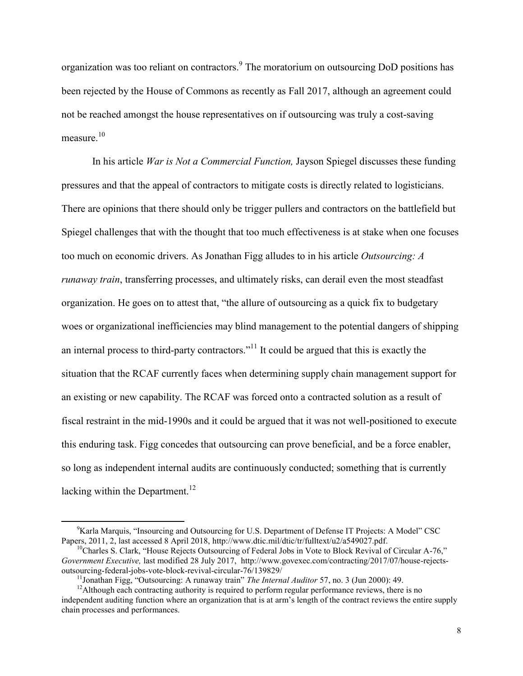organization was too reliant on contractors.<sup>9</sup> The moratorium on outsourcing DoD positions has been rejected by the House of Commons as recently as Fall 2017, although an agreement could not be reached amongst the house representatives on if outsourcing was truly a cost-saving measure $10$ 

In his article *War is Not a Commercial Function,* Jayson Spiegel discusses these funding pressures and that the appeal of contractors to mitigate costs is directly related to logisticians. There are opinions that there should only be trigger pullers and contractors on the battlefield but Spiegel challenges that with the thought that too much effectiveness is at stake when one focuses too much on economic drivers. As Jonathan Figg alludes to in his article *Outsourcing: A runaway train*, transferring processes, and ultimately risks, can derail even the most steadfast organization. He goes on to attest that, "the allure of outsourcing as a quick fix to budgetary woes or organizational inefficiencies may blind management to the potential dangers of shipping an internal process to third-party contractors."<sup>11</sup> It could be argued that this is exactly the situation that the RCAF currently faces when determining supply chain management support for an existing or new capability. The RCAF was forced onto a contracted solution as a result of fiscal restraint in the mid-1990s and it could be argued that it was not well-positioned to execute this enduring task. Figg concedes that outsourcing can prove beneficial, and be a force enabler, so long as independent internal audits are continuously conducted; something that is currently lacking within the Department.<sup>12</sup>

<sup>&</sup>lt;sup>9</sup>Karla Marquis, "Insourcing and Outsourcing for U.S. Department of Defense IT Projects: A Model" CSC Papers, 2011, 2, last accessed 8 April 2018, http://www.dtic.mil/dtic/tr/fulltext/u2/a549027.pdf.

 $10<sup>10</sup>$ Charles S. Clark, "House Rejects Outsourcing of Federal Jobs in Vote to Block Revival of Circular A-76," *Government Executive,* last modified 28 July 2017, http://www.govexec.com/contracting/2017/07/house-rejectsoutsourcing-federal-jobs-vote-block-revival-circular-76/139829/

<sup>11</sup>Jonathan Figg, "Outsourcing: A runaway train" *The Internal Auditor* 57, no. 3 (Jun 2000): 49.

<sup>&</sup>lt;sup>12</sup>Although each contracting authority is required to perform regular performance reviews, there is no independent auditing function where an organization that is at arm's length of the contract reviews the entire supply chain processes and performances.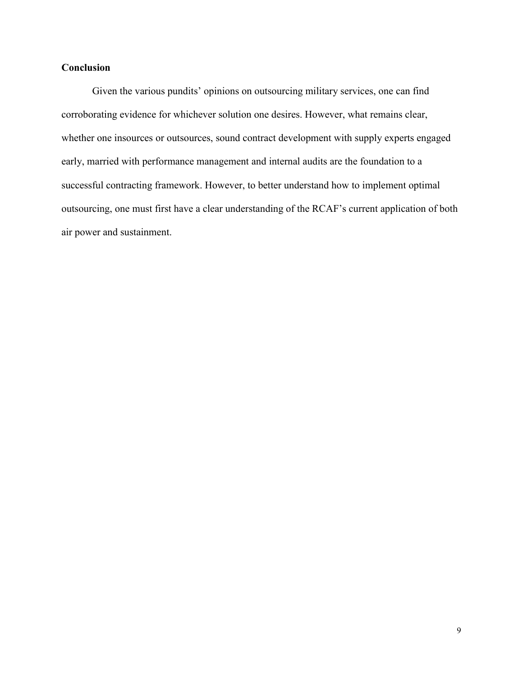## **Conclusion**

Given the various pundits' opinions on outsourcing military services, one can find corroborating evidence for whichever solution one desires. However, what remains clear, whether one insources or outsources, sound contract development with supply experts engaged early, married with performance management and internal audits are the foundation to a successful contracting framework. However, to better understand how to implement optimal outsourcing, one must first have a clear understanding of the RCAF's current application of both air power and sustainment.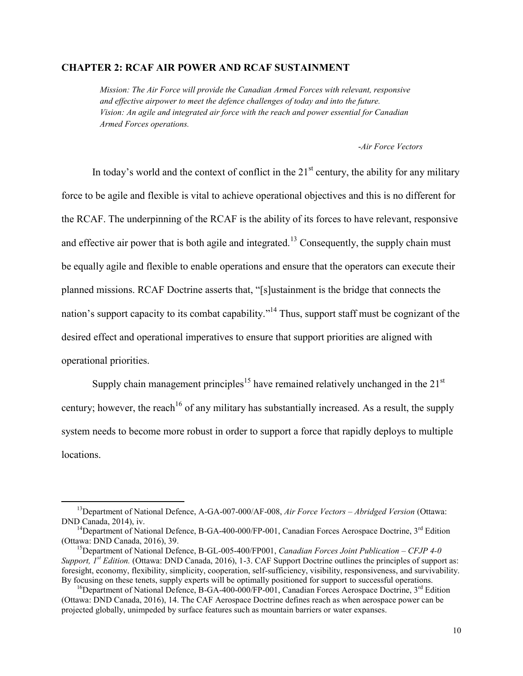#### **CHAPTER 2: RCAF AIR POWER AND RCAF SUSTAINMENT**

*Mission: The Air Force will provide the Canadian Armed Forces with relevant, responsive and effective airpower to meet the defence challenges of today and into the future. Vision: An agile and integrated air force with the reach and power essential for Canadian Armed Forces operations.* 

-*Air Force Vectors*

In today's world and the context of conflict in the  $21<sup>st</sup>$  century, the ability for any military force to be agile and flexible is vital to achieve operational objectives and this is no different for the RCAF. The underpinning of the RCAF is the ability of its forces to have relevant, responsive and effective air power that is both agile and integrated.<sup>13</sup> Consequently, the supply chain must be equally agile and flexible to enable operations and ensure that the operators can execute their planned missions. RCAF Doctrine asserts that, "[s]ustainment is the bridge that connects the nation's support capacity to its combat capability.<sup>14</sup> Thus, support staff must be cognizant of the desired effect and operational imperatives to ensure that support priorities are aligned with operational priorities.

Supply chain management principles<sup>15</sup> have remained relatively unchanged in the  $21<sup>st</sup>$ century; however, the reach<sup>16</sup> of any military has substantially increased. As a result, the supply system needs to become more robust in order to support a force that rapidly deploys to multiple locations.

<sup>13</sup>Department of National Defence, A-GA-007-000/AF-008, *Air Force Vectors – Abridged Version* (Ottawa: DND Canada, 2014), iv.

<sup>&</sup>lt;sup>14</sup>Department of National Defence, B-GA-400-000/FP-001, Canadian Forces Aerospace Doctrine,  $3<sup>rd</sup>$  Edition (Ottawa: DND Canada, 2016), 39.

<sup>15</sup>Department of National Defence, B-GL-005-400/FP001, *Canadian Forces Joint Publication – CFJP 4-0 Support, 1st Edition.* (Ottawa: DND Canada, 2016), 1-3. CAF Support Doctrine outlines the principles of support as: foresight, economy, flexibility, simplicity, cooperation, self-sufficiency, visibility, responsiveness, and survivability. By focusing on these tenets, supply experts will be optimally positioned for support to successful operations.

 $^{16}$ Department of National Defence, B-GA-400-000/FP-001, Canadian Forces Aerospace Doctrine, 3<sup>rd</sup> Edition (Ottawa: DND Canada, 2016), 14. The CAF Aerospace Doctrine defines reach as when aerospace power can be projected globally, unimpeded by surface features such as mountain barriers or water expanses.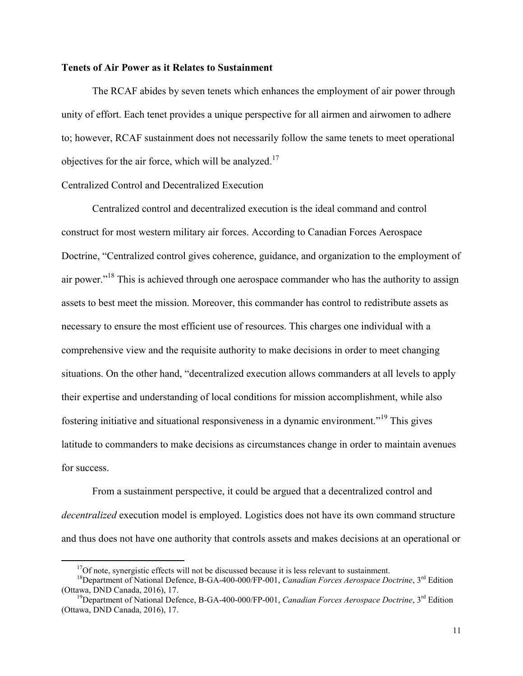#### **Tenets of Air Power as it Relates to Sustainment**

The RCAF abides by seven tenets which enhances the employment of air power through unity of effort. Each tenet provides a unique perspective for all airmen and airwomen to adhere to; however, RCAF sustainment does not necessarily follow the same tenets to meet operational objectives for the air force, which will be analyzed.<sup>17</sup>

#### Centralized Control and Decentralized Execution

 Centralized control and decentralized execution is the ideal command and control construct for most western military air forces. According to Canadian Forces Aerospace Doctrine, "Centralized control gives coherence, guidance, and organization to the employment of air power."<sup>18</sup> This is achieved through one aerospace commander who has the authority to assign assets to best meet the mission. Moreover, this commander has control to redistribute assets as necessary to ensure the most efficient use of resources. This charges one individual with a comprehensive view and the requisite authority to make decisions in order to meet changing situations. On the other hand, "decentralized execution allows commanders at all levels to apply their expertise and understanding of local conditions for mission accomplishment, while also fostering initiative and situational responsiveness in a dynamic environment."<sup>19</sup> This gives latitude to commanders to make decisions as circumstances change in order to maintain avenues for success.

 From a sustainment perspective, it could be argued that a decentralized control and *decentralized* execution model is employed. Logistics does not have its own command structure and thus does not have one authority that controls assets and makes decisions at an operational or

 $17$ Of note, synergistic effects will not be discussed because it is less relevant to sustainment.

<sup>18</sup>Department of National Defence, B-GA-400-000/FP-001, *Canadian Forces Aerospace Doctrine*, 3rd Edition (Ottawa, DND Canada, 2016), 17.

<sup>19</sup>Department of National Defence, B-GA-400-000/FP-001, *Canadian Forces Aerospace Doctrine*, 3rd Edition (Ottawa, DND Canada, 2016), 17.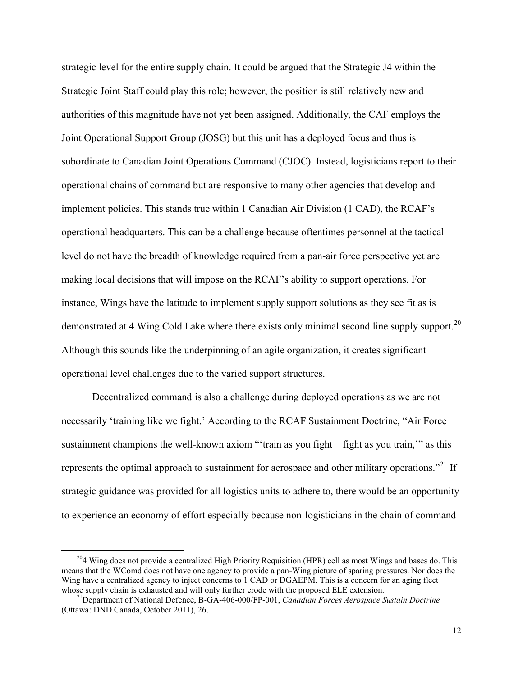strategic level for the entire supply chain. It could be argued that the Strategic J4 within the Strategic Joint Staff could play this role; however, the position is still relatively new and authorities of this magnitude have not yet been assigned. Additionally, the CAF employs the Joint Operational Support Group (JOSG) but this unit has a deployed focus and thus is subordinate to Canadian Joint Operations Command (CJOC). Instead, logisticians report to their operational chains of command but are responsive to many other agencies that develop and implement policies. This stands true within 1 Canadian Air Division (1 CAD), the RCAF's operational headquarters. This can be a challenge because oftentimes personnel at the tactical level do not have the breadth of knowledge required from a pan-air force perspective yet are making local decisions that will impose on the RCAF's ability to support operations. For instance, Wings have the latitude to implement supply support solutions as they see fit as is demonstrated at 4 Wing Cold Lake where there exists only minimal second line supply support.<sup>20</sup> Although this sounds like the underpinning of an agile organization, it creates significant operational level challenges due to the varied support structures.

Decentralized command is also a challenge during deployed operations as we are not necessarily 'training like we fight.' According to the RCAF Sustainment Doctrine, "Air Force sustainment champions the well-known axiom "'train as you fight – fight as you train,'" as this represents the optimal approach to sustainment for aerospace and other military operations.<sup>"21</sup> If strategic guidance was provided for all logistics units to adhere to, there would be an opportunity to experience an economy of effort especially because non-logisticians in the chain of command

<sup>&</sup>lt;sup>20</sup>4 Wing does not provide a centralized High Priority Requisition (HPR) cell as most Wings and bases do. This means that the WComd does not have one agency to provide a pan-Wing picture of sparing pressures. Nor does the Wing have a centralized agency to inject concerns to 1 CAD or DGAEPM. This is a concern for an aging fleet whose supply chain is exhausted and will only further erode with the proposed ELE extension.

<sup>21</sup>Department of National Defence, B-GA-406-000/FP-001, *Canadian Forces Aerospace Sustain Doctrine* (Ottawa: DND Canada, October 2011), 26.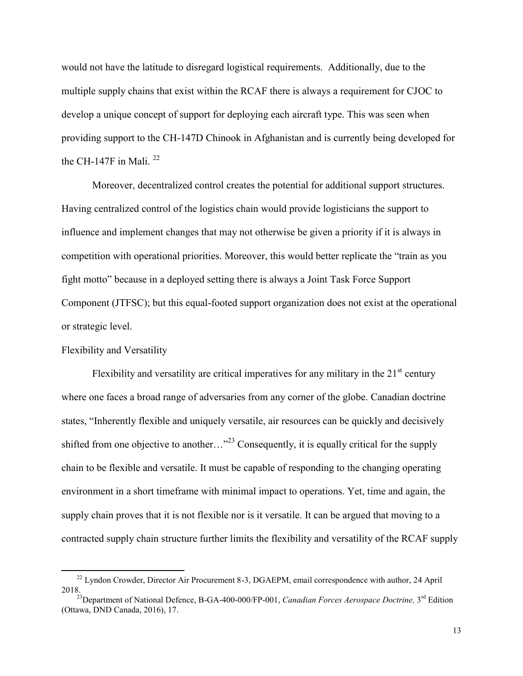would not have the latitude to disregard logistical requirements. Additionally, due to the multiple supply chains that exist within the RCAF there is always a requirement for CJOC to develop a unique concept of support for deploying each aircraft type. This was seen when providing support to the CH-147D Chinook in Afghanistan and is currently being developed for the CH-147F in Mali.  $^{22}$ 

Moreover, decentralized control creates the potential for additional support structures. Having centralized control of the logistics chain would provide logisticians the support to influence and implement changes that may not otherwise be given a priority if it is always in competition with operational priorities. Moreover, this would better replicate the "train as you fight motto" because in a deployed setting there is always a Joint Task Force Support Component (JTFSC); but this equal-footed support organization does not exist at the operational or strategic level.

#### Flexibility and Versatility

 $\overline{a}$ 

Flexibility and versatility are critical imperatives for any military in the  $21<sup>st</sup>$  century where one faces a broad range of adversaries from any corner of the globe. Canadian doctrine states, "Inherently flexible and uniquely versatile, air resources can be quickly and decisively shifted from one objective to another..."<sup>23</sup> Consequently, it is equally critical for the supply chain to be flexible and versatile. It must be capable of responding to the changing operating environment in a short timeframe with minimal impact to operations. Yet, time and again, the supply chain proves that it is not flexible nor is it versatile. It can be argued that moving to a contracted supply chain structure further limits the flexibility and versatility of the RCAF supply

<sup>&</sup>lt;sup>22</sup> Lyndon Crowder, Director Air Procurement 8-3, DGAEPM, email correspondence with author, 24 April 2018.

<sup>&</sup>lt;sup>23</sup>Department of National Defence, B-GA-400-000/FP-001, *Canadian Forces Aerospace Doctrine*, 3<sup>rd</sup> Edition (Ottawa, DND Canada, 2016), 17.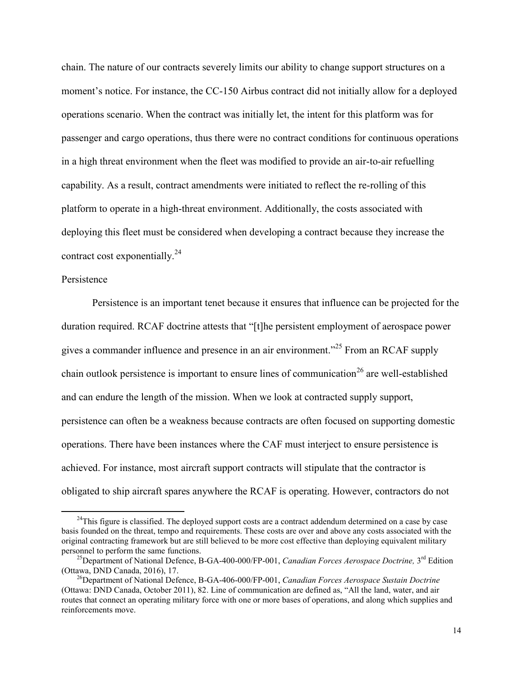chain. The nature of our contracts severely limits our ability to change support structures on a moment's notice. For instance, the CC-150 Airbus contract did not initially allow for a deployed operations scenario. When the contract was initially let, the intent for this platform was for passenger and cargo operations, thus there were no contract conditions for continuous operations in a high threat environment when the fleet was modified to provide an air-to-air refuelling capability. As a result, contract amendments were initiated to reflect the re-rolling of this platform to operate in a high-threat environment. Additionally, the costs associated with deploying this fleet must be considered when developing a contract because they increase the contract cost exponentially. $^{24}$ 

#### Persistence

 $\overline{a}$ 

Persistence is an important tenet because it ensures that influence can be projected for the duration required. RCAF doctrine attests that "[t]he persistent employment of aerospace power gives a commander influence and presence in an air environment."<sup>25</sup> From an RCAF supply chain outlook persistence is important to ensure lines of communication<sup>26</sup> are well-established and can endure the length of the mission. When we look at contracted supply support, persistence can often be a weakness because contracts are often focused on supporting domestic operations. There have been instances where the CAF must interject to ensure persistence is achieved. For instance, most aircraft support contracts will stipulate that the contractor is obligated to ship aircraft spares anywhere the RCAF is operating. However, contractors do not

 $24$ This figure is classified. The deployed support costs are a contract addendum determined on a case by case basis founded on the threat, tempo and requirements. These costs are over and above any costs associated with the original contracting framework but are still believed to be more cost effective than deploying equivalent military personnel to perform the same functions.

<sup>&</sup>lt;sup>25</sup>Department of National Defence, B-GA-400-000/FP-001, *Canadian Forces Aerospace Doctrine*, 3<sup>rd</sup> Edition (Ottawa, DND Canada, 2016), 17.

<sup>&</sup>lt;sup>26</sup>Department of National Defence, B-GA-406-000/FP-001, *Canadian Forces Aerospace Sustain Doctrine* (Ottawa: DND Canada, October 2011), 82. Line of communication are defined as, "All the land, water, and air routes that connect an operating military force with one or more bases of operations, and along which supplies and reinforcements move.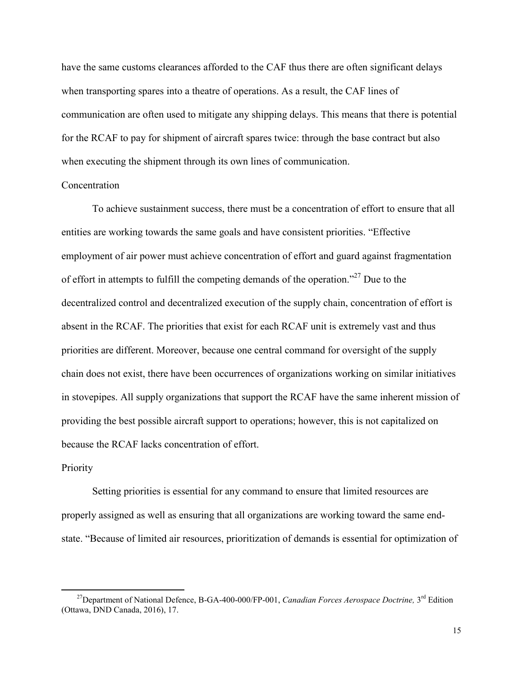have the same customs clearances afforded to the CAF thus there are often significant delays when transporting spares into a theatre of operations. As a result, the CAF lines of communication are often used to mitigate any shipping delays. This means that there is potential for the RCAF to pay for shipment of aircraft spares twice: through the base contract but also when executing the shipment through its own lines of communication.

#### **Concentration**

To achieve sustainment success, there must be a concentration of effort to ensure that all entities are working towards the same goals and have consistent priorities. "Effective employment of air power must achieve concentration of effort and guard against fragmentation of effort in attempts to fulfill the competing demands of the operation."<sup>27</sup> Due to the decentralized control and decentralized execution of the supply chain, concentration of effort is absent in the RCAF. The priorities that exist for each RCAF unit is extremely vast and thus priorities are different. Moreover, because one central command for oversight of the supply chain does not exist, there have been occurrences of organizations working on similar initiatives in stovepipes. All supply organizations that support the RCAF have the same inherent mission of providing the best possible aircraft support to operations; however, this is not capitalized on because the RCAF lacks concentration of effort.

#### Priority

 $\overline{a}$ 

Setting priorities is essential for any command to ensure that limited resources are properly assigned as well as ensuring that all organizations are working toward the same endstate. "Because of limited air resources, prioritization of demands is essential for optimization of

<sup>&</sup>lt;sup>27</sup>Department of National Defence, B-GA-400-000/FP-001, *Canadian Forces Aerospace Doctrine*, 3<sup>rd</sup> Edition (Ottawa, DND Canada, 2016), 17.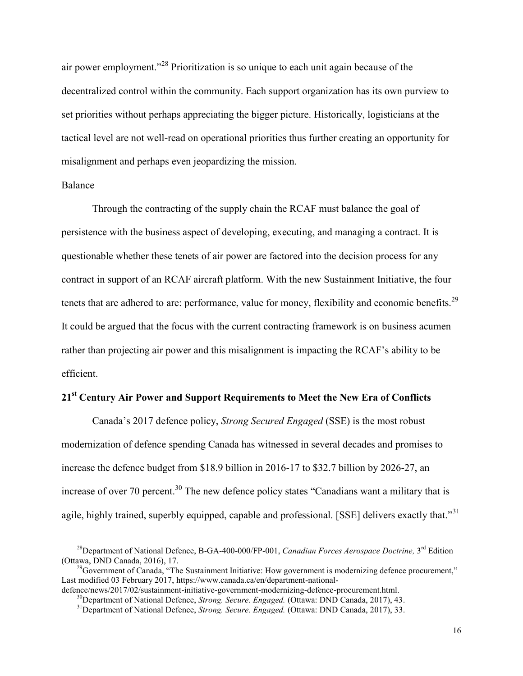air power employment."<sup>28</sup> Prioritization is so unique to each unit again because of the decentralized control within the community. Each support organization has its own purview to set priorities without perhaps appreciating the bigger picture. Historically, logisticians at the tactical level are not well-read on operational priorities thus further creating an opportunity for misalignment and perhaps even jeopardizing the mission.

#### Balance

 $\overline{a}$ 

Through the contracting of the supply chain the RCAF must balance the goal of persistence with the business aspect of developing, executing, and managing a contract. It is questionable whether these tenets of air power are factored into the decision process for any contract in support of an RCAF aircraft platform. With the new Sustainment Initiative, the four tenets that are adhered to are: performance, value for money, flexibility and economic benefits.<sup>29</sup> It could be argued that the focus with the current contracting framework is on business acumen rather than projecting air power and this misalignment is impacting the RCAF's ability to be efficient.

#### **21st Century Air Power and Support Requirements to Meet the New Era of Conflicts**

Canada's 2017 defence policy, *Strong Secured Engaged* (SSE) is the most robust modernization of defence spending Canada has witnessed in several decades and promises to increase the defence budget from \$18.9 billion in 2016-17 to \$32.7 billion by 2026-27, an increase of over 70 percent.<sup>30</sup> The new defence policy states "Canadians want a military that is agile, highly trained, superbly equipped, capable and professional. [SSE] delivers exactly that."<sup>31</sup>

<sup>&</sup>lt;sup>28</sup>Department of National Defence, B-GA-400-000/FP-001, *Canadian Forces Aerospace Doctrine*, 3<sup>rd</sup> Edition (Ottawa, DND Canada, 2016), 17.

<sup>&</sup>lt;sup>29</sup>Government of Canada, "The Sustainment Initiative: How government is modernizing defence procurement," Last modified 03 February 2017, https://www.canada.ca/en/department-national-

defence/news/2017/02/sustainment-initiative-government-modernizing-defence-procurement.html.

<sup>30</sup>Department of National Defence, *Strong. Secure. Engaged.* (Ottawa: DND Canada, 2017), 43.

<sup>31</sup>Department of National Defence, *Strong. Secure. Engaged.* (Ottawa: DND Canada, 2017), 33.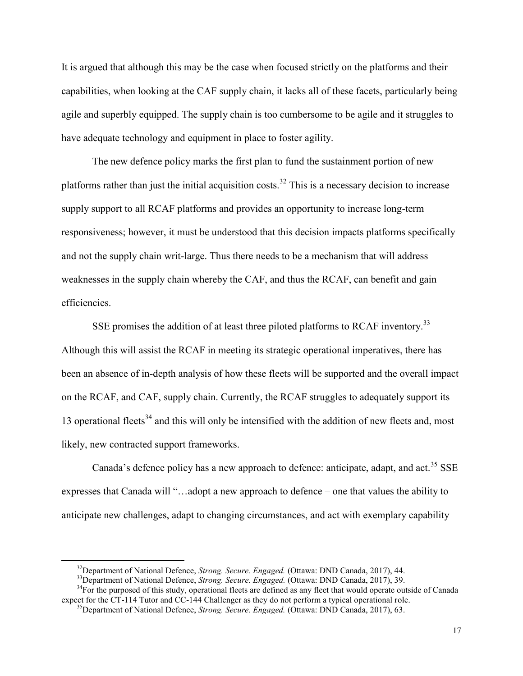It is argued that although this may be the case when focused strictly on the platforms and their capabilities, when looking at the CAF supply chain, it lacks all of these facets, particularly being agile and superbly equipped. The supply chain is too cumbersome to be agile and it struggles to have adequate technology and equipment in place to foster agility.

The new defence policy marks the first plan to fund the sustainment portion of new platforms rather than just the initial acquisition costs.<sup>32</sup> This is a necessary decision to increase supply support to all RCAF platforms and provides an opportunity to increase long-term responsiveness; however, it must be understood that this decision impacts platforms specifically and not the supply chain writ-large. Thus there needs to be a mechanism that will address weaknesses in the supply chain whereby the CAF, and thus the RCAF, can benefit and gain efficiencies.

SSE promises the addition of at least three piloted platforms to RCAF inventory.<sup>33</sup> Although this will assist the RCAF in meeting its strategic operational imperatives, there has been an absence of in-depth analysis of how these fleets will be supported and the overall impact on the RCAF, and CAF, supply chain. Currently, the RCAF struggles to adequately support its 13 operational fleets<sup>34</sup> and this will only be intensified with the addition of new fleets and, most likely, new contracted support frameworks.

Canada's defence policy has a new approach to defence: anticipate, adapt, and act.<sup>35</sup> SSE expresses that Canada will "…adopt a new approach to defence – one that values the ability to anticipate new challenges, adapt to changing circumstances, and act with exemplary capability

 $\overline{a}$ 

 $34$ For the purposed of this study, operational fleets are defined as any fleet that would operate outside of Canada expect for the CT-114 Tutor and CC-144 Challenger as they do not perform a typical operational role.

<sup>32</sup>Department of National Defence, *Strong. Secure. Engaged.* (Ottawa: DND Canada, 2017), 44.

<sup>33</sup>Department of National Defence, *Strong. Secure. Engaged.* (Ottawa: DND Canada, 2017), 39.

<sup>35</sup>Department of National Defence, *Strong. Secure. Engaged.* (Ottawa: DND Canada, 2017), 63.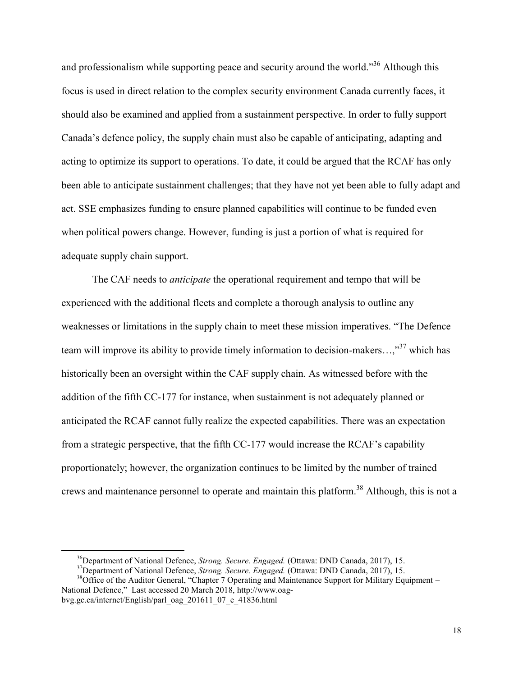and professionalism while supporting peace and security around the world."<sup>36</sup> Although this focus is used in direct relation to the complex security environment Canada currently faces, it should also be examined and applied from a sustainment perspective. In order to fully support Canada's defence policy, the supply chain must also be capable of anticipating, adapting and acting to optimize its support to operations. To date, it could be argued that the RCAF has only been able to anticipate sustainment challenges; that they have not yet been able to fully adapt and act. SSE emphasizes funding to ensure planned capabilities will continue to be funded even when political powers change. However, funding is just a portion of what is required for adequate supply chain support.

The CAF needs to *anticipate* the operational requirement and tempo that will be experienced with the additional fleets and complete a thorough analysis to outline any weaknesses or limitations in the supply chain to meet these mission imperatives. "The Defence team will improve its ability to provide timely information to decision-makers...,"<sup>37</sup> which has historically been an oversight within the CAF supply chain. As witnessed before with the addition of the fifth CC-177 for instance, when sustainment is not adequately planned or anticipated the RCAF cannot fully realize the expected capabilities. There was an expectation from a strategic perspective, that the fifth CC-177 would increase the RCAF's capability proportionately; however, the organization continues to be limited by the number of trained crews and maintenance personnel to operate and maintain this platform.<sup>38</sup> Although, this is not a

<sup>36</sup>Department of National Defence, *Strong. Secure. Engaged.* (Ottawa: DND Canada, 2017), 15.

<sup>37</sup>Department of National Defence, *Strong. Secure. Engaged.* (Ottawa: DND Canada, 2017), 15.

 $38$ Office of the Auditor General, "Chapter 7 Operating and Maintenance Support for Military Equipment – National Defence," Last accessed 20 March 2018, http://www.oagbvg.gc.ca/internet/English/parl\_oag\_201611\_07\_e\_41836.html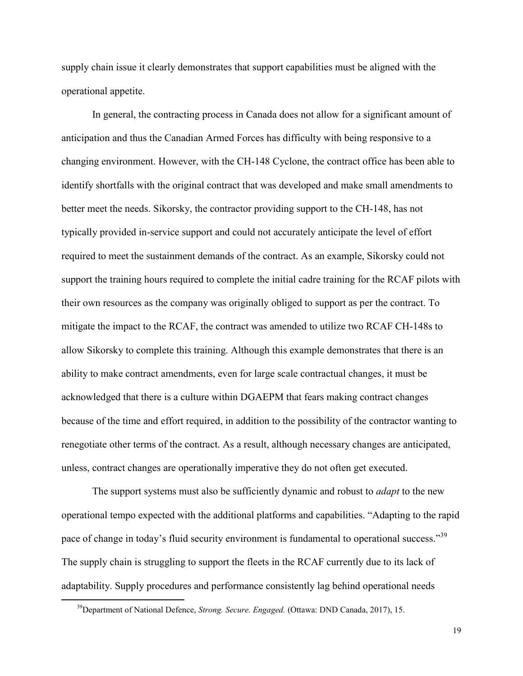supply chain issue it clearly demonstrates that support capabilities must be aligned with the operational appetite.

In general, the contracting process in Canada does not allow for a significant amount of anticipation and thus the Canadian Armed Forces has difficulty with being responsive to a changing environment. However, with the CH-148 Cyclone, the contract office has been able to identify shortfalls with the original contract that was developed and make small amendments to better meet the needs. Sikorsky, the contractor providing support to the CH-148, has not typically provided in-service support and could not accurately anticipate the level of effort required to meet the sustainment demands of the contract. As an example, Sikorsky could not support the training hours required to complete the initial cadre training for the RCAF pilots with their own resources as the company was originally obliged to support as per the contract. To mitigate the impact to the RCAF, the contract was amended to utilize two RCAF CH-148s to allow Sikorsky to complete this training. Although this example demonstrates that there is an ability to make contract amendments, even for large scale contractual changes, it must be acknowledged that there is a culture within DGAEPM that fears making contract changes because of the time and effort required, in addition to the possibility of the contractor wanting to renegotiate other terms of the contract. As a result, although necessary changes are anticipated, unless, contract changes are operationally imperative they do not often get executed.

The support systems must also be sufficiently dynamic and robust to *adapt* to the new operational tempo expected with the additional platforms and capabilities. "Adapting to the rapid pace of change in today's fluid security environment is fundamental to operational success."<sup>39</sup> The supply chain is struggling to support the fleets in the RCAF currently due to its lack of adaptability. Supply procedures and performance consistently lag behind operational needs

<sup>39</sup>Department of National Defence, *Strong. Secure. Engaged.* (Ottawa: DND Canada, 2017), 15.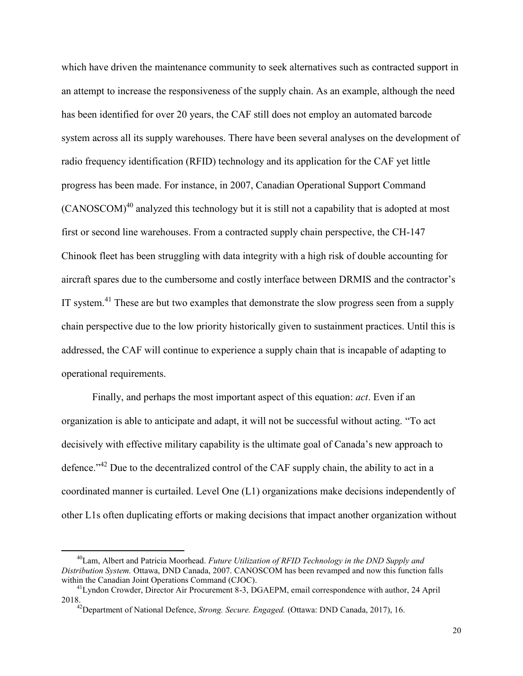which have driven the maintenance community to seek alternatives such as contracted support in an attempt to increase the responsiveness of the supply chain. As an example, although the need has been identified for over 20 years, the CAF still does not employ an automated barcode system across all its supply warehouses. There have been several analyses on the development of radio frequency identification (RFID) technology and its application for the CAF yet little progress has been made. For instance, in 2007, Canadian Operational Support Command  $(CANOSCOM)^{40}$  analyzed this technology but it is still not a capability that is adopted at most first or second line warehouses. From a contracted supply chain perspective, the CH-147 Chinook fleet has been struggling with data integrity with a high risk of double accounting for aircraft spares due to the cumbersome and costly interface between DRMIS and the contractor's IT system.<sup>41</sup> These are but two examples that demonstrate the slow progress seen from a supply chain perspective due to the low priority historically given to sustainment practices. Until this is addressed, the CAF will continue to experience a supply chain that is incapable of adapting to operational requirements.

Finally, and perhaps the most important aspect of this equation: *act*. Even if an organization is able to anticipate and adapt, it will not be successful without acting. "To act decisively with effective military capability is the ultimate goal of Canada's new approach to defence."<sup>42</sup> Due to the decentralized control of the CAF supply chain, the ability to act in a coordinated manner is curtailed. Level One (L1) organizations make decisions independently of other L1s often duplicating efforts or making decisions that impact another organization without

<sup>40</sup>Lam, Albert and Patricia Moorhead. *Future Utilization of RFID Technology in the DND Supply and Distribution System.* Ottawa, DND Canada, 2007. CANOSCOM has been revamped and now this function falls within the Canadian Joint Operations Command (CJOC).

<sup>&</sup>lt;sup>41</sup>Lyndon Crowder, Director Air Procurement 8-3, DGAEPM, email correspondence with author, 24 April 2018.

<sup>42</sup>Department of National Defence, *Strong. Secure. Engaged.* (Ottawa: DND Canada, 2017), 16.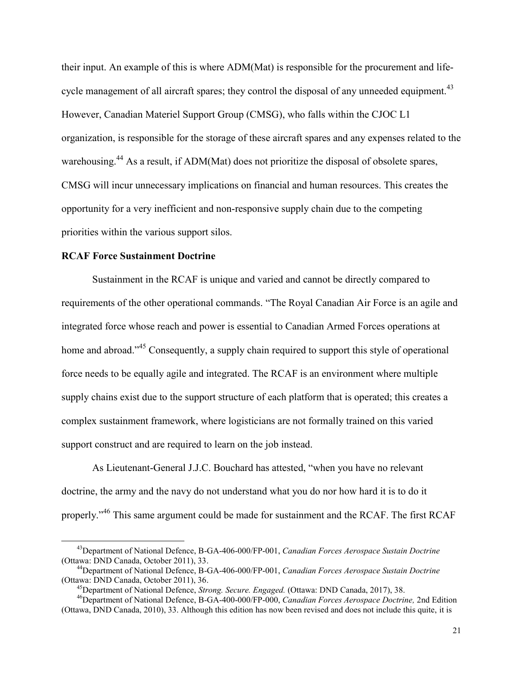their input. An example of this is where ADM(Mat) is responsible for the procurement and lifecycle management of all aircraft spares; they control the disposal of any unneeded equipment.<sup>43</sup> However, Canadian Materiel Support Group (CMSG), who falls within the CJOC L1 organization, is responsible for the storage of these aircraft spares and any expenses related to the warehousing.<sup>44</sup> As a result, if ADM(Mat) does not prioritize the disposal of obsolete spares, CMSG will incur unnecessary implications on financial and human resources. This creates the opportunity for a very inefficient and non-responsive supply chain due to the competing priorities within the various support silos.

#### **RCAF Force Sustainment Doctrine**

 $\overline{a}$ 

Sustainment in the RCAF is unique and varied and cannot be directly compared to requirements of the other operational commands. "The Royal Canadian Air Force is an agile and integrated force whose reach and power is essential to Canadian Armed Forces operations at home and abroad."<sup>45</sup> Consequently, a supply chain required to support this style of operational force needs to be equally agile and integrated. The RCAF is an environment where multiple supply chains exist due to the support structure of each platform that is operated; this creates a complex sustainment framework, where logisticians are not formally trained on this varied support construct and are required to learn on the job instead.

As Lieutenant-General J.J.C. Bouchard has attested, "when you have no relevant doctrine, the army and the navy do not understand what you do nor how hard it is to do it properly."<sup>46</sup> This same argument could be made for sustainment and the RCAF. The first RCAF

<sup>43</sup>Department of National Defence, B-GA-406-000/FP-001, *Canadian Forces Aerospace Sustain Doctrine* (Ottawa: DND Canada, October 2011), 33.

<sup>44</sup>Department of National Defence, B-GA-406-000/FP-001, *Canadian Forces Aerospace Sustain Doctrine* (Ottawa: DND Canada, October 2011), 36.

<sup>45</sup>Department of National Defence, *Strong. Secure. Engaged.* (Ottawa: DND Canada, 2017), 38.

<sup>46</sup>Department of National Defence, B-GA-400-000/FP-000, *Canadian Forces Aerospace Doctrine,* 2nd Edition (Ottawa, DND Canada, 2010), 33. Although this edition has now been revised and does not include this quite, it is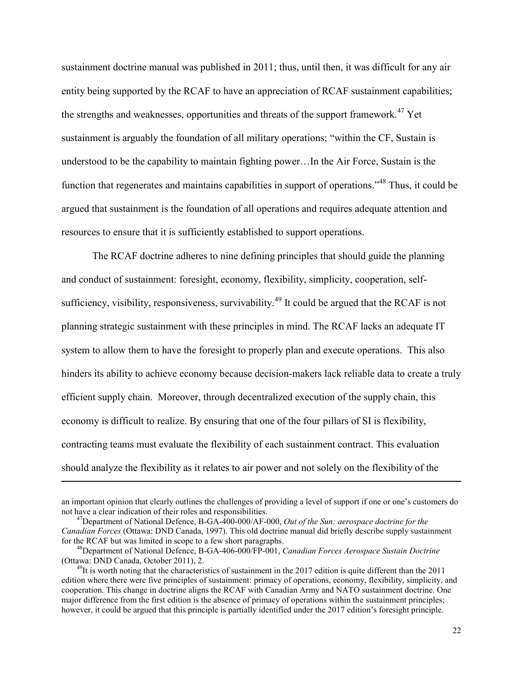sustainment doctrine manual was published in 2011; thus, until then, it was difficult for any air entity being supported by the RCAF to have an appreciation of RCAF sustainment capabilities; the strengths and weaknesses, opportunities and threats of the support framework.<sup>47</sup> Yet sustainment is arguably the foundation of all military operations; "within the CF, Sustain is understood to be the capability to maintain fighting power…In the Air Force, Sustain is the function that regenerates and maintains capabilities in support of operations."<sup>48</sup> Thus, it could be argued that sustainment is the foundation of all operations and requires adequate attention and resources to ensure that it is sufficiently established to support operations.

The RCAF doctrine adheres to nine defining principles that should guide the planning and conduct of sustainment: foresight, economy, flexibility, simplicity, cooperation, selfsufficiency, visibility, responsiveness, survivability.<sup>49</sup> It could be argued that the RCAF is not planning strategic sustainment with these principles in mind. The RCAF lacks an adequate IT system to allow them to have the foresight to properly plan and execute operations. This also hinders its ability to achieve economy because decision-makers lack reliable data to create a truly efficient supply chain. Moreover, through decentralized execution of the supply chain, this economy is difficult to realize. By ensuring that one of the four pillars of SI is flexibility, contracting teams must evaluate the flexibility of each sustainment contract. This evaluation should analyze the flexibility as it relates to air power and not solely on the flexibility of the

an important opinion that clearly outlines the challenges of providing a level of support if one or one's customers do not have a clear indication of their roles and responsibilities.

<sup>47</sup>Department of National Defence, B-GA-400-000/AF-000, *Out of the Sun: aerospace doctrine for the Canadian Forces* (Ottawa: DND Canada, 1997). This old doctrine manual did briefly describe supply sustainment for the RCAF but was limited in scope to a few short paragraphs.

<sup>48</sup>Department of National Defence, B-GA-406-000/FP-001, *Canadian Forces Aerospace Sustain Doctrine* (Ottawa: DND Canada, October 2011), 2.

 $^{49}$ It is worth noting that the characteristics of sustainment in the 2017 edition is quite different than the 2011 edition where there were five principles of sustainment: primacy of operations, economy, flexibility, simplicity, and cooperation. This change in doctrine aligns the RCAF with Canadian Army and NATO sustainment doctrine. One major difference from the first edition is the absence of primacy of operations within the sustainment principles; however, it could be argued that this principle is partially identified under the 2017 edition's foresight principle.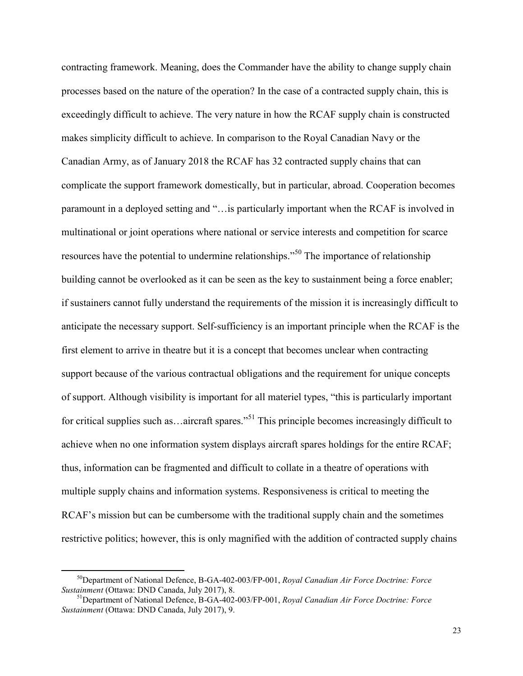contracting framework. Meaning, does the Commander have the ability to change supply chain processes based on the nature of the operation? In the case of a contracted supply chain, this is exceedingly difficult to achieve. The very nature in how the RCAF supply chain is constructed makes simplicity difficult to achieve. In comparison to the Royal Canadian Navy or the Canadian Army, as of January 2018 the RCAF has 32 contracted supply chains that can complicate the support framework domestically, but in particular, abroad. Cooperation becomes paramount in a deployed setting and "…is particularly important when the RCAF is involved in multinational or joint operations where national or service interests and competition for scarce resources have the potential to undermine relationships."<sup>50</sup> The importance of relationship building cannot be overlooked as it can be seen as the key to sustainment being a force enabler; if sustainers cannot fully understand the requirements of the mission it is increasingly difficult to anticipate the necessary support. Self-sufficiency is an important principle when the RCAF is the first element to arrive in theatre but it is a concept that becomes unclear when contracting support because of the various contractual obligations and the requirement for unique concepts of support. Although visibility is important for all materiel types, "this is particularly important for critical supplies such as ... aircraft spares.<sup>"51</sup> This principle becomes increasingly difficult to achieve when no one information system displays aircraft spares holdings for the entire RCAF; thus, information can be fragmented and difficult to collate in a theatre of operations with multiple supply chains and information systems. Responsiveness is critical to meeting the RCAF's mission but can be cumbersome with the traditional supply chain and the sometimes restrictive politics; however, this is only magnified with the addition of contracted supply chains

<sup>50</sup>Department of National Defence, B-GA-402-003/FP-001, *Royal Canadian Air Force Doctrine: Force Sustainment* (Ottawa: DND Canada, July 2017), 8.

<sup>51</sup>Department of National Defence, B-GA-402-003/FP-001, *Royal Canadian Air Force Doctrine: Force Sustainment* (Ottawa: DND Canada, July 2017), 9.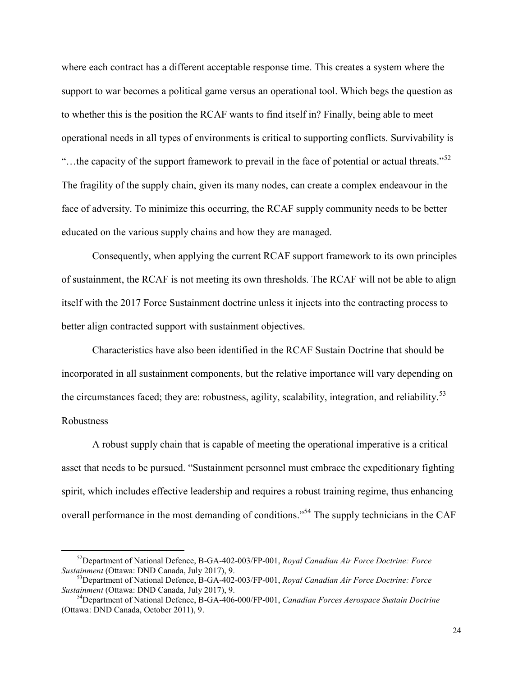where each contract has a different acceptable response time. This creates a system where the support to war becomes a political game versus an operational tool. Which begs the question as to whether this is the position the RCAF wants to find itself in? Finally, being able to meet operational needs in all types of environments is critical to supporting conflicts. Survivability is "...the capacity of the support framework to prevail in the face of potential or actual threats."<sup>52</sup> The fragility of the supply chain, given its many nodes, can create a complex endeavour in the face of adversity. To minimize this occurring, the RCAF supply community needs to be better educated on the various supply chains and how they are managed.

Consequently, when applying the current RCAF support framework to its own principles of sustainment, the RCAF is not meeting its own thresholds. The RCAF will not be able to align itself with the 2017 Force Sustainment doctrine unless it injects into the contracting process to better align contracted support with sustainment objectives.

Characteristics have also been identified in the RCAF Sustain Doctrine that should be incorporated in all sustainment components, but the relative importance will vary depending on the circumstances faced; they are: robustness, agility, scalability, integration, and reliability.<sup>53</sup> Robustness

A robust supply chain that is capable of meeting the operational imperative is a critical asset that needs to be pursued. "Sustainment personnel must embrace the expeditionary fighting spirit, which includes effective leadership and requires a robust training regime, thus enhancing overall performance in the most demanding of conditions."<sup>54</sup> The supply technicians in the CAF

<sup>52</sup>Department of National Defence, B-GA-402-003/FP-001, *Royal Canadian Air Force Doctrine: Force Sustainment* (Ottawa: DND Canada, July 2017), 9.

<sup>53</sup>Department of National Defence, B-GA-402-003/FP-001, *Royal Canadian Air Force Doctrine: Force Sustainment* (Ottawa: DND Canada, July 2017), 9.

<sup>54</sup>Department of National Defence, B-GA-406-000/FP-001, *Canadian Forces Aerospace Sustain Doctrine* (Ottawa: DND Canada, October 2011), 9.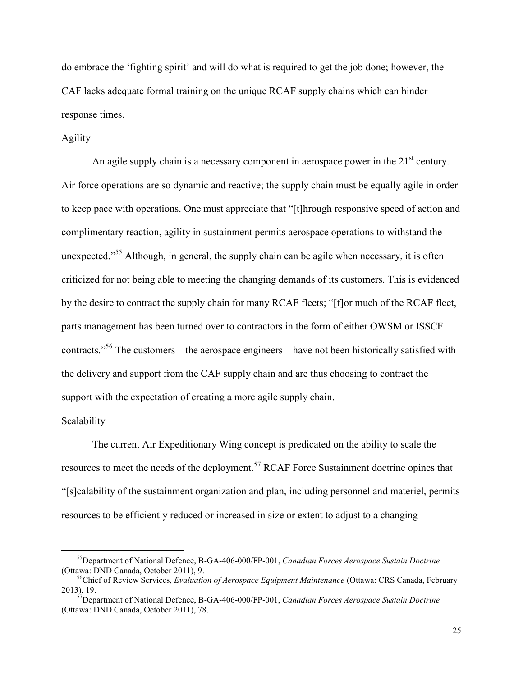do embrace the 'fighting spirit' and will do what is required to get the job done; however, the CAF lacks adequate formal training on the unique RCAF supply chains which can hinder response times.

#### Agility

An agile supply chain is a necessary component in aerospace power in the  $21<sup>st</sup>$  century. Air force operations are so dynamic and reactive; the supply chain must be equally agile in order to keep pace with operations. One must appreciate that "[t]hrough responsive speed of action and complimentary reaction, agility in sustainment permits aerospace operations to withstand the unexpected."<sup>55</sup> Although, in general, the supply chain can be agile when necessary, it is often criticized for not being able to meeting the changing demands of its customers. This is evidenced by the desire to contract the supply chain for many RCAF fleets; "[f]or much of the RCAF fleet, parts management has been turned over to contractors in the form of either OWSM or ISSCF contracts."<sup>56</sup> The customers – the aerospace engineers – have not been historically satisfied with the delivery and support from the CAF supply chain and are thus choosing to contract the support with the expectation of creating a more agile supply chain.

#### Scalability

 $\overline{a}$ 

The current Air Expeditionary Wing concept is predicated on the ability to scale the resources to meet the needs of the deployment.<sup>57</sup> RCAF Force Sustainment doctrine opines that "[s]calability of the sustainment organization and plan, including personnel and materiel, permits resources to be efficiently reduced or increased in size or extent to adjust to a changing

<sup>55</sup>Department of National Defence, B-GA-406-000/FP-001, *Canadian Forces Aerospace Sustain Doctrine* (Ottawa: DND Canada, October 2011), 9.

<sup>56</sup>Chief of Review Services, *Evaluation of Aerospace Equipment Maintenance* (Ottawa: CRS Canada, February 2013), 19.

<sup>57</sup>Department of National Defence, B-GA-406-000/FP-001, *Canadian Forces Aerospace Sustain Doctrine* (Ottawa: DND Canada, October 2011), 78.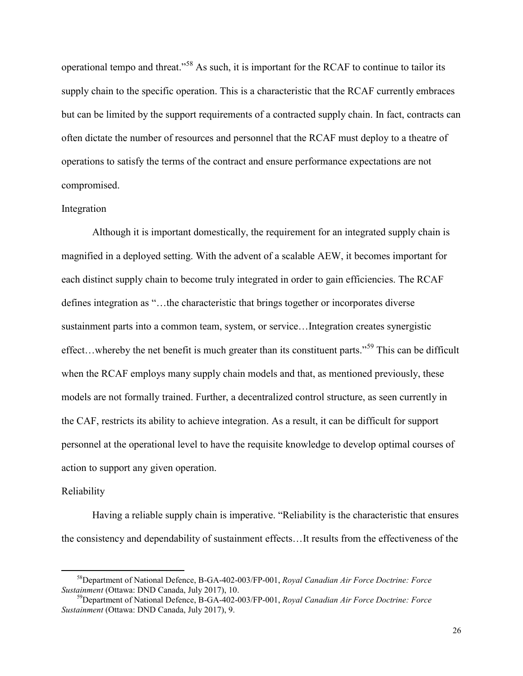operational tempo and threat."<sup>58</sup> As such, it is important for the RCAF to continue to tailor its supply chain to the specific operation. This is a characteristic that the RCAF currently embraces but can be limited by the support requirements of a contracted supply chain. In fact, contracts can often dictate the number of resources and personnel that the RCAF must deploy to a theatre of operations to satisfy the terms of the contract and ensure performance expectations are not compromised.

#### Integration

Although it is important domestically, the requirement for an integrated supply chain is magnified in a deployed setting. With the advent of a scalable AEW, it becomes important for each distinct supply chain to become truly integrated in order to gain efficiencies. The RCAF defines integration as "…the characteristic that brings together or incorporates diverse sustainment parts into a common team, system, or service…Integration creates synergistic effect...whereby the net benefit is much greater than its constituent parts."<sup>59</sup> This can be difficult when the RCAF employs many supply chain models and that, as mentioned previously, these models are not formally trained. Further, a decentralized control structure, as seen currently in the CAF, restricts its ability to achieve integration. As a result, it can be difficult for support personnel at the operational level to have the requisite knowledge to develop optimal courses of action to support any given operation.

#### Reliability

 $\overline{a}$ 

Having a reliable supply chain is imperative. "Reliability is the characteristic that ensures the consistency and dependability of sustainment effects…It results from the effectiveness of the

<sup>58</sup>Department of National Defence, B-GA-402-003/FP-001, *Royal Canadian Air Force Doctrine: Force Sustainment* (Ottawa: DND Canada, July 2017), 10.

<sup>59</sup>Department of National Defence, B-GA-402-003/FP-001, *Royal Canadian Air Force Doctrine: Force Sustainment* (Ottawa: DND Canada, July 2017), 9.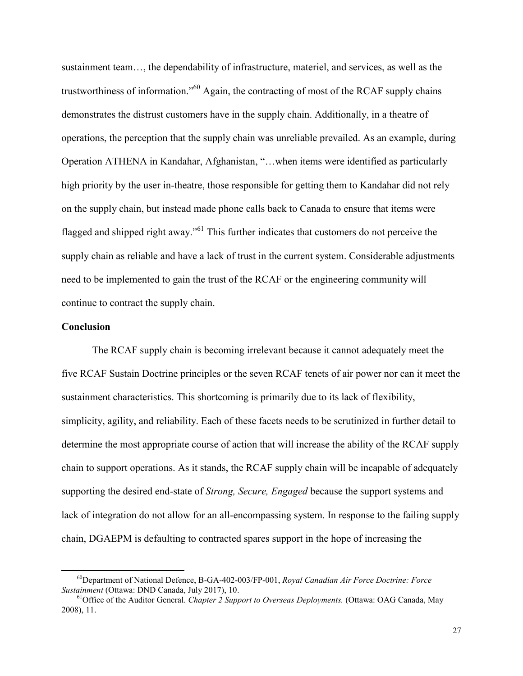sustainment team…, the dependability of infrastructure, materiel, and services, as well as the trustworthiness of information."<sup>60</sup> Again, the contracting of most of the RCAF supply chains demonstrates the distrust customers have in the supply chain. Additionally, in a theatre of operations, the perception that the supply chain was unreliable prevailed. As an example, during Operation ATHENA in Kandahar, Afghanistan, "…when items were identified as particularly high priority by the user in-theatre, those responsible for getting them to Kandahar did not rely on the supply chain, but instead made phone calls back to Canada to ensure that items were flagged and shipped right away."<sup>61</sup> This further indicates that customers do not perceive the supply chain as reliable and have a lack of trust in the current system. Considerable adjustments need to be implemented to gain the trust of the RCAF or the engineering community will continue to contract the supply chain.

#### **Conclusion**

 $\overline{a}$ 

The RCAF supply chain is becoming irrelevant because it cannot adequately meet the five RCAF Sustain Doctrine principles or the seven RCAF tenets of air power nor can it meet the sustainment characteristics. This shortcoming is primarily due to its lack of flexibility, simplicity, agility, and reliability. Each of these facets needs to be scrutinized in further detail to determine the most appropriate course of action that will increase the ability of the RCAF supply chain to support operations. As it stands, the RCAF supply chain will be incapable of adequately supporting the desired end-state of *Strong, Secure, Engaged* because the support systems and lack of integration do not allow for an all-encompassing system. In response to the failing supply chain, DGAEPM is defaulting to contracted spares support in the hope of increasing the

<sup>60</sup>Department of National Defence, B-GA-402-003/FP-001, *Royal Canadian Air Force Doctrine: Force Sustainment* (Ottawa: DND Canada, July 2017), 10.

<sup>61</sup>Office of the Auditor General. *Chapter 2 Support to Overseas Deployments.* (Ottawa: OAG Canada, May 2008), 11.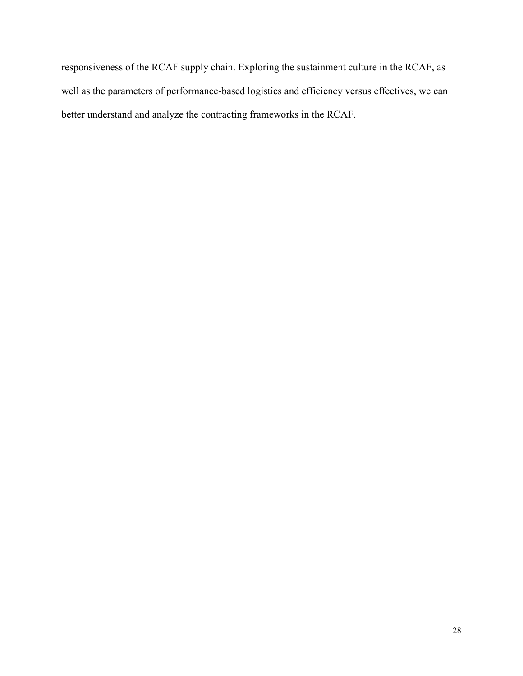responsiveness of the RCAF supply chain. Exploring the sustainment culture in the RCAF, as well as the parameters of performance-based logistics and efficiency versus effectives, we can better understand and analyze the contracting frameworks in the RCAF.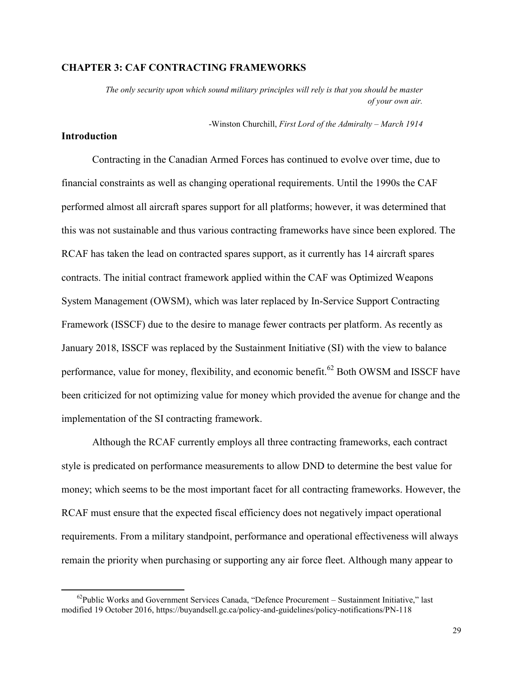# **CHAPTER 3: CAF CONTRACTING FRAMEWORKS**

*The only security upon which sound military principles will rely is that you should be master of your own air.* 

-Winston Churchill, *First Lord of the Admiralty – March 1914*

# **Introduction**

 $\overline{a}$ 

Contracting in the Canadian Armed Forces has continued to evolve over time, due to financial constraints as well as changing operational requirements. Until the 1990s the CAF performed almost all aircraft spares support for all platforms; however, it was determined that this was not sustainable and thus various contracting frameworks have since been explored. The RCAF has taken the lead on contracted spares support, as it currently has 14 aircraft spares contracts. The initial contract framework applied within the CAF was Optimized Weapons System Management (OWSM), which was later replaced by In-Service Support Contracting Framework (ISSCF) due to the desire to manage fewer contracts per platform. As recently as January 2018, ISSCF was replaced by the Sustainment Initiative (SI) with the view to balance performance, value for money, flexibility, and economic benefit.<sup>62</sup> Both OWSM and ISSCF have been criticized for not optimizing value for money which provided the avenue for change and the implementation of the SI contracting framework.

 Although the RCAF currently employs all three contracting frameworks, each contract style is predicated on performance measurements to allow DND to determine the best value for money; which seems to be the most important facet for all contracting frameworks. However, the RCAF must ensure that the expected fiscal efficiency does not negatively impact operational requirements. From a military standpoint, performance and operational effectiveness will always remain the priority when purchasing or supporting any air force fleet. Although many appear to

 $62$ Public Works and Government Services Canada, "Defence Procurement – Sustainment Initiative," last modified 19 October 2016, https://buyandsell.gc.ca/policy-and-guidelines/policy-notifications/PN-118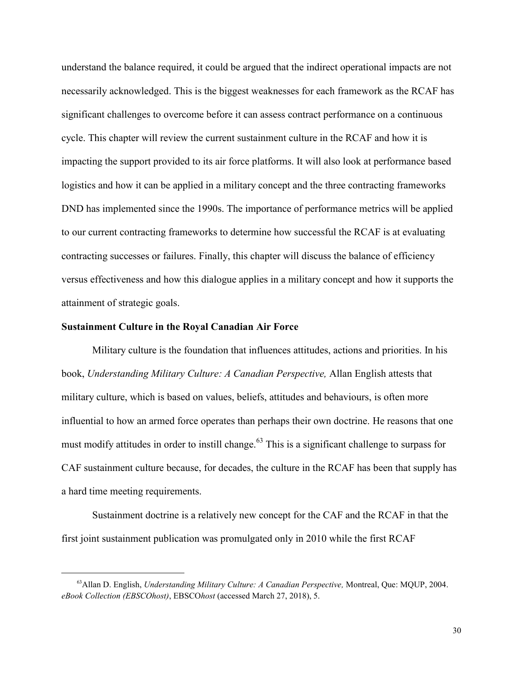understand the balance required, it could be argued that the indirect operational impacts are not necessarily acknowledged. This is the biggest weaknesses for each framework as the RCAF has significant challenges to overcome before it can assess contract performance on a continuous cycle. This chapter will review the current sustainment culture in the RCAF and how it is impacting the support provided to its air force platforms. It will also look at performance based logistics and how it can be applied in a military concept and the three contracting frameworks DND has implemented since the 1990s. The importance of performance metrics will be applied to our current contracting frameworks to determine how successful the RCAF is at evaluating contracting successes or failures. Finally, this chapter will discuss the balance of efficiency versus effectiveness and how this dialogue applies in a military concept and how it supports the attainment of strategic goals.

#### **Sustainment Culture in the Royal Canadian Air Force**

 $\overline{a}$ 

Military culture is the foundation that influences attitudes, actions and priorities. In his book, *Understanding Military Culture: A Canadian Perspective,* Allan English attests that military culture, which is based on values, beliefs, attitudes and behaviours, is often more influential to how an armed force operates than perhaps their own doctrine. He reasons that one must modify attitudes in order to instill change.<sup>63</sup> This is a significant challenge to surpass for CAF sustainment culture because, for decades, the culture in the RCAF has been that supply has a hard time meeting requirements.

Sustainment doctrine is a relatively new concept for the CAF and the RCAF in that the first joint sustainment publication was promulgated only in 2010 while the first RCAF

<sup>63</sup>Allan D. English, *Understanding Military Culture: A Canadian Perspective,* Montreal, Que: MQUP, 2004. *eBook Collection (EBSCOhost)*, EBSCO*host* (accessed March 27, 2018), 5.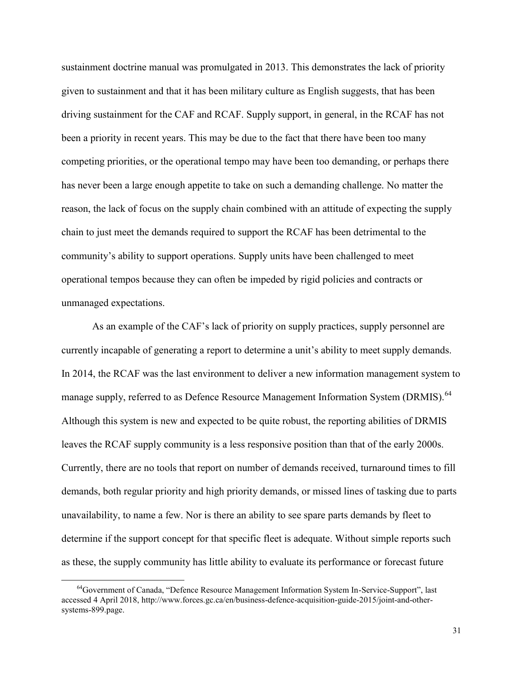sustainment doctrine manual was promulgated in 2013. This demonstrates the lack of priority given to sustainment and that it has been military culture as English suggests, that has been driving sustainment for the CAF and RCAF. Supply support, in general, in the RCAF has not been a priority in recent years. This may be due to the fact that there have been too many competing priorities, or the operational tempo may have been too demanding, or perhaps there has never been a large enough appetite to take on such a demanding challenge. No matter the reason, the lack of focus on the supply chain combined with an attitude of expecting the supply chain to just meet the demands required to support the RCAF has been detrimental to the community's ability to support operations. Supply units have been challenged to meet operational tempos because they can often be impeded by rigid policies and contracts or unmanaged expectations.

As an example of the CAF's lack of priority on supply practices, supply personnel are currently incapable of generating a report to determine a unit's ability to meet supply demands. In 2014, the RCAF was the last environment to deliver a new information management system to manage supply, referred to as Defence Resource Management Information System (DRMIS).<sup>64</sup> Although this system is new and expected to be quite robust, the reporting abilities of DRMIS leaves the RCAF supply community is a less responsive position than that of the early 2000s. Currently, there are no tools that report on number of demands received, turnaround times to fill demands, both regular priority and high priority demands, or missed lines of tasking due to parts unavailability, to name a few. Nor is there an ability to see spare parts demands by fleet to determine if the support concept for that specific fleet is adequate. Without simple reports such as these, the supply community has little ability to evaluate its performance or forecast future

<sup>&</sup>lt;sup>64</sup>Government of Canada, "Defence Resource Management Information System In-Service-Support", last accessed 4 April 2018, http://www.forces.gc.ca/en/business-defence-acquisition-guide-2015/joint-and-othersystems-899.page.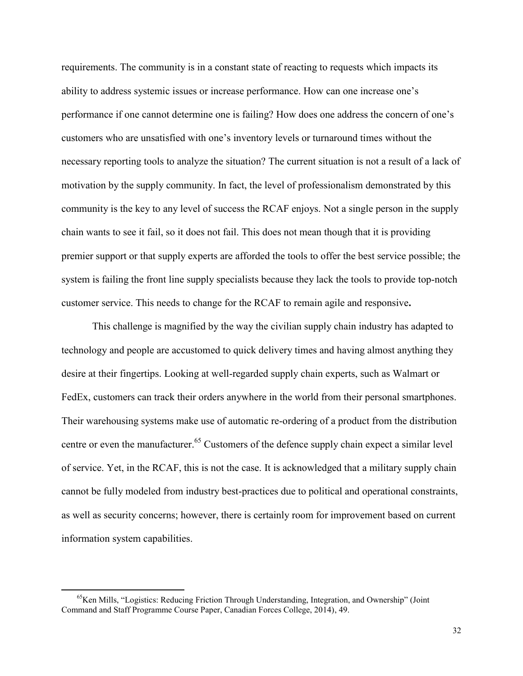requirements. The community is in a constant state of reacting to requests which impacts its ability to address systemic issues or increase performance. How can one increase one's performance if one cannot determine one is failing? How does one address the concern of one's customers who are unsatisfied with one's inventory levels or turnaround times without the necessary reporting tools to analyze the situation? The current situation is not a result of a lack of motivation by the supply community. In fact, the level of professionalism demonstrated by this community is the key to any level of success the RCAF enjoys. Not a single person in the supply chain wants to see it fail, so it does not fail. This does not mean though that it is providing premier support or that supply experts are afforded the tools to offer the best service possible; the system is failing the front line supply specialists because they lack the tools to provide top-notch customer service. This needs to change for the RCAF to remain agile and responsive**.**

This challenge is magnified by the way the civilian supply chain industry has adapted to technology and people are accustomed to quick delivery times and having almost anything they desire at their fingertips. Looking at well-regarded supply chain experts, such as Walmart or FedEx, customers can track their orders anywhere in the world from their personal smartphones. Their warehousing systems make use of automatic re-ordering of a product from the distribution centre or even the manufacturer.<sup>65</sup> Customers of the defence supply chain expect a similar level of service. Yet, in the RCAF, this is not the case. It is acknowledged that a military supply chain cannot be fully modeled from industry best-practices due to political and operational constraints, as well as security concerns; however, there is certainly room for improvement based on current information system capabilities.

 $^{65}$ Ken Mills, "Logistics: Reducing Friction Through Understanding, Integration, and Ownership" (Joint Command and Staff Programme Course Paper, Canadian Forces College, 2014), 49.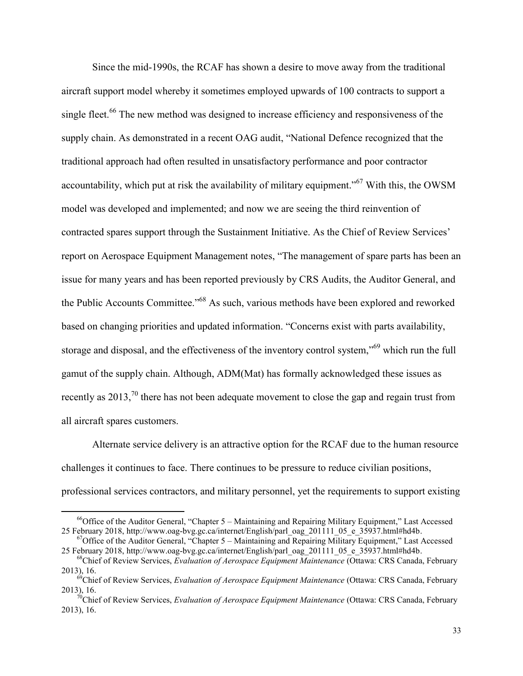Since the mid-1990s, the RCAF has shown a desire to move away from the traditional aircraft support model whereby it sometimes employed upwards of 100 contracts to support a single fleet.<sup>66</sup> The new method was designed to increase efficiency and responsiveness of the supply chain. As demonstrated in a recent OAG audit, "National Defence recognized that the traditional approach had often resulted in unsatisfactory performance and poor contractor accountability, which put at risk the availability of military equipment."<sup>67</sup> With this, the OWSM model was developed and implemented; and now we are seeing the third reinvention of contracted spares support through the Sustainment Initiative. As the Chief of Review Services' report on Aerospace Equipment Management notes, "The management of spare parts has been an issue for many years and has been reported previously by CRS Audits, the Auditor General, and the Public Accounts Committee."<sup>68</sup> As such, various methods have been explored and reworked based on changing priorities and updated information. "Concerns exist with parts availability, storage and disposal, and the effectiveness of the inventory control system,"<sup>69</sup> which run the full gamut of the supply chain. Although, ADM(Mat) has formally acknowledged these issues as recently as 2013,<sup>70</sup> there has not been adequate movement to close the gap and regain trust from all aircraft spares customers.

Alternate service delivery is an attractive option for the RCAF due to the human resource challenges it continues to face. There continues to be pressure to reduce civilian positions, professional services contractors, and military personnel, yet the requirements to support existing

 $66$ Office of the Auditor General, "Chapter 5 – Maintaining and Repairing Military Equipment," Last Accessed 25 February 2018, http://www.oag-bvg.gc.ca/internet/English/parl\_oag\_201111\_05\_e\_35937.html#hd4b.

<sup>&</sup>lt;sup>67</sup>Office of the Auditor General, "Chapter 5 – Maintaining and Repairing Military Equipment," Last Accessed 25 February 2018, http://www.oag-bvg.gc.ca/internet/English/parl\_oag\_201111\_05\_e\_35937.html#hd4b.

<sup>68</sup>Chief of Review Services, *Evaluation of Aerospace Equipment Maintenance* (Ottawa: CRS Canada, February 2013), 16.

<sup>69</sup>Chief of Review Services, *Evaluation of Aerospace Equipment Maintenance* (Ottawa: CRS Canada, February 2013), 16.

<sup>&</sup>lt;sup>0</sup>Chief of Review Services, *Evaluation of Aerospace Equipment Maintenance* (Ottawa: CRS Canada, February 2013), 16.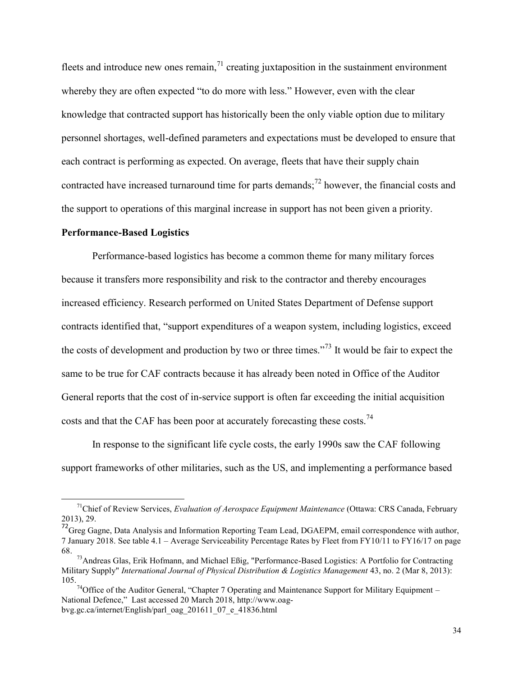fleets and introduce new ones remain,  $<sup>71</sup>$  creating juxtaposition in the sustainment environment</sup> whereby they are often expected "to do more with less." However, even with the clear knowledge that contracted support has historically been the only viable option due to military personnel shortages, well-defined parameters and expectations must be developed to ensure that each contract is performing as expected. On average, fleets that have their supply chain contracted have increased turnaround time for parts demands;<sup>72</sup> however, the financial costs and the support to operations of this marginal increase in support has not been given a priority.

#### **Performance-Based Logistics**

 $\overline{a}$ 

Performance-based logistics has become a common theme for many military forces because it transfers more responsibility and risk to the contractor and thereby encourages increased efficiency. Research performed on United States Department of Defense support contracts identified that, "support expenditures of a weapon system, including logistics, exceed the costs of development and production by two or three times."<sup>73</sup> It would be fair to expect the same to be true for CAF contracts because it has already been noted in Office of the Auditor General reports that the cost of in-service support is often far exceeding the initial acquisition costs and that the CAF has been poor at accurately forecasting these costs.<sup>74</sup>

In response to the significant life cycle costs, the early 1990s saw the CAF following support frameworks of other militaries, such as the US, and implementing a performance based

<sup>71</sup>Chief of Review Services, *Evaluation of Aerospace Equipment Maintenance* (Ottawa: CRS Canada, February 2013), 29.

<sup>&</sup>lt;sup>72</sup>Greg Gagne, Data Analysis and Information Reporting Team Lead, DGAEPM, email correspondence with author, 7 January 2018. See table 4.1 – Average Serviceability Percentage Rates by Fleet from FY10/11 to FY16/17 on page 68.

<sup>73</sup>Andreas Glas, Erik Hofmann, and Michael Eßig, "Performance-Based Logistics: A Portfolio for Contracting Military Supply" *International Journal of Physical Distribution & Logistics Management* 43, no. 2 (Mar 8, 2013): 105.

 $74$ Office of the Auditor General, "Chapter 7 Operating and Maintenance Support for Military Equipment – National Defence," Last accessed 20 March 2018, http://www.oagbvg.gc.ca/internet/English/parl\_oag\_201611\_07\_e\_41836.html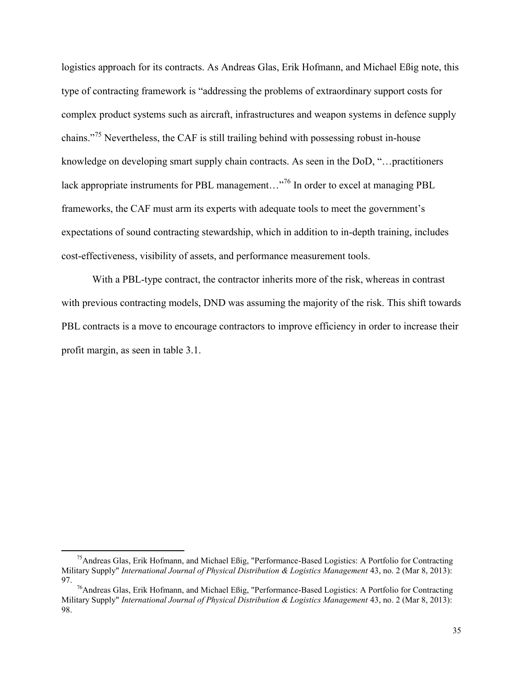logistics approach for its contracts. As Andreas Glas, Erik Hofmann, and Michael Eßig note, this type of contracting framework is "addressing the problems of extraordinary support costs for complex product systems such as aircraft, infrastructures and weapon systems in defence supply chains."<sup>75</sup> Nevertheless, the CAF is still trailing behind with possessing robust in-house knowledge on developing smart supply chain contracts. As seen in the DoD, "…practitioners lack appropriate instruments for PBL management..."<sup>76</sup> In order to excel at managing PBL frameworks, the CAF must arm its experts with adequate tools to meet the government's expectations of sound contracting stewardship, which in addition to in-depth training, includes cost-effectiveness, visibility of assets, and performance measurement tools.

With a PBL-type contract, the contractor inherits more of the risk, whereas in contrast with previous contracting models, DND was assuming the majority of the risk. This shift towards PBL contracts is a move to encourage contractors to improve efficiency in order to increase their profit margin, as seen in table 3.1.

<sup>75</sup>Andreas Glas, Erik Hofmann, and Michael Eßig, "Performance-Based Logistics: A Portfolio for Contracting Military Supply" *International Journal of Physical Distribution & Logistics Management* 43, no. 2 (Mar 8, 2013): 97.

<sup>&</sup>lt;sup>76</sup>Andreas Glas, Erik Hofmann, and Michael Eßig, "Performance-Based Logistics: A Portfolio for Contracting Military Supply" *International Journal of Physical Distribution & Logistics Management* 43, no. 2 (Mar 8, 2013): 98.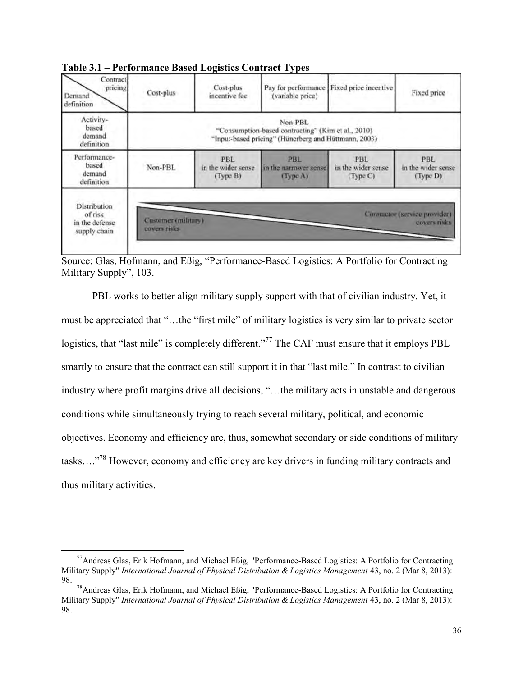| Contract<br>pricing<br>Demand<br>definition                      | Cost-plus                                                                                                             | Cost-plus<br>incentive fee                    | (variable price)                                | Pay for performance Fixed price incentive | Fixed price                                 |  |  |  |
|------------------------------------------------------------------|-----------------------------------------------------------------------------------------------------------------------|-----------------------------------------------|-------------------------------------------------|-------------------------------------------|---------------------------------------------|--|--|--|
| Activity-<br>based<br>demand<br>definition                       | Non-PBL<br>"Consumption-based contracting" (Kim et al., 2010)<br>"Input-based pricing" (Hünerberg and Hüttmann, 2003) |                                               |                                                 |                                           |                                             |  |  |  |
| Performance-<br>based<br>demand<br>definition                    | Non-PBL                                                                                                               | <b>PBL</b><br>in the wider sense.<br>(Type B) | <b>PBL</b><br>in the narrower sense.<br>Type A) | PBL<br>in the wider sense.<br>Type C)     | PBL<br>in the wider sense<br>(Type D)       |  |  |  |
| <b>Distribution</b><br>of risk<br>in the defense<br>supply chain | <b>Customer (military)</b><br>covers risks.                                                                           |                                               |                                                 |                                           | Cimmator (service provider)<br>covers risks |  |  |  |

**Table 3.1 – Performance Based Logistics Contract Types** 

Source: Glas, Hofmann, and Eßig, "Performance-Based Logistics: A Portfolio for Contracting Military Supply", 103.

PBL works to better align military supply support with that of civilian industry. Yet, it must be appreciated that "…the "first mile" of military logistics is very similar to private sector logistics, that "last mile" is completely different."<sup>77</sup> The CAF must ensure that it employs PBL smartly to ensure that the contract can still support it in that "last mile." In contrast to civilian industry where profit margins drive all decisions, "…the military acts in unstable and dangerous conditions while simultaneously trying to reach several military, political, and economic objectives. Economy and efficiency are, thus, somewhat secondary or side conditions of military tasks…."<sup>78</sup> However, economy and efficiency are key drivers in funding military contracts and thus military activities.

<sup>77</sup>Andreas Glas, Erik Hofmann, and Michael Eßig, "Performance-Based Logistics: A Portfolio for Contracting Military Supply" *International Journal of Physical Distribution & Logistics Management* 43, no. 2 (Mar 8, 2013): 98.

<sup>78</sup>Andreas Glas, Erik Hofmann, and Michael Eßig, "Performance-Based Logistics: A Portfolio for Contracting Military Supply" *International Journal of Physical Distribution & Logistics Management* 43, no. 2 (Mar 8, 2013): 98.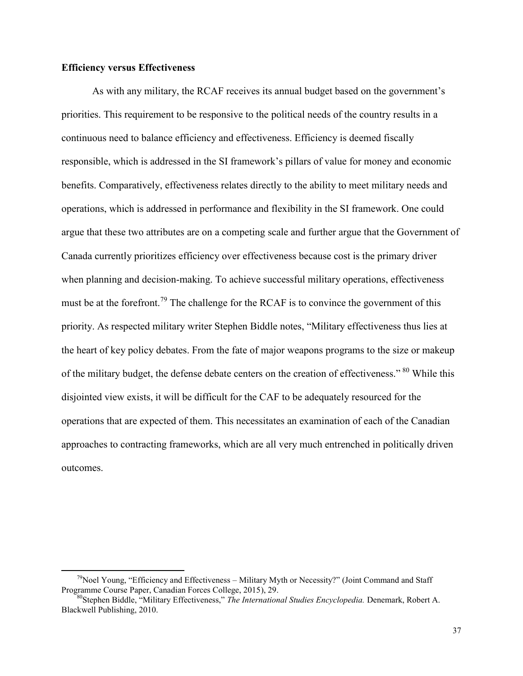# **Efficiency versus Effectiveness**

 $\overline{a}$ 

As with any military, the RCAF receives its annual budget based on the government's priorities. This requirement to be responsive to the political needs of the country results in a continuous need to balance efficiency and effectiveness. Efficiency is deemed fiscally responsible, which is addressed in the SI framework's pillars of value for money and economic benefits. Comparatively, effectiveness relates directly to the ability to meet military needs and operations, which is addressed in performance and flexibility in the SI framework. One could argue that these two attributes are on a competing scale and further argue that the Government of Canada currently prioritizes efficiency over effectiveness because cost is the primary driver when planning and decision-making. To achieve successful military operations, effectiveness must be at the forefront.<sup>79</sup> The challenge for the RCAF is to convince the government of this priority. As respected military writer Stephen Biddle notes, "Military effectiveness thus lies at the heart of key policy debates. From the fate of major weapons programs to the size or makeup of the military budget, the defense debate centers on the creation of effectiveness." <sup>80</sup> While this disjointed view exists, it will be difficult for the CAF to be adequately resourced for the operations that are expected of them. This necessitates an examination of each of the Canadian approaches to contracting frameworks, which are all very much entrenched in politically driven outcomes.

<sup>&</sup>lt;sup>79</sup>Noel Young, "Efficiency and Effectiveness – Military Myth or Necessity?" (Joint Command and Staff Programme Course Paper, Canadian Forces College, 2015), 29.

<sup>80</sup>Stephen Biddle, "Military Effectiveness," *The International Studies Encyclopedia.* Denemark, Robert A. Blackwell Publishing, 2010.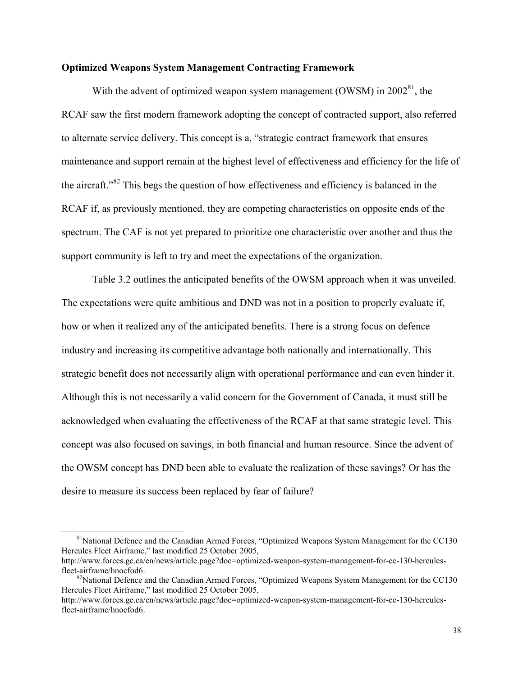### **Optimized Weapons System Management Contracting Framework**

With the advent of optimized weapon system management (OWSM) in  $2002<sup>81</sup>$ , the RCAF saw the first modern framework adopting the concept of contracted support, also referred to alternate service delivery. This concept is a, "strategic contract framework that ensures maintenance and support remain at the highest level of effectiveness and efficiency for the life of the aircraft."<sup>82</sup> This begs the question of how effectiveness and efficiency is balanced in the RCAF if, as previously mentioned, they are competing characteristics on opposite ends of the spectrum. The CAF is not yet prepared to prioritize one characteristic over another and thus the support community is left to try and meet the expectations of the organization.

 Table 3.2 outlines the anticipated benefits of the OWSM approach when it was unveiled. The expectations were quite ambitious and DND was not in a position to properly evaluate if, how or when it realized any of the anticipated benefits. There is a strong focus on defence industry and increasing its competitive advantage both nationally and internationally. This strategic benefit does not necessarily align with operational performance and can even hinder it. Although this is not necessarily a valid concern for the Government of Canada, it must still be acknowledged when evaluating the effectiveness of the RCAF at that same strategic level. This concept was also focused on savings, in both financial and human resource. Since the advent of the OWSM concept has DND been able to evaluate the realization of these savings? Or has the desire to measure its success been replaced by fear of failure?

<sup>&</sup>lt;sup>81</sup>National Defence and the Canadian Armed Forces, "Optimized Weapons System Management for the CC130 Hercules Fleet Airframe," last modified 25 October 2005,

http://www.forces.gc.ca/en/news/article.page?doc=optimized-weapon-system-management-for-cc-130-herculesfleet-airframe/hnocfod6.

 $82$ National Defence and the Canadian Armed Forces, "Optimized Weapons System Management for the CC130 Hercules Fleet Airframe," last modified 25 October 2005,

http://www.forces.gc.ca/en/news/article.page?doc=optimized-weapon-system-management-for-cc-130-herculesfleet-airframe/hnocfod6.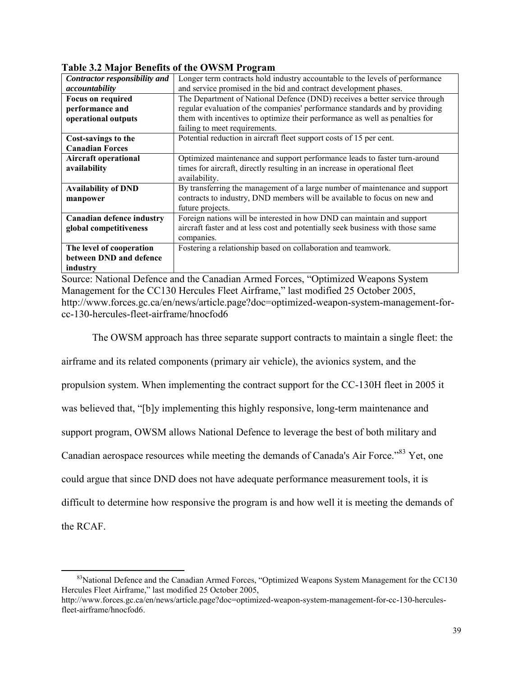| Contractor responsibility and    | Longer term contracts hold industry accountable to the levels of performance   |  |  |  |
|----------------------------------|--------------------------------------------------------------------------------|--|--|--|
| accountability                   | and service promised in the bid and contract development phases.               |  |  |  |
| <b>Focus on required</b>         | The Department of National Defence (DND) receives a better service through     |  |  |  |
| performance and                  | regular evaluation of the companies' performance standards and by providing    |  |  |  |
| operational outputs              | them with incentives to optimize their performance as well as penalties for    |  |  |  |
|                                  | failing to meet requirements.                                                  |  |  |  |
| Cost-savings to the              | Potential reduction in aircraft fleet support costs of 15 per cent.            |  |  |  |
| <b>Canadian Forces</b>           |                                                                                |  |  |  |
| <b>Aircraft operational</b>      | Optimized maintenance and support performance leads to faster turn-around      |  |  |  |
| availability                     | times for aircraft, directly resulting in an increase in operational fleet     |  |  |  |
|                                  | availability.                                                                  |  |  |  |
| <b>Availability of DND</b>       | By transferring the management of a large number of maintenance and support    |  |  |  |
| manpower                         | contracts to industry, DND members will be available to focus on new and       |  |  |  |
|                                  | future projects.                                                               |  |  |  |
| <b>Canadian defence industry</b> | Foreign nations will be interested in how DND can maintain and support         |  |  |  |
| global competitiveness           | aircraft faster and at less cost and potentially seek business with those same |  |  |  |
|                                  | companies.                                                                     |  |  |  |
| The level of cooperation         | Fostering a relationship based on collaboration and teamwork.                  |  |  |  |
| between DND and defence          |                                                                                |  |  |  |
| industry                         |                                                                                |  |  |  |

**Table 3.2 Major Benefits of the OWSM Program** 

Source: National Defence and the Canadian Armed Forces, "Optimized Weapons System Management for the CC130 Hercules Fleet Airframe," last modified 25 October 2005, http://www.forces.gc.ca/en/news/article.page?doc=optimized-weapon-system-management-forcc-130-hercules-fleet-airframe/hnocfod6

The OWSM approach has three separate support contracts to maintain a single fleet: the

airframe and its related components (primary air vehicle), the avionics system, and the

propulsion system. When implementing the contract support for the CC-130H fleet in 2005 it

was believed that, "[b]y implementing this highly responsive, long-term maintenance and

support program, OWSM allows National Defence to leverage the best of both military and

Canadian aerospace resources while meeting the demands of Canada's Air Force."<sup>83</sup> Yet, one

could argue that since DND does not have adequate performance measurement tools, it is

difficult to determine how responsive the program is and how well it is meeting the demands of

the RCAF.

 $83$ National Defence and the Canadian Armed Forces, "Optimized Weapons System Management for the CC130 Hercules Fleet Airframe," last modified 25 October 2005,

http://www.forces.gc.ca/en/news/article.page?doc=optimized-weapon-system-management-for-cc-130-herculesfleet-airframe/hnocfod6.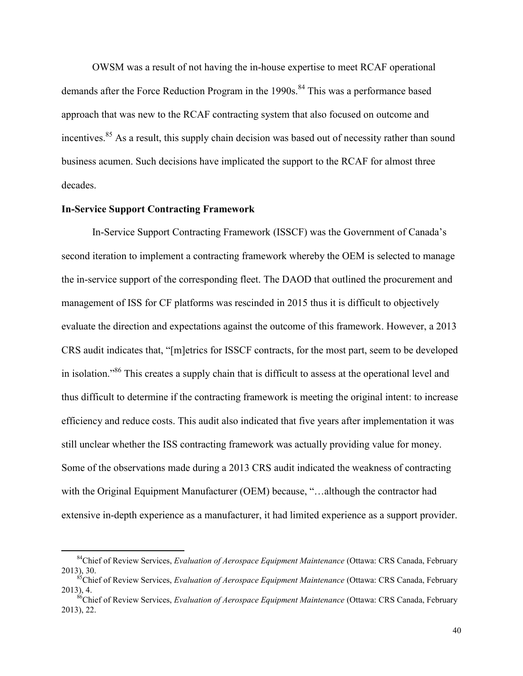OWSM was a result of not having the in-house expertise to meet RCAF operational demands after the Force Reduction Program in the 1990s.<sup>84</sup> This was a performance based approach that was new to the RCAF contracting system that also focused on outcome and incentives.<sup>85</sup> As a result, this supply chain decision was based out of necessity rather than sound business acumen. Such decisions have implicated the support to the RCAF for almost three decades.

# **In-Service Support Contracting Framework**

 $\overline{a}$ 

In-Service Support Contracting Framework (ISSCF) was the Government of Canada's second iteration to implement a contracting framework whereby the OEM is selected to manage the in-service support of the corresponding fleet. The DAOD that outlined the procurement and management of ISS for CF platforms was rescinded in 2015 thus it is difficult to objectively evaluate the direction and expectations against the outcome of this framework. However, a 2013 CRS audit indicates that, "[m]etrics for ISSCF contracts, for the most part, seem to be developed in isolation."<sup>86</sup> This creates a supply chain that is difficult to assess at the operational level and thus difficult to determine if the contracting framework is meeting the original intent: to increase efficiency and reduce costs. This audit also indicated that five years after implementation it was still unclear whether the ISS contracting framework was actually providing value for money. Some of the observations made during a 2013 CRS audit indicated the weakness of contracting with the Original Equipment Manufacturer (OEM) because, "...although the contractor had extensive in-depth experience as a manufacturer, it had limited experience as a support provider.

<sup>84</sup>Chief of Review Services, *Evaluation of Aerospace Equipment Maintenance* (Ottawa: CRS Canada, February 2013), 30.

<sup>85</sup>Chief of Review Services, *Evaluation of Aerospace Equipment Maintenance* (Ottawa: CRS Canada, February 2013), 4.

<sup>86</sup>Chief of Review Services, *Evaluation of Aerospace Equipment Maintenance* (Ottawa: CRS Canada, February 2013), 22.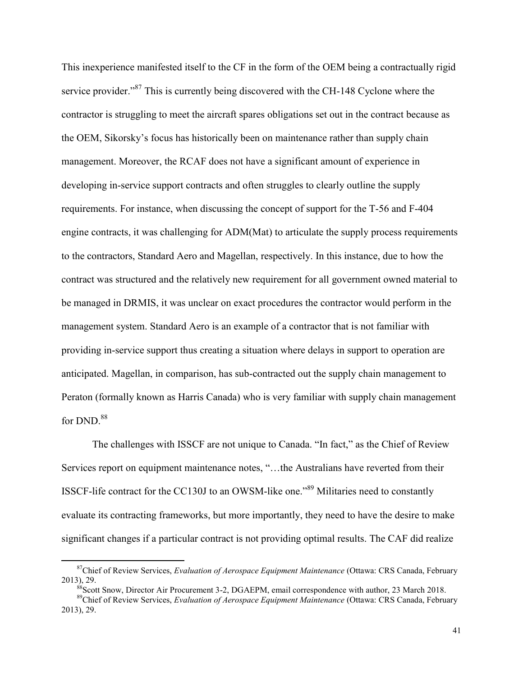This inexperience manifested itself to the CF in the form of the OEM being a contractually rigid service provider."<sup>87</sup> This is currently being discovered with the CH-148 Cyclone where the contractor is struggling to meet the aircraft spares obligations set out in the contract because as the OEM, Sikorsky's focus has historically been on maintenance rather than supply chain management. Moreover, the RCAF does not have a significant amount of experience in developing in-service support contracts and often struggles to clearly outline the supply requirements. For instance, when discussing the concept of support for the T-56 and F-404 engine contracts, it was challenging for ADM(Mat) to articulate the supply process requirements to the contractors, Standard Aero and Magellan, respectively. In this instance, due to how the contract was structured and the relatively new requirement for all government owned material to be managed in DRMIS, it was unclear on exact procedures the contractor would perform in the management system. Standard Aero is an example of a contractor that is not familiar with providing in-service support thus creating a situation where delays in support to operation are anticipated. Magellan, in comparison, has sub-contracted out the supply chain management to Peraton (formally known as Harris Canada) who is very familiar with supply chain management for DND.<sup>88</sup>

 The challenges with ISSCF are not unique to Canada. "In fact," as the Chief of Review Services report on equipment maintenance notes, "…the Australians have reverted from their ISSCF-life contract for the CC130J to an OWSM-like one."<sup>89</sup> Militaries need to constantly evaluate its contracting frameworks, but more importantly, they need to have the desire to make significant changes if a particular contract is not providing optimal results. The CAF did realize

<sup>87</sup>Chief of Review Services, *Evaluation of Aerospace Equipment Maintenance* (Ottawa: CRS Canada, February 2013), 29.

<sup>&</sup>lt;sup>88</sup>Scott Snow, Director Air Procurement 3-2, DGAEPM, email correspondence with author, 23 March 2018.

<sup>89</sup>Chief of Review Services, *Evaluation of Aerospace Equipment Maintenance* (Ottawa: CRS Canada, February 2013), 29.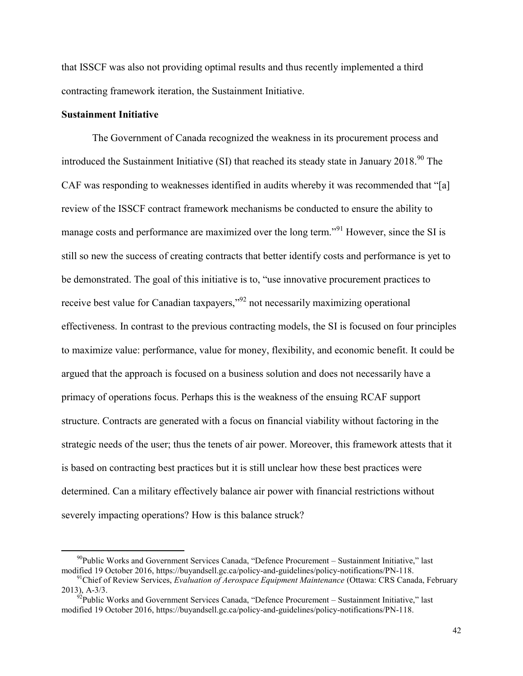that ISSCF was also not providing optimal results and thus recently implemented a third contracting framework iteration, the Sustainment Initiative.

# **Sustainment Initiative**

 $\overline{a}$ 

The Government of Canada recognized the weakness in its procurement process and introduced the Sustainment Initiative (SI) that reached its steady state in January  $2018<sup>90</sup>$  The CAF was responding to weaknesses identified in audits whereby it was recommended that "[a] review of the ISSCF contract framework mechanisms be conducted to ensure the ability to manage costs and performance are maximized over the long term."<sup>91</sup> However, since the SI is still so new the success of creating contracts that better identify costs and performance is yet to be demonstrated. The goal of this initiative is to, "use innovative procurement practices to receive best value for Canadian taxpayers,"<sup>92</sup> not necessarily maximizing operational effectiveness. In contrast to the previous contracting models, the SI is focused on four principles to maximize value: performance, value for money, flexibility, and economic benefit. It could be argued that the approach is focused on a business solution and does not necessarily have a primacy of operations focus. Perhaps this is the weakness of the ensuing RCAF support structure. Contracts are generated with a focus on financial viability without factoring in the strategic needs of the user; thus the tenets of air power. Moreover, this framework attests that it is based on contracting best practices but it is still unclear how these best practices were determined. Can a military effectively balance air power with financial restrictions without severely impacting operations? How is this balance struck?

 $90P$ ublic Works and Government Services Canada, "Defence Procurement – Sustainment Initiative," last modified 19 October 2016, https://buyandsell.gc.ca/policy-and-guidelines/policy-notifications/PN-118.

<sup>91</sup>Chief of Review Services, *Evaluation of Aerospace Equipment Maintenance* (Ottawa: CRS Canada, February 2013), A-3/3.

 $^{92}$ Public Works and Government Services Canada, "Defence Procurement – Sustainment Initiative," last modified 19 October 2016, https://buyandsell.gc.ca/policy-and-guidelines/policy-notifications/PN-118.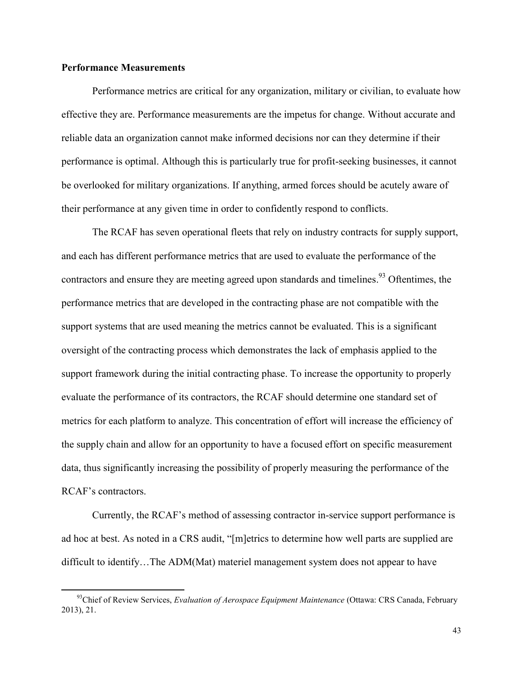### **Performance Measurements**

 $\overline{a}$ 

 Performance metrics are critical for any organization, military or civilian, to evaluate how effective they are. Performance measurements are the impetus for change. Without accurate and reliable data an organization cannot make informed decisions nor can they determine if their performance is optimal. Although this is particularly true for profit-seeking businesses, it cannot be overlooked for military organizations. If anything, armed forces should be acutely aware of their performance at any given time in order to confidently respond to conflicts.

The RCAF has seven operational fleets that rely on industry contracts for supply support, and each has different performance metrics that are used to evaluate the performance of the contractors and ensure they are meeting agreed upon standards and timelines.<sup>93</sup> Oftentimes, the performance metrics that are developed in the contracting phase are not compatible with the support systems that are used meaning the metrics cannot be evaluated. This is a significant oversight of the contracting process which demonstrates the lack of emphasis applied to the support framework during the initial contracting phase. To increase the opportunity to properly evaluate the performance of its contractors, the RCAF should determine one standard set of metrics for each platform to analyze. This concentration of effort will increase the efficiency of the supply chain and allow for an opportunity to have a focused effort on specific measurement data, thus significantly increasing the possibility of properly measuring the performance of the RCAF's contractors.

Currently, the RCAF's method of assessing contractor in-service support performance is ad hoc at best. As noted in a CRS audit, "[m]etrics to determine how well parts are supplied are difficult to identify…The ADM(Mat) materiel management system does not appear to have

<sup>93</sup>Chief of Review Services, *Evaluation of Aerospace Equipment Maintenance* (Ottawa: CRS Canada, February 2013), 21.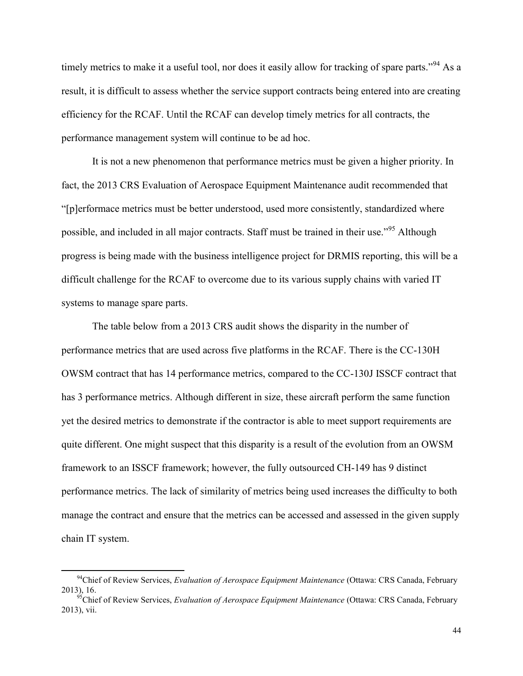timely metrics to make it a useful tool, nor does it easily allow for tracking of spare parts."<sup>94</sup> As a result, it is difficult to assess whether the service support contracts being entered into are creating efficiency for the RCAF. Until the RCAF can develop timely metrics for all contracts, the performance management system will continue to be ad hoc.

It is not a new phenomenon that performance metrics must be given a higher priority. In fact, the 2013 CRS Evaluation of Aerospace Equipment Maintenance audit recommended that "[p]erformace metrics must be better understood, used more consistently, standardized where possible, and included in all major contracts. Staff must be trained in their use."<sup>95</sup> Although progress is being made with the business intelligence project for DRMIS reporting, this will be a difficult challenge for the RCAF to overcome due to its various supply chains with varied IT systems to manage spare parts.

 The table below from a 2013 CRS audit shows the disparity in the number of performance metrics that are used across five platforms in the RCAF. There is the CC-130H OWSM contract that has 14 performance metrics, compared to the CC-130J ISSCF contract that has 3 performance metrics. Although different in size, these aircraft perform the same function yet the desired metrics to demonstrate if the contractor is able to meet support requirements are quite different. One might suspect that this disparity is a result of the evolution from an OWSM framework to an ISSCF framework; however, the fully outsourced CH-149 has 9 distinct performance metrics. The lack of similarity of metrics being used increases the difficulty to both manage the contract and ensure that the metrics can be accessed and assessed in the given supply chain IT system.

<sup>94</sup>Chief of Review Services, *Evaluation of Aerospace Equipment Maintenance* (Ottawa: CRS Canada, February 2013), 16.

<sup>&</sup>lt;sup>5</sup>Chief of Review Services, *Evaluation of Aerospace Equipment Maintenance* (Ottawa: CRS Canada, February 2013), vii.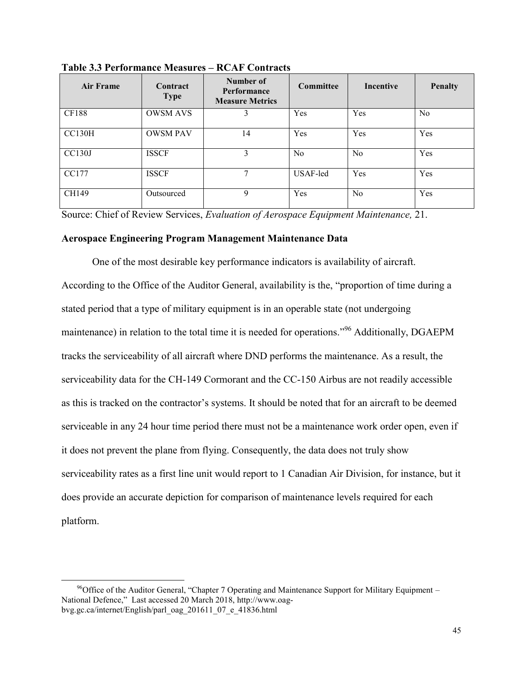| <b>Air Frame</b> | Contract<br><b>Type</b> | Number of<br>Performance<br><b>Measure Metrics</b> | Committee      | <b>Incentive</b> | <b>Penalty</b> |
|------------------|-------------------------|----------------------------------------------------|----------------|------------------|----------------|
| <b>CF188</b>     | <b>OWSM AVS</b>         | 3                                                  | Yes            | Yes              | N <sub>0</sub> |
| <b>CC130H</b>    | <b>OWSM PAV</b>         | 14                                                 | Yes            | Yes              | Yes            |
| <b>CC130J</b>    | <b>ISSCF</b>            | 3                                                  | N <sub>0</sub> | N <sub>0</sub>   | Yes            |
| CC177            | <b>ISSCF</b>            | 7                                                  | USAF-led       | Yes              | Yes            |
| CH149            | Outsourced              | 9                                                  | Yes            | N <sub>0</sub>   | Yes            |

**Table 3.3 Performance Measures – RCAF Contracts**

Source: Chief of Review Services, *Evaluation of Aerospace Equipment Maintenance,* 21.

### **Aerospace Engineering Program Management Maintenance Data**

One of the most desirable key performance indicators is availability of aircraft. According to the Office of the Auditor General, availability is the, "proportion of time during a stated period that a type of military equipment is in an operable state (not undergoing maintenance) in relation to the total time it is needed for operations."<sup>96</sup> Additionally, DGAEPM tracks the serviceability of all aircraft where DND performs the maintenance. As a result, the serviceability data for the CH-149 Cormorant and the CC-150 Airbus are not readily accessible as this is tracked on the contractor's systems. It should be noted that for an aircraft to be deemed serviceable in any 24 hour time period there must not be a maintenance work order open, even if it does not prevent the plane from flying. Consequently, the data does not truly show serviceability rates as a first line unit would report to 1 Canadian Air Division, for instance, but it does provide an accurate depiction for comparison of maintenance levels required for each platform.

 $\overline{a}$ <sup>96</sup>Office of the Auditor General, "Chapter 7 Operating and Maintenance Support for Military Equipment – National Defence," Last accessed 20 March 2018, http://www.oagbvg.gc.ca/internet/English/parl\_oag\_201611\_07\_e\_41836.html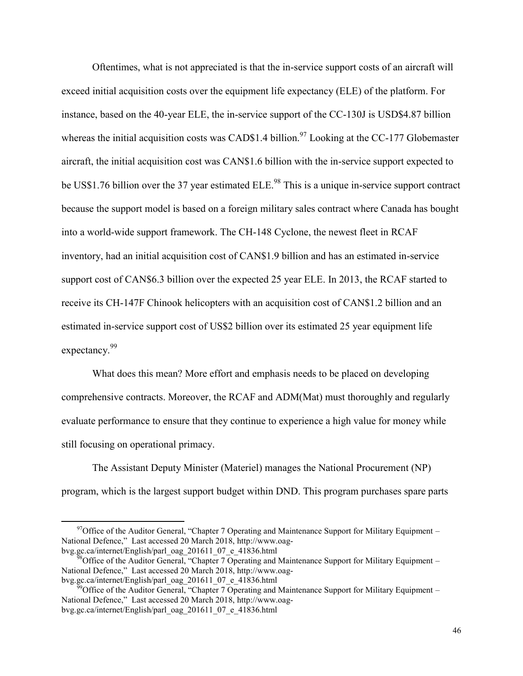Oftentimes, what is not appreciated is that the in-service support costs of an aircraft will exceed initial acquisition costs over the equipment life expectancy (ELE) of the platform. For instance, based on the 40-year ELE, the in-service support of the CC-130J is USD\$4.87 billion whereas the initial acquisition costs was CAD\$1.4 billion.<sup>97</sup> Looking at the CC-177 Globemaster aircraft, the initial acquisition cost was CAN\$1.6 billion with the in-service support expected to be US\$1.76 billion over the 37 year estimated ELE.<sup>98</sup> This is a unique in-service support contract because the support model is based on a foreign military sales contract where Canada has bought into a world-wide support framework. The CH-148 Cyclone, the newest fleet in RCAF inventory, had an initial acquisition cost of CAN\$1.9 billion and has an estimated in-service support cost of CAN\$6.3 billion over the expected 25 year ELE. In 2013, the RCAF started to receive its CH-147F Chinook helicopters with an acquisition cost of CAN\$1.2 billion and an estimated in-service support cost of US\$2 billion over its estimated 25 year equipment life expectancy.<sup>99</sup>

What does this mean? More effort and emphasis needs to be placed on developing comprehensive contracts. Moreover, the RCAF and ADM(Mat) must thoroughly and regularly evaluate performance to ensure that they continue to experience a high value for money while still focusing on operational primacy.

The Assistant Deputy Minister (Materiel) manages the National Procurement (NP) program, which is the largest support budget within DND. This program purchases spare parts

 $97$ Office of the Auditor General, "Chapter 7 Operating and Maintenance Support for Military Equipment – National Defence," Last accessed 20 March 2018, http://www.oagbvg.gc.ca/internet/English/parl\_oag\_201611\_07\_e\_41836.html

 $^{8}$ Office of the Auditor General, "Chapter 7 Operating and Maintenance Support for Military Equipment – National Defence," Last accessed 20 March 2018, http://www.oagbvg.gc.ca/internet/English/parl\_oag\_201611\_07\_e\_41836.html

<sup>&</sup>lt;sup>9</sup>Office of the Auditor General, "Chapter 7 Operating and Maintenance Support for Military Equipment – National Defence," Last accessed 20 March 2018, http://www.oagbvg.gc.ca/internet/English/parl\_oag\_201611\_07\_e\_41836.html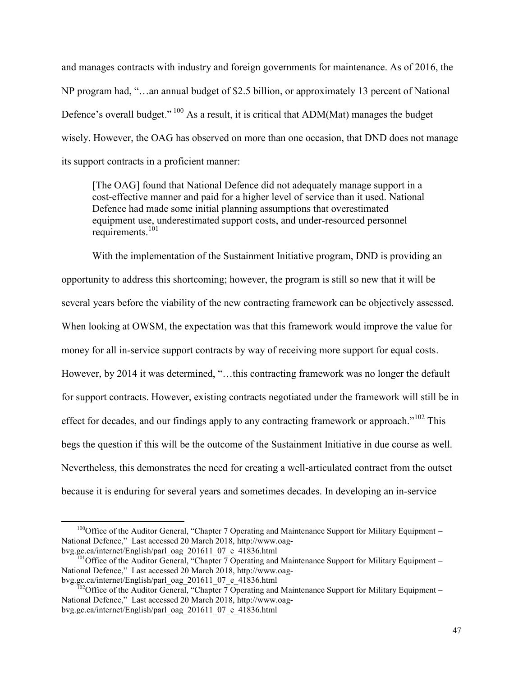and manages contracts with industry and foreign governments for maintenance. As of 2016, the NP program had, "…an annual budget of \$2.5 billion, or approximately 13 percent of National Defence's overall budget."  $100$  As a result, it is critical that ADM(Mat) manages the budget wisely. However, the OAG has observed on more than one occasion, that DND does not manage its support contracts in a proficient manner:

[The OAG] found that National Defence did not adequately manage support in a cost-effective manner and paid for a higher level of service than it used. National Defence had made some initial planning assumptions that overestimated equipment use, underestimated support costs, and under-resourced personnel requirements.<sup>101</sup>

With the implementation of the Sustainment Initiative program, DND is providing an opportunity to address this shortcoming; however, the program is still so new that it will be several years before the viability of the new contracting framework can be objectively assessed. When looking at OWSM, the expectation was that this framework would improve the value for money for all in-service support contracts by way of receiving more support for equal costs. However, by 2014 it was determined, "…this contracting framework was no longer the default for support contracts. However, existing contracts negotiated under the framework will still be in effect for decades, and our findings apply to any contracting framework or approach." $102$  This begs the question if this will be the outcome of the Sustainment Initiative in due course as well. Nevertheless, this demonstrates the need for creating a well-articulated contract from the outset because it is enduring for several years and sometimes decades. In developing an in-service

<sup>&</sup>lt;sup>100</sup>Office of the Auditor General, "Chapter 7 Operating and Maintenance Support for Military Equipment – National Defence," Last accessed 20 March 2018, http://www.oagbvg.gc.ca/internet/English/parl\_oag\_201611\_07\_e\_41836.html

<sup>&</sup>lt;sup>01</sup>Office of the Auditor General, "Chapter  $\overline{7}$  Operating and Maintenance Support for Military Equipment – National Defence," Last accessed 20 March 2018, http://www.oagbvg.gc.ca/internet/English/parl\_oag\_201611\_07\_e\_41836.html

<sup>&</sup>lt;sup>102</sup>Office of the Auditor General, "Chapter  $\overline{7}$  Operating and Maintenance Support for Military Equipment – National Defence," Last accessed 20 March 2018, http://www.oagbvg.gc.ca/internet/English/parl\_oag\_201611\_07\_e\_41836.html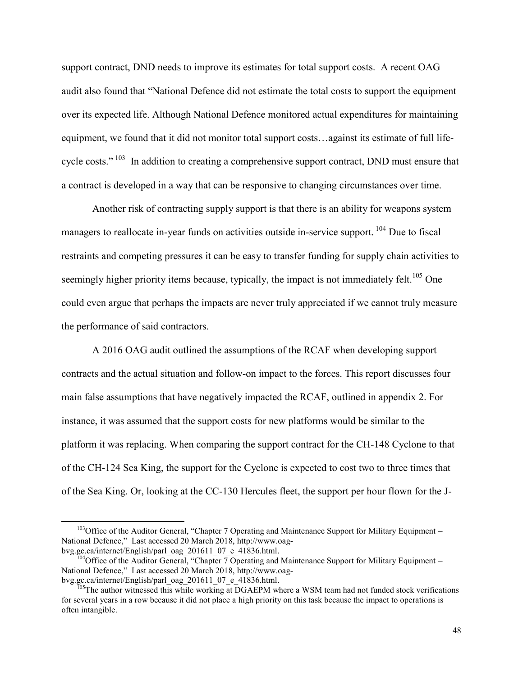support contract, DND needs to improve its estimates for total support costs. A recent OAG audit also found that "National Defence did not estimate the total costs to support the equipment over its expected life. Although National Defence monitored actual expenditures for maintaining equipment, we found that it did not monitor total support costs…against its estimate of full lifecycle costs." <sup>103</sup> In addition to creating a comprehensive support contract, DND must ensure that a contract is developed in a way that can be responsive to changing circumstances over time.

Another risk of contracting supply support is that there is an ability for weapons system managers to reallocate in-year funds on activities outside in-service support.<sup>104</sup> Due to fiscal restraints and competing pressures it can be easy to transfer funding for supply chain activities to seemingly higher priority items because, typically, the impact is not immediately felt.<sup>105</sup> One could even argue that perhaps the impacts are never truly appreciated if we cannot truly measure the performance of said contractors.

A 2016 OAG audit outlined the assumptions of the RCAF when developing support contracts and the actual situation and follow-on impact to the forces. This report discusses four main false assumptions that have negatively impacted the RCAF, outlined in appendix 2. For instance, it was assumed that the support costs for new platforms would be similar to the platform it was replacing. When comparing the support contract for the CH-148 Cyclone to that of the CH-124 Sea King, the support for the Cyclone is expected to cost two to three times that of the Sea King. Or, looking at the CC-130 Hercules fleet, the support per hour flown for the J-

<sup>&</sup>lt;sup>103</sup>Office of the Auditor General, "Chapter 7 Operating and Maintenance Support for Military Equipment – National Defence," Last accessed 20 March 2018, http://www.oagbvg.gc.ca/internet/English/parl\_oag\_201611\_07\_e\_41836.html.

<sup>&</sup>lt;sup>04</sup>Office of the Auditor General, "Chapter  $\overline{7}$  Operating and Maintenance Support for Military Equipment – National Defence," Last accessed 20 March 2018, http://www.oagbvg.gc.ca/internet/English/parl\_oag\_201611\_07\_e\_41836.html.

 $105$ The author witnessed this while working at DGAEPM where a WSM team had not funded stock verifications for several years in a row because it did not place a high priority on this task because the impact to operations is often intangible.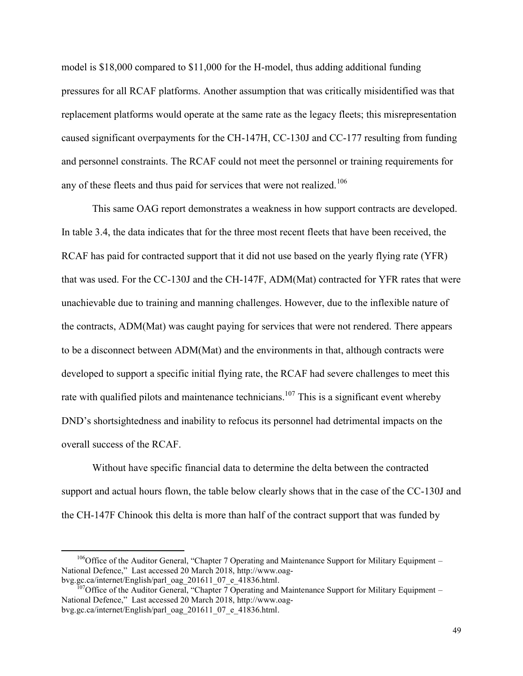model is \$18,000 compared to \$11,000 for the H-model, thus adding additional funding pressures for all RCAF platforms. Another assumption that was critically misidentified was that replacement platforms would operate at the same rate as the legacy fleets; this misrepresentation caused significant overpayments for the CH-147H, CC-130J and CC-177 resulting from funding and personnel constraints. The RCAF could not meet the personnel or training requirements for any of these fleets and thus paid for services that were not realized.<sup>106</sup>

This same OAG report demonstrates a weakness in how support contracts are developed. In table 3.4, the data indicates that for the three most recent fleets that have been received, the RCAF has paid for contracted support that it did not use based on the yearly flying rate (YFR) that was used. For the CC-130J and the CH-147F, ADM(Mat) contracted for YFR rates that were unachievable due to training and manning challenges. However, due to the inflexible nature of the contracts, ADM(Mat) was caught paying for services that were not rendered. There appears to be a disconnect between ADM(Mat) and the environments in that, although contracts were developed to support a specific initial flying rate, the RCAF had severe challenges to meet this rate with qualified pilots and maintenance technicians.<sup>107</sup> This is a significant event whereby DND's shortsightedness and inability to refocus its personnel had detrimental impacts on the overall success of the RCAF.

Without have specific financial data to determine the delta between the contracted support and actual hours flown, the table below clearly shows that in the case of the CC-130J and the CH-147F Chinook this delta is more than half of the contract support that was funded by

<sup>&</sup>lt;sup>106</sup>Office of the Auditor General, "Chapter 7 Operating and Maintenance Support for Military Equipment – National Defence," Last accessed 20 March 2018, http://www.oagbvg.gc.ca/internet/English/parl\_oag\_201611\_07\_e\_41836.html.

<sup>&</sup>lt;sup>07</sup>Office of the Auditor General, "Chapter  $\overline{7}$  Operating and Maintenance Support for Military Equipment – National Defence," Last accessed 20 March 2018, http://www.oagbvg.gc.ca/internet/English/parl\_oag\_201611\_07\_e\_41836.html.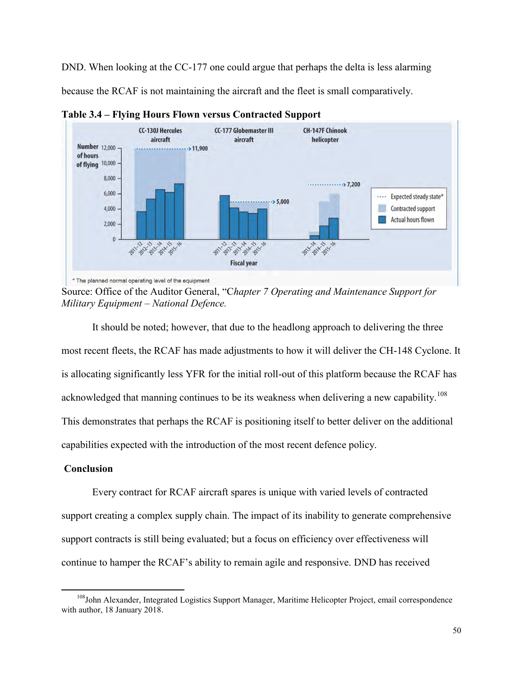DND. When looking at the CC-177 one could argue that perhaps the delta is less alarming because the RCAF is not maintaining the aircraft and the fleet is small comparatively.



**Table 3.4 – Flying Hours Flown versus Contracted Support**

Source: Office of the Auditor General, "C*hapter 7 Operating and Maintenance Support for Military Equipment – National Defence.* 

 It should be noted; however, that due to the headlong approach to delivering the three most recent fleets, the RCAF has made adjustments to how it will deliver the CH-148 Cyclone. It is allocating significantly less YFR for the initial roll-out of this platform because the RCAF has acknowledged that manning continues to be its weakness when delivering a new capability.<sup>108</sup> This demonstrates that perhaps the RCAF is positioning itself to better deliver on the additional capabilities expected with the introduction of the most recent defence policy.

### **Conclusion**

 $\overline{a}$ 

Every contract for RCAF aircraft spares is unique with varied levels of contracted support creating a complex supply chain. The impact of its inability to generate comprehensive support contracts is still being evaluated; but a focus on efficiency over effectiveness will continue to hamper the RCAF's ability to remain agile and responsive. DND has received

<sup>&</sup>lt;sup>108</sup>John Alexander, Integrated Logistics Support Manager, Maritime Helicopter Project, email correspondence with author, 18 January 2018.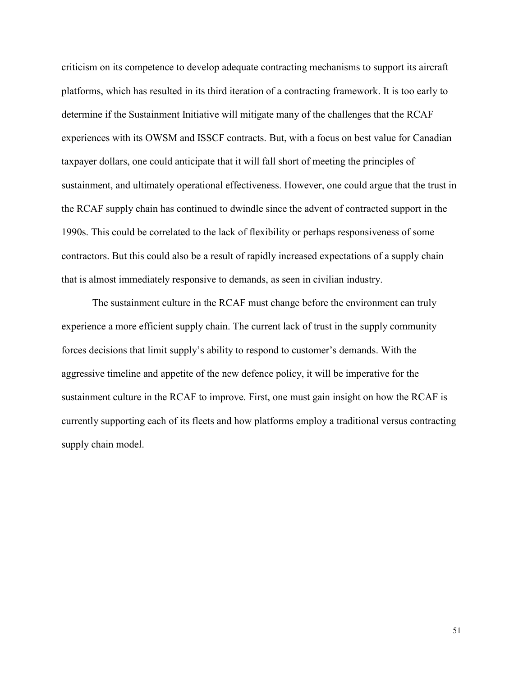criticism on its competence to develop adequate contracting mechanisms to support its aircraft platforms, which has resulted in its third iteration of a contracting framework. It is too early to determine if the Sustainment Initiative will mitigate many of the challenges that the RCAF experiences with its OWSM and ISSCF contracts. But, with a focus on best value for Canadian taxpayer dollars, one could anticipate that it will fall short of meeting the principles of sustainment, and ultimately operational effectiveness. However, one could argue that the trust in the RCAF supply chain has continued to dwindle since the advent of contracted support in the 1990s. This could be correlated to the lack of flexibility or perhaps responsiveness of some contractors. But this could also be a result of rapidly increased expectations of a supply chain that is almost immediately responsive to demands, as seen in civilian industry.

The sustainment culture in the RCAF must change before the environment can truly experience a more efficient supply chain. The current lack of trust in the supply community forces decisions that limit supply's ability to respond to customer's demands. With the aggressive timeline and appetite of the new defence policy, it will be imperative for the sustainment culture in the RCAF to improve. First, one must gain insight on how the RCAF is currently supporting each of its fleets and how platforms employ a traditional versus contracting supply chain model.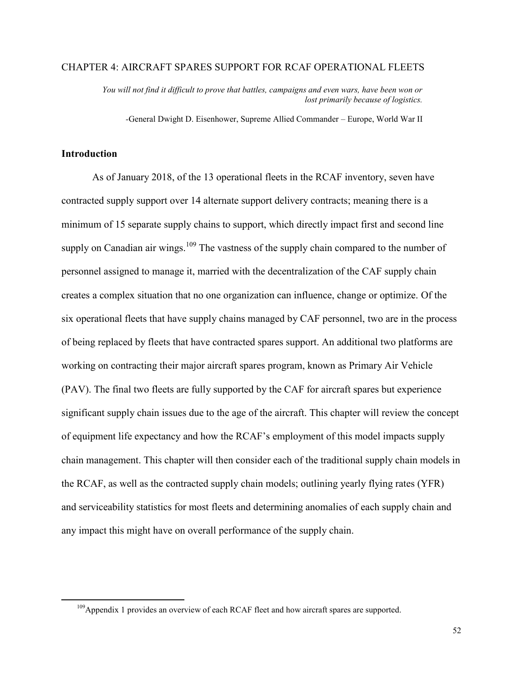### CHAPTER 4: AIRCRAFT SPARES SUPPORT FOR RCAF OPERATIONAL FLEETS

*You will not find it difficult to prove that battles, campaigns and even wars, have been won or lost primarily because of logistics.* 

*-*General Dwight D. Eisenhower, Supreme Allied Commander – Europe, World War II

#### **Introduction**

 $\overline{a}$ 

As of January 2018, of the 13 operational fleets in the RCAF inventory, seven have contracted supply support over 14 alternate support delivery contracts; meaning there is a minimum of 15 separate supply chains to support, which directly impact first and second line supply on Canadian air wings.<sup>109</sup> The vastness of the supply chain compared to the number of personnel assigned to manage it, married with the decentralization of the CAF supply chain creates a complex situation that no one organization can influence, change or optimize. Of the six operational fleets that have supply chains managed by CAF personnel, two are in the process of being replaced by fleets that have contracted spares support. An additional two platforms are working on contracting their major aircraft spares program, known as Primary Air Vehicle (PAV). The final two fleets are fully supported by the CAF for aircraft spares but experience significant supply chain issues due to the age of the aircraft. This chapter will review the concept of equipment life expectancy and how the RCAF's employment of this model impacts supply chain management. This chapter will then consider each of the traditional supply chain models in the RCAF, as well as the contracted supply chain models; outlining yearly flying rates (YFR) and serviceability statistics for most fleets and determining anomalies of each supply chain and any impact this might have on overall performance of the supply chain.

<sup>&</sup>lt;sup>109</sup>Appendix 1 provides an overview of each RCAF fleet and how aircraft spares are supported.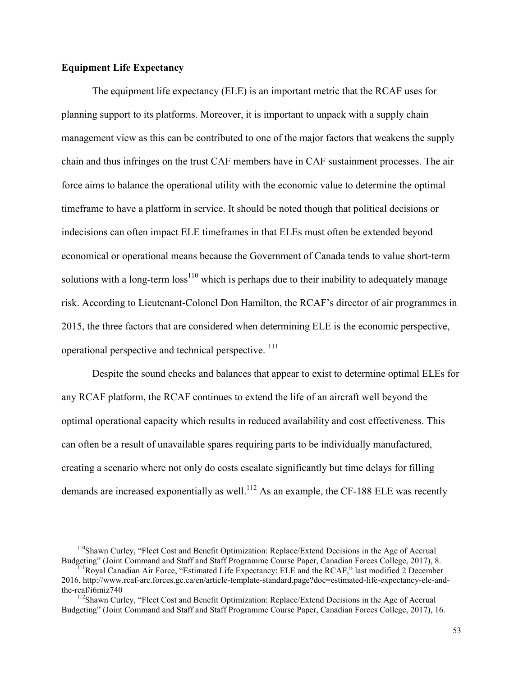# **Equipment Life Expectancy**

 $\overline{a}$ 

The equipment life expectancy (ELE) is an important metric that the RCAF uses for planning support to its platforms. Moreover, it is important to unpack with a supply chain management view as this can be contributed to one of the major factors that weakens the supply chain and thus infringes on the trust CAF members have in CAF sustainment processes. The air force aims to balance the operational utility with the economic value to determine the optimal timeframe to have a platform in service. It should be noted though that political decisions or indecisions can often impact ELE timeframes in that ELEs must often be extended beyond economical or operational means because the Government of Canada tends to value short-term solutions with a long-term  $loss<sup>110</sup>$  which is perhaps due to their inability to adequately manage risk. According to Lieutenant-Colonel Don Hamilton, the RCAF's director of air programmes in 2015, the three factors that are considered when determining ELE is the economic perspective, operational perspective and technical perspective. <sup>111</sup>

Despite the sound checks and balances that appear to exist to determine optimal ELEs for any RCAF platform, the RCAF continues to extend the life of an aircraft well beyond the optimal operational capacity which results in reduced availability and cost effectiveness. This can often be a result of unavailable spares requiring parts to be individually manufactured, creating a scenario where not only do costs escalate significantly but time delays for filling demands are increased exponentially as well.<sup>112</sup> As an example, the CF-188 ELE was recently

<sup>&</sup>lt;sup>110</sup>Shawn Curley, "Fleet Cost and Benefit Optimization: Replace/Extend Decisions in the Age of Accrual Budgeting" (Joint Command and Staff and Staff Programme Course Paper, Canadian Forces College, 2017), 8.

 $<sup>11</sup>$ Royal Canadian Air Force, "Estimated Life Expectancy: ELE and the RCAF," last modified 2 December</sup> 2016, http://www.rcaf-arc.forces.gc.ca/en/article-template-standard.page?doc=estimated-life-expectancy-ele-andthe-rcaf/i6miz740

<sup>&</sup>lt;sup>112</sup>Shawn Curley, "Fleet Cost and Benefit Optimization: Replace/Extend Decisions in the Age of Accrual Budgeting" (Joint Command and Staff and Staff Programme Course Paper, Canadian Forces College, 2017), 16.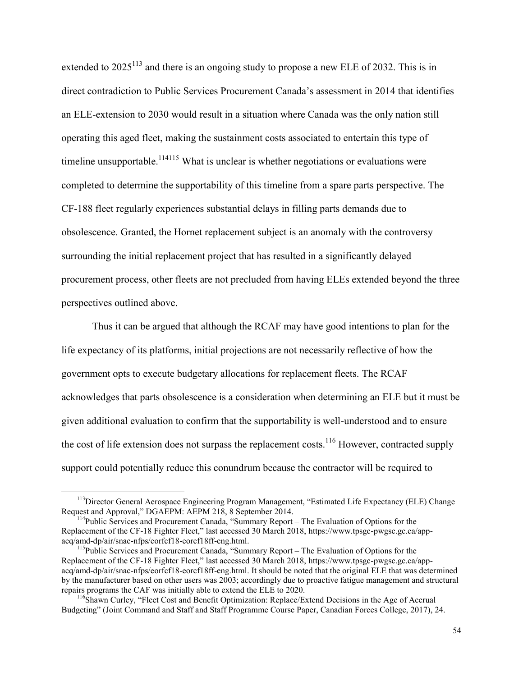extended to  $2025^{113}$  and there is an ongoing study to propose a new ELE of 2032. This is in direct contradiction to Public Services Procurement Canada's assessment in 2014 that identifies an ELE-extension to 2030 would result in a situation where Canada was the only nation still operating this aged fleet, making the sustainment costs associated to entertain this type of timeline unsupportable.<sup>114115</sup> What is unclear is whether negotiations or evaluations were completed to determine the supportability of this timeline from a spare parts perspective. The CF-188 fleet regularly experiences substantial delays in filling parts demands due to obsolescence. Granted, the Hornet replacement subject is an anomaly with the controversy surrounding the initial replacement project that has resulted in a significantly delayed procurement process, other fleets are not precluded from having ELEs extended beyond the three perspectives outlined above.

Thus it can be argued that although the RCAF may have good intentions to plan for the life expectancy of its platforms, initial projections are not necessarily reflective of how the government opts to execute budgetary allocations for replacement fleets. The RCAF acknowledges that parts obsolescence is a consideration when determining an ELE but it must be given additional evaluation to confirm that the supportability is well-understood and to ensure the cost of life extension does not surpass the replacement costs.<sup>116</sup> However, contracted supply support could potentially reduce this conundrum because the contractor will be required to

<sup>&</sup>lt;sup>113</sup>Director General Aerospace Engineering Program Management, "Estimated Life Expectancy (ELE) Change Request and Approval," DGAEPM: AEPM 218, 8 September 2014.

<sup>&</sup>lt;sup>114</sup>Public Services and Procurement Canada, "Summary Report – The Evaluation of Options for the Replacement of the CF-18 Fighter Fleet," last accessed 30 March 2018, https://www.tpsgc-pwgsc.gc.ca/appacq/amd-dp/air/snac-nfps/eorfcf18-eorcf18ff-eng.html.

<sup>&</sup>lt;sup>115</sup>Public Services and Procurement Canada, "Summary Report – The Evaluation of Options for the Replacement of the CF-18 Fighter Fleet," last accessed 30 March 2018, https://www.tpsgc-pwgsc.gc.ca/appacq/amd-dp/air/snac-nfps/eorfcf18-eorcf18ff-eng.html. It should be noted that the original ELE that was determined by the manufacturer based on other users was 2003; accordingly due to proactive fatigue management and structural repairs programs the CAF was initially able to extend the ELE to 2020.

<sup>116</sup>Shawn Curley, "Fleet Cost and Benefit Optimization: Replace/Extend Decisions in the Age of Accrual Budgeting" (Joint Command and Staff and Staff Programme Course Paper, Canadian Forces College, 2017), 24.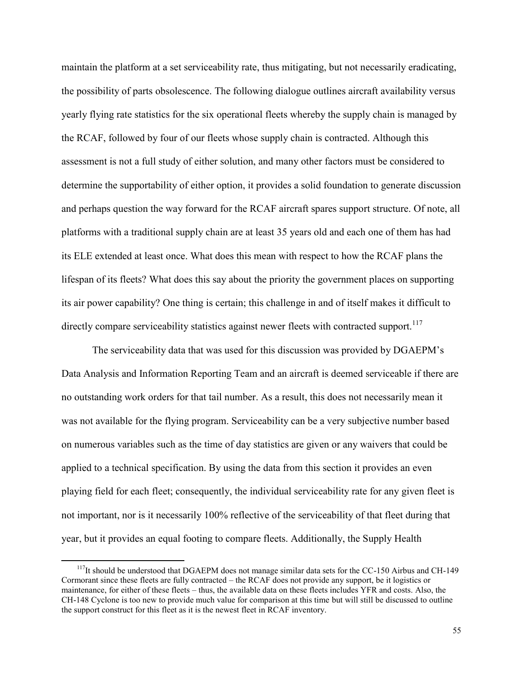maintain the platform at a set serviceability rate, thus mitigating, but not necessarily eradicating, the possibility of parts obsolescence. The following dialogue outlines aircraft availability versus yearly flying rate statistics for the six operational fleets whereby the supply chain is managed by the RCAF, followed by four of our fleets whose supply chain is contracted. Although this assessment is not a full study of either solution, and many other factors must be considered to determine the supportability of either option, it provides a solid foundation to generate discussion and perhaps question the way forward for the RCAF aircraft spares support structure. Of note, all platforms with a traditional supply chain are at least 35 years old and each one of them has had its ELE extended at least once. What does this mean with respect to how the RCAF plans the lifespan of its fleets? What does this say about the priority the government places on supporting its air power capability? One thing is certain; this challenge in and of itself makes it difficult to directly compare serviceability statistics against newer fleets with contracted support.<sup>117</sup>

The serviceability data that was used for this discussion was provided by DGAEPM's Data Analysis and Information Reporting Team and an aircraft is deemed serviceable if there are no outstanding work orders for that tail number. As a result, this does not necessarily mean it was not available for the flying program. Serviceability can be a very subjective number based on numerous variables such as the time of day statistics are given or any waivers that could be applied to a technical specification. By using the data from this section it provides an even playing field for each fleet; consequently, the individual serviceability rate for any given fleet is not important, nor is it necessarily 100% reflective of the serviceability of that fleet during that year, but it provides an equal footing to compare fleets. Additionally, the Supply Health

<sup>&</sup>lt;sup>117</sup>It should be understood that DGAEPM does not manage similar data sets for the CC-150 Airbus and CH-149 Cormorant since these fleets are fully contracted – the RCAF does not provide any support, be it logistics or maintenance, for either of these fleets – thus, the available data on these fleets includes YFR and costs. Also, the CH-148 Cyclone is too new to provide much value for comparison at this time but will still be discussed to outline the support construct for this fleet as it is the newest fleet in RCAF inventory.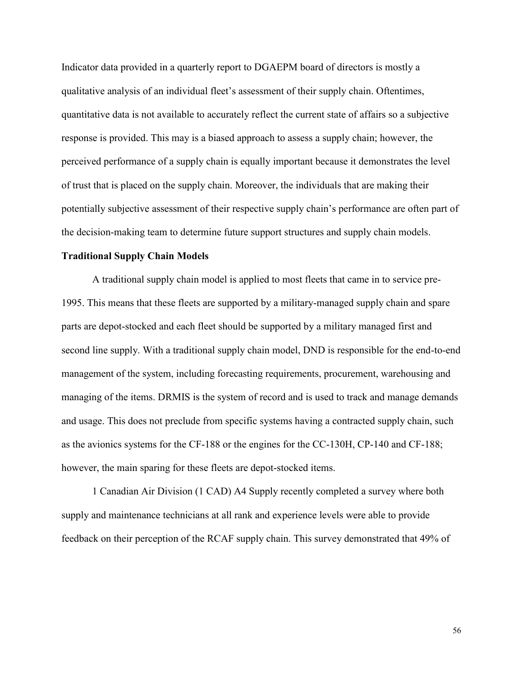Indicator data provided in a quarterly report to DGAEPM board of directors is mostly a qualitative analysis of an individual fleet's assessment of their supply chain. Oftentimes, quantitative data is not available to accurately reflect the current state of affairs so a subjective response is provided. This may is a biased approach to assess a supply chain; however, the perceived performance of a supply chain is equally important because it demonstrates the level of trust that is placed on the supply chain. Moreover, the individuals that are making their potentially subjective assessment of their respective supply chain's performance are often part of the decision-making team to determine future support structures and supply chain models.

#### **Traditional Supply Chain Models**

A traditional supply chain model is applied to most fleets that came in to service pre-1995. This means that these fleets are supported by a military-managed supply chain and spare parts are depot-stocked and each fleet should be supported by a military managed first and second line supply. With a traditional supply chain model, DND is responsible for the end-to-end management of the system, including forecasting requirements, procurement, warehousing and managing of the items. DRMIS is the system of record and is used to track and manage demands and usage. This does not preclude from specific systems having a contracted supply chain, such as the avionics systems for the CF-188 or the engines for the CC-130H, CP-140 and CF-188; however, the main sparing for these fleets are depot-stocked items.

1 Canadian Air Division (1 CAD) A4 Supply recently completed a survey where both supply and maintenance technicians at all rank and experience levels were able to provide feedback on their perception of the RCAF supply chain. This survey demonstrated that 49% of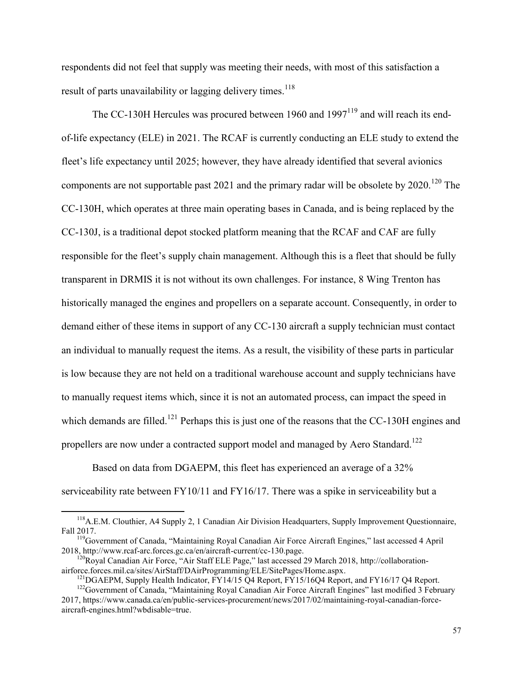respondents did not feel that supply was meeting their needs, with most of this satisfaction a result of parts unavailability or lagging delivery times.<sup>118</sup>

The CC-130H Hercules was procured between 1960 and  $1997<sup>119</sup>$  and will reach its endof-life expectancy (ELE) in 2021. The RCAF is currently conducting an ELE study to extend the fleet's life expectancy until 2025; however, they have already identified that several avionics components are not supportable past 2021 and the primary radar will be obsolete by  $2020$ .<sup>120</sup> The CC-130H, which operates at three main operating bases in Canada, and is being replaced by the CC-130J, is a traditional depot stocked platform meaning that the RCAF and CAF are fully responsible for the fleet's supply chain management. Although this is a fleet that should be fully transparent in DRMIS it is not without its own challenges. For instance, 8 Wing Trenton has historically managed the engines and propellers on a separate account. Consequently, in order to demand either of these items in support of any CC-130 aircraft a supply technician must contact an individual to manually request the items. As a result, the visibility of these parts in particular is low because they are not held on a traditional warehouse account and supply technicians have to manually request items which, since it is not an automated process, can impact the speed in which demands are filled.<sup>121</sup> Perhaps this is just one of the reasons that the CC-130H engines and propellers are now under a contracted support model and managed by Aero Standard.<sup>122</sup>

 Based on data from DGAEPM, this fleet has experienced an average of a 32% serviceability rate between FY10/11 and FY16/17. There was a spike in serviceability but a

<sup>&</sup>lt;sup>118</sup>A.E.M. Clouthier, A4 Supply 2, 1 Canadian Air Division Headquarters, Supply Improvement Questionnaire, Fall 2017.

<sup>119</sup>Government of Canada, "Maintaining Royal Canadian Air Force Aircraft Engines," last accessed 4 April 2018, http://www.rcaf-arc.forces.gc.ca/en/aircraft-current/cc-130.page.

 $120$ Royal Canadian Air Force, "Air Staff ELE Page," last accessed 29 March 2018, http://collaborationairforce.forces.mil.ca/sites/AirStaff/DAirProgramming/ELE/SitePages/Home.aspx.

<sup>&</sup>lt;sup>121</sup>DGAEPM, Supply Health Indicator, FY14/15 Q4 Report, FY15/16Q4 Report, and FY16/17 Q4 Report.

<sup>&</sup>lt;sup>122</sup>Government of Canada, "Maintaining Royal Canadian Air Force Aircraft Engines" last modified 3 February 2017, https://www.canada.ca/en/public-services-procurement/news/2017/02/maintaining-royal-canadian-forceaircraft-engines.html?wbdisable=true.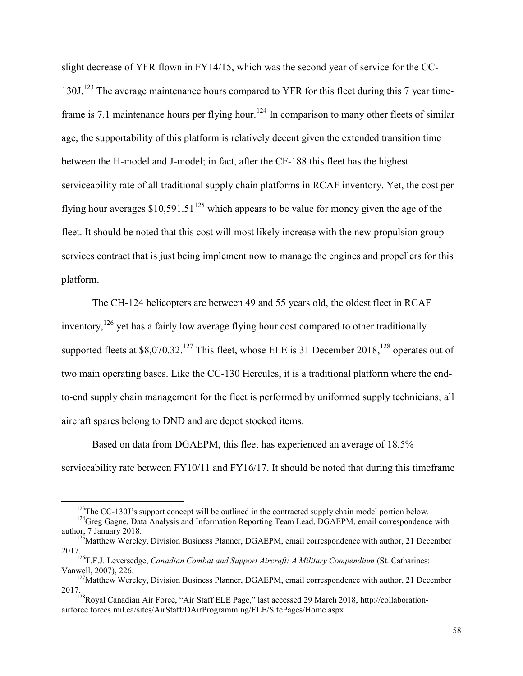slight decrease of YFR flown in FY14/15, which was the second year of service for the CC-130J.<sup>123</sup> The average maintenance hours compared to YFR for this fleet during this 7 year timeframe is 7.1 maintenance hours per flying hour.<sup>124</sup> In comparison to many other fleets of similar age, the supportability of this platform is relatively decent given the extended transition time between the H-model and J-model; in fact, after the CF-188 this fleet has the highest serviceability rate of all traditional supply chain platforms in RCAF inventory. Yet, the cost per flying hour averages  $$10,591.51<sup>125</sup>$  which appears to be value for money given the age of the fleet. It should be noted that this cost will most likely increase with the new propulsion group services contract that is just being implement now to manage the engines and propellers for this platform.

The CH-124 helicopters are between 49 and 55 years old, the oldest fleet in RCAF inventory,<sup>126</sup> yet has a fairly low average flying hour cost compared to other traditionally supported fleets at  $$8,070.32$ .<sup>127</sup> This fleet, whose ELE is 31 December 2018,<sup>128</sup> operates out of two main operating bases. Like the CC-130 Hercules, it is a traditional platform where the endto-end supply chain management for the fleet is performed by uniformed supply technicians; all aircraft spares belong to DND and are depot stocked items.

Based on data from DGAEPM, this fleet has experienced an average of 18.5% serviceability rate between FY10/11 and FY16/17. It should be noted that during this timeframe

<sup>&</sup>lt;sup>123</sup>The CC-130J's support concept will be outlined in the contracted supply chain model portion below.

<sup>&</sup>lt;sup>124</sup>Greg Gagne, Data Analysis and Information Reporting Team Lead, DGAEPM, email correspondence with author, 7 January 2018.

<sup>&</sup>lt;sup>125</sup>Matthew Wereley, Division Business Planner, DGAEPM, email correspondence with author, 21 December 2017.

<sup>126</sup>T.F.J. Leversedge, *Canadian Combat and Support Aircraft: A Military Compendium* (St. Catharines: Vanwell, 2007), 226.

<sup>&</sup>lt;sup>127</sup>Matthew Wereley, Division Business Planner, DGAEPM, email correspondence with author, 21 December 2017.

<sup>&</sup>lt;sup>128</sup>Royal Canadian Air Force, "Air Staff ELE Page," last accessed 29 March 2018, http://collaborationairforce.forces.mil.ca/sites/AirStaff/DAirProgramming/ELE/SitePages/Home.aspx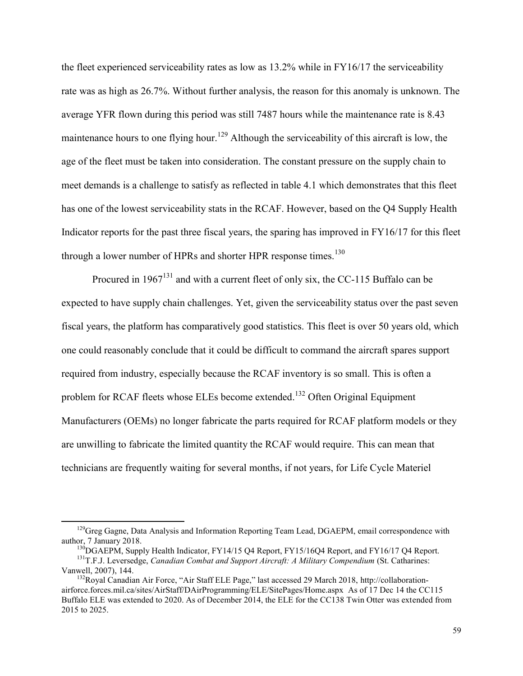the fleet experienced serviceability rates as low as 13.2% while in FY16/17 the serviceability rate was as high as 26.7%. Without further analysis, the reason for this anomaly is unknown. The average YFR flown during this period was still 7487 hours while the maintenance rate is 8.43 maintenance hours to one flying hour.<sup>129</sup> Although the serviceability of this aircraft is low, the age of the fleet must be taken into consideration. The constant pressure on the supply chain to meet demands is a challenge to satisfy as reflected in table 4.1 which demonstrates that this fleet has one of the lowest serviceability stats in the RCAF. However, based on the Q4 Supply Health Indicator reports for the past three fiscal years, the sparing has improved in FY16/17 for this fleet through a lower number of HPRs and shorter HPR response times.<sup>130</sup>

Procured in  $1967<sup>131</sup>$  and with a current fleet of only six, the CC-115 Buffalo can be expected to have supply chain challenges. Yet, given the serviceability status over the past seven fiscal years, the platform has comparatively good statistics. This fleet is over 50 years old, which one could reasonably conclude that it could be difficult to command the aircraft spares support required from industry, especially because the RCAF inventory is so small. This is often a problem for RCAF fleets whose ELEs become extended.<sup>132</sup> Often Original Equipment Manufacturers (OEMs) no longer fabricate the parts required for RCAF platform models or they are unwilling to fabricate the limited quantity the RCAF would require. This can mean that technicians are frequently waiting for several months, if not years, for Life Cycle Materiel

<sup>&</sup>lt;sup>129</sup>Greg Gagne, Data Analysis and Information Reporting Team Lead, DGAEPM, email correspondence with author, 7 January 2018.

<sup>&</sup>lt;sup>130</sup>DGAEPM, Supply Health Indicator, FY14/15 Q4 Report, FY15/16Q4 Report, and FY16/17 Q4 Report. <sup>131</sup>T.F.J. Leversedge, *Canadian Combat and Support Aircraft: A Military Compendium* (St. Catharines: Vanwell, 2007), 144.

<sup>&</sup>lt;sup>132</sup>Royal Canadian Air Force, "Air Staff ELE Page," last accessed 29 March 2018, http://collaborationairforce.forces.mil.ca/sites/AirStaff/DAirProgramming/ELE/SitePages/Home.aspx As of 17 Dec 14 the CC115 Buffalo ELE was extended to 2020. As of December 2014, the ELE for the CC138 Twin Otter was extended from 2015 to 2025.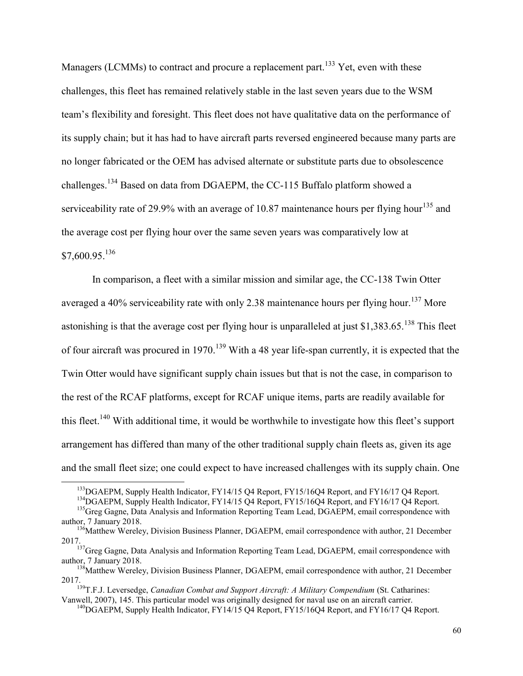Managers (LCMMs) to contract and procure a replacement part.<sup>133</sup> Yet, even with these challenges, this fleet has remained relatively stable in the last seven years due to the WSM team's flexibility and foresight. This fleet does not have qualitative data on the performance of its supply chain; but it has had to have aircraft parts reversed engineered because many parts are no longer fabricated or the OEM has advised alternate or substitute parts due to obsolescence challenges.<sup>134</sup> Based on data from DGAEPM, the CC-115 Buffalo platform showed a serviceability rate of 29.9% with an average of 10.87 maintenance hours per flying hour<sup>135</sup> and the average cost per flying hour over the same seven years was comparatively low at  $$7,600.95$ <sup>136</sup>

In comparison, a fleet with a similar mission and similar age, the CC-138 Twin Otter averaged a 40% serviceability rate with only 2.38 maintenance hours per flying hour.<sup>137</sup> More astonishing is that the average cost per flying hour is unparalleled at just \$1,383.65.<sup>138</sup> This fleet of four aircraft was procured in 1970.<sup>139</sup> With a 48 year life-span currently, it is expected that the Twin Otter would have significant supply chain issues but that is not the case, in comparison to the rest of the RCAF platforms, except for RCAF unique items, parts are readily available for this fleet.<sup>140</sup> With additional time, it would be worthwhile to investigate how this fleet's support arrangement has differed than many of the other traditional supply chain fleets as, given its age and the small fleet size; one could expect to have increased challenges with its supply chain. One

<sup>&</sup>lt;sup>133</sup>DGAEPM, Supply Health Indicator, FY14/15 Q4 Report, FY15/16Q4 Report, and FY16/17 Q4 Report.

<sup>&</sup>lt;sup>134</sup>DGAEPM, Supply Health Indicator, FY14/15 Q4 Report, FY15/16Q4 Report, and FY16/17 Q4 Report.

<sup>&</sup>lt;sup>135</sup>Greg Gagne, Data Analysis and Information Reporting Team Lead, DGAEPM, email correspondence with author, 7 January 2018.

<sup>&</sup>lt;sup>136</sup>Matthew Wereley, Division Business Planner, DGAEPM, email correspondence with author, 21 December 2017.

<sup>&</sup>lt;sup>137</sup>Greg Gagne, Data Analysis and Information Reporting Team Lead, DGAEPM, email correspondence with author, 7 January 2018.

<sup>&</sup>lt;sup>138</sup>Matthew Wereley, Division Business Planner, DGAEPM, email correspondence with author, 21 December 2017.

<sup>139</sup>T.F.J. Leversedge, *Canadian Combat and Support Aircraft: A Military Compendium* (St. Catharines: Vanwell, 2007), 145. This particular model was originally designed for naval use on an aircraft carrier.

<sup>&</sup>lt;sup>140</sup>DGAEPM, Supply Health Indicator, FY14/15 Q4 Report, FY15/16Q4 Report, and FY16/17 Q4 Report.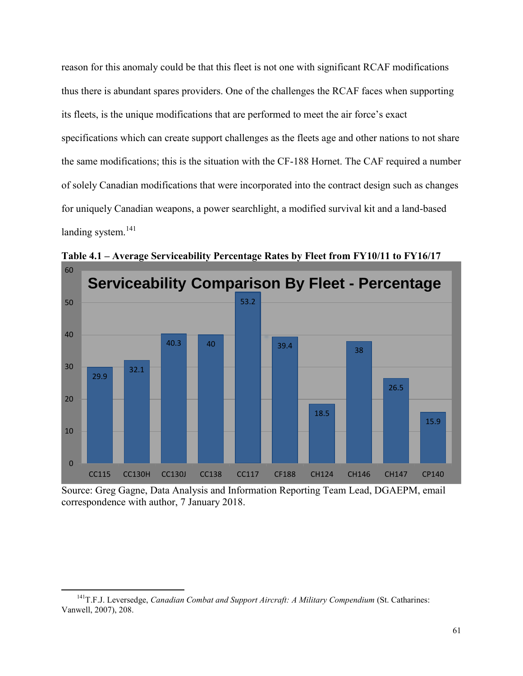reason for this anomaly could be that this fleet is not one with significant RCAF modifications thus there is abundant spares providers. One of the challenges the RCAF faces when supporting its fleets, is the unique modifications that are performed to meet the air force's exact specifications which can create support challenges as the fleets age and other nations to not share the same modifications; this is the situation with the CF-188 Hornet. The CAF required a number of solely Canadian modifications that were incorporated into the contract design such as changes for uniquely Canadian weapons, a power searchlight, a modified survival kit and a land-based landing system.<sup>141</sup>



**Table 4.1 – Average Serviceability Percentage Rates by Fleet from FY10/11 to FY16/17** 

Source: Greg Gagne, Data Analysis and Information Reporting Team Lead, DGAEPM, email correspondence with author, 7 January 2018.

<sup>141</sup>T.F.J. Leversedge, *Canadian Combat and Support Aircraft: A Military Compendium* (St. Catharines: Vanwell, 2007), 208.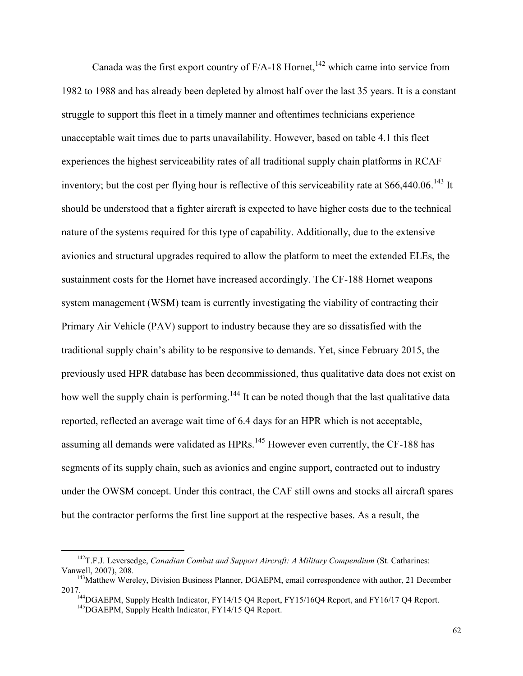Canada was the first export country of  $F/A-18$  Hornet,<sup>142</sup> which came into service from 1982 to 1988 and has already been depleted by almost half over the last 35 years. It is a constant struggle to support this fleet in a timely manner and oftentimes technicians experience unacceptable wait times due to parts unavailability. However, based on table 4.1 this fleet experiences the highest serviceability rates of all traditional supply chain platforms in RCAF inventory; but the cost per flying hour is reflective of this serviceability rate at \$66,440.06.<sup>143</sup> It should be understood that a fighter aircraft is expected to have higher costs due to the technical nature of the systems required for this type of capability. Additionally, due to the extensive avionics and structural upgrades required to allow the platform to meet the extended ELEs, the sustainment costs for the Hornet have increased accordingly. The CF-188 Hornet weapons system management (WSM) team is currently investigating the viability of contracting their Primary Air Vehicle (PAV) support to industry because they are so dissatisfied with the traditional supply chain's ability to be responsive to demands. Yet, since February 2015, the previously used HPR database has been decommissioned, thus qualitative data does not exist on how well the supply chain is performing.<sup>144</sup> It can be noted though that the last qualitative data reported, reflected an average wait time of 6.4 days for an HPR which is not acceptable, assuming all demands were validated as HPRs.<sup>145</sup> However even currently, the CF-188 has segments of its supply chain, such as avionics and engine support, contracted out to industry under the OWSM concept. Under this contract, the CAF still owns and stocks all aircraft spares but the contractor performs the first line support at the respective bases. As a result, the

<sup>142</sup>T.F.J. Leversedge, *Canadian Combat and Support Aircraft: A Military Compendium* (St. Catharines: Vanwell, 2007), 208.

<sup>&</sup>lt;sup>143</sup>Matthew Wereley, Division Business Planner, DGAEPM, email correspondence with author, 21 December 2017.

<sup>&</sup>lt;sup>144</sup>DGAEPM, Supply Health Indicator, FY14/15 Q4 Report, FY15/16Q4 Report, and FY16/17 Q4 Report. <sup>145</sup>DGAEPM, Supply Health Indicator, FY14/15 Q4 Report.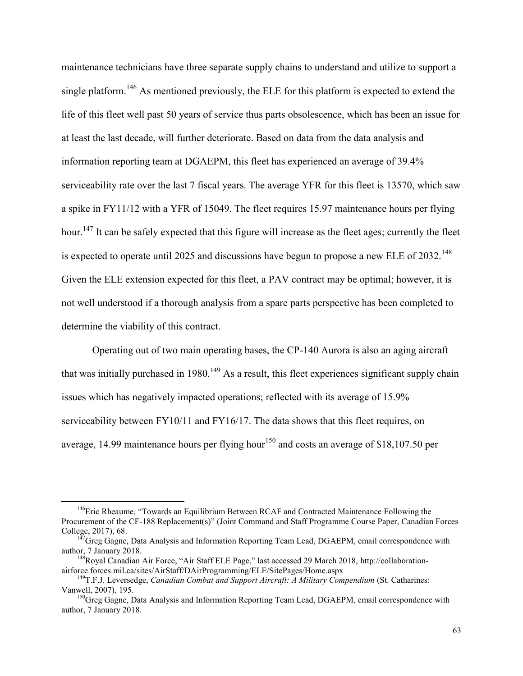maintenance technicians have three separate supply chains to understand and utilize to support a single platform.<sup>146</sup> As mentioned previously, the ELE for this platform is expected to extend the life of this fleet well past 50 years of service thus parts obsolescence, which has been an issue for at least the last decade, will further deteriorate. Based on data from the data analysis and information reporting team at DGAEPM, this fleet has experienced an average of 39.4% serviceability rate over the last 7 fiscal years. The average YFR for this fleet is 13570, which saw a spike in FY11/12 with a YFR of 15049. The fleet requires 15.97 maintenance hours per flying hour.<sup>147</sup> It can be safely expected that this figure will increase as the fleet ages; currently the fleet is expected to operate until 2025 and discussions have begun to propose a new ELE of  $2032$ <sup>148</sup> Given the ELE extension expected for this fleet, a PAV contract may be optimal; however, it is not well understood if a thorough analysis from a spare parts perspective has been completed to determine the viability of this contract.

Operating out of two main operating bases, the CP-140 Aurora is also an aging aircraft that was initially purchased in 1980.<sup>149</sup> As a result, this fleet experiences significant supply chain issues which has negatively impacted operations; reflected with its average of 15.9% serviceability between FY10/11 and FY16/17. The data shows that this fleet requires, on average, 14.99 maintenance hours per flying hour<sup>150</sup> and costs an average of \$18,107.50 per

<sup>&</sup>lt;sup>146</sup>Eric Rheaume, "Towards an Equilibrium Between RCAF and Contracted Maintenance Following the Procurement of the CF-188 Replacement(s)" (Joint Command and Staff Programme Course Paper, Canadian Forces College, 2017), 68.

 $147G$ reg Gagne, Data Analysis and Information Reporting Team Lead, DGAEPM, email correspondence with author, 7 January 2018.

<sup>&</sup>lt;sup>148</sup>Royal Canadian Air Force, "Air Staff ELE Page," last accessed 29 March 2018, http://collaborationairforce.forces.mil.ca/sites/AirStaff/DAirProgramming/ELE/SitePages/Home.aspx

<sup>149</sup>T.F.J. Leversedge, *Canadian Combat and Support Aircraft: A Military Compendium* (St. Catharines: Vanwell, 2007), 195.

<sup>&</sup>lt;sup>150</sup>Greg Gagne, Data Analysis and Information Reporting Team Lead, DGAEPM, email correspondence with author, 7 January 2018.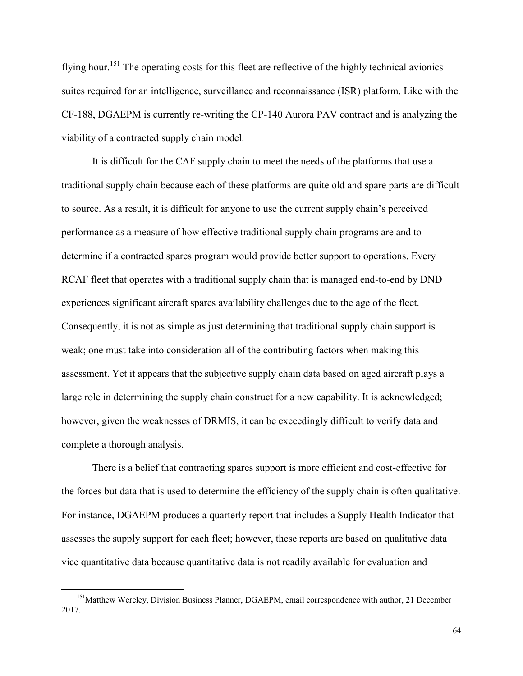flying hour.<sup>151</sup> The operating costs for this fleet are reflective of the highly technical avionics suites required for an intelligence, surveillance and reconnaissance (ISR) platform. Like with the CF-188, DGAEPM is currently re-writing the CP-140 Aurora PAV contract and is analyzing the viability of a contracted supply chain model.

It is difficult for the CAF supply chain to meet the needs of the platforms that use a traditional supply chain because each of these platforms are quite old and spare parts are difficult to source. As a result, it is difficult for anyone to use the current supply chain's perceived performance as a measure of how effective traditional supply chain programs are and to determine if a contracted spares program would provide better support to operations. Every RCAF fleet that operates with a traditional supply chain that is managed end-to-end by DND experiences significant aircraft spares availability challenges due to the age of the fleet. Consequently, it is not as simple as just determining that traditional supply chain support is weak; one must take into consideration all of the contributing factors when making this assessment. Yet it appears that the subjective supply chain data based on aged aircraft plays a large role in determining the supply chain construct for a new capability. It is acknowledged; however, given the weaknesses of DRMIS, it can be exceedingly difficult to verify data and complete a thorough analysis.

There is a belief that contracting spares support is more efficient and cost-effective for the forces but data that is used to determine the efficiency of the supply chain is often qualitative. For instance, DGAEPM produces a quarterly report that includes a Supply Health Indicator that assesses the supply support for each fleet; however, these reports are based on qualitative data vice quantitative data because quantitative data is not readily available for evaluation and

<sup>&</sup>lt;sup>151</sup>Matthew Wereley, Division Business Planner, DGAEPM, email correspondence with author, 21 December 2017.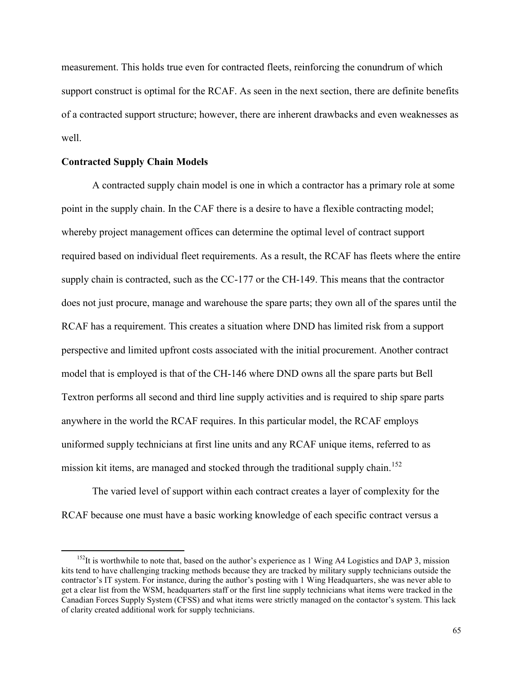measurement. This holds true even for contracted fleets, reinforcing the conundrum of which support construct is optimal for the RCAF. As seen in the next section, there are definite benefits of a contracted support structure; however, there are inherent drawbacks and even weaknesses as well.

#### **Contracted Supply Chain Models**

 $\overline{a}$ 

A contracted supply chain model is one in which a contractor has a primary role at some point in the supply chain. In the CAF there is a desire to have a flexible contracting model; whereby project management offices can determine the optimal level of contract support required based on individual fleet requirements. As a result, the RCAF has fleets where the entire supply chain is contracted, such as the CC-177 or the CH-149. This means that the contractor does not just procure, manage and warehouse the spare parts; they own all of the spares until the RCAF has a requirement. This creates a situation where DND has limited risk from a support perspective and limited upfront costs associated with the initial procurement. Another contract model that is employed is that of the CH-146 where DND owns all the spare parts but Bell Textron performs all second and third line supply activities and is required to ship spare parts anywhere in the world the RCAF requires. In this particular model, the RCAF employs uniformed supply technicians at first line units and any RCAF unique items, referred to as mission kit items, are managed and stocked through the traditional supply chain.<sup>152</sup>

 The varied level of support within each contract creates a layer of complexity for the RCAF because one must have a basic working knowledge of each specific contract versus a

 $152$ It is worthwhile to note that, based on the author's experience as 1 Wing A4 Logistics and DAP 3, mission kits tend to have challenging tracking methods because they are tracked by military supply technicians outside the contractor's IT system. For instance, during the author's posting with 1 Wing Headquarters, she was never able to get a clear list from the WSM, headquarters staff or the first line supply technicians what items were tracked in the Canadian Forces Supply System (CFSS) and what items were strictly managed on the contactor's system. This lack of clarity created additional work for supply technicians.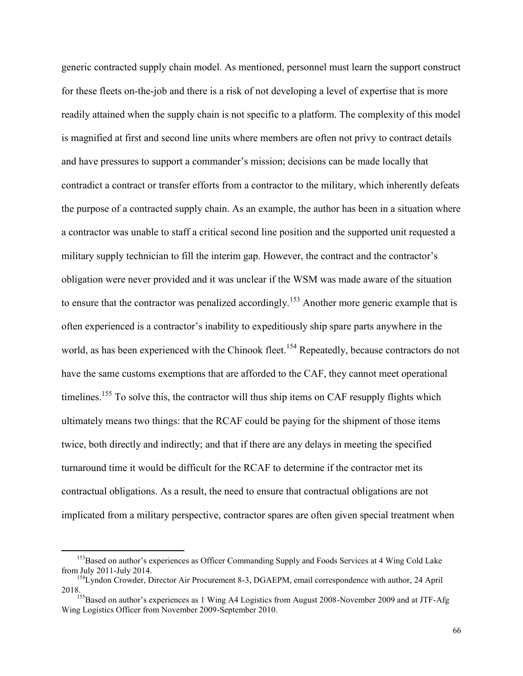generic contracted supply chain model. As mentioned, personnel must learn the support construct for these fleets on-the-job and there is a risk of not developing a level of expertise that is more readily attained when the supply chain is not specific to a platform. The complexity of this model is magnified at first and second line units where members are often not privy to contract details and have pressures to support a commander's mission; decisions can be made locally that contradict a contract or transfer efforts from a contractor to the military, which inherently defeats the purpose of a contracted supply chain. As an example, the author has been in a situation where a contractor was unable to staff a critical second line position and the supported unit requested a military supply technician to fill the interim gap. However, the contract and the contractor's obligation were never provided and it was unclear if the WSM was made aware of the situation to ensure that the contractor was penalized accordingly.<sup>153</sup> Another more generic example that is often experienced is a contractor's inability to expeditiously ship spare parts anywhere in the world, as has been experienced with the Chinook fleet.<sup>154</sup> Repeatedly, because contractors do not have the same customs exemptions that are afforded to the CAF, they cannot meet operational timelines.<sup>155</sup> To solve this, the contractor will thus ship items on CAF resupply flights which ultimately means two things: that the RCAF could be paying for the shipment of those items twice, both directly and indirectly; and that if there are any delays in meeting the specified turnaround time it would be difficult for the RCAF to determine if the contractor met its contractual obligations. As a result, the need to ensure that contractual obligations are not implicated from a military perspective, contractor spares are often given special treatment when

<sup>&</sup>lt;sup>153</sup>Based on author's experiences as Officer Commanding Supply and Foods Services at 4 Wing Cold Lake from July 2011-July 2014.

<sup>&</sup>lt;sup>154</sup>Lyndon Crowder, Director Air Procurement 8-3, DGAEPM, email correspondence with author, 24 April 2018.

<sup>&</sup>lt;sup>155</sup>Based on author's experiences as 1 Wing A4 Logistics from August 2008-November 2009 and at JTF-Afg Wing Logistics Officer from November 2009-September 2010.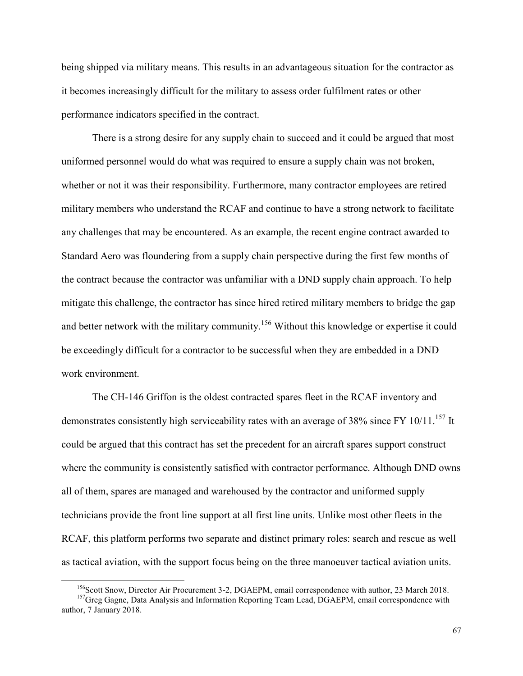being shipped via military means. This results in an advantageous situation for the contractor as it becomes increasingly difficult for the military to assess order fulfilment rates or other performance indicators specified in the contract.

There is a strong desire for any supply chain to succeed and it could be argued that most uniformed personnel would do what was required to ensure a supply chain was not broken, whether or not it was their responsibility. Furthermore, many contractor employees are retired military members who understand the RCAF and continue to have a strong network to facilitate any challenges that may be encountered. As an example, the recent engine contract awarded to Standard Aero was floundering from a supply chain perspective during the first few months of the contract because the contractor was unfamiliar with a DND supply chain approach. To help mitigate this challenge, the contractor has since hired retired military members to bridge the gap and better network with the military community.<sup>156</sup> Without this knowledge or expertise it could be exceedingly difficult for a contractor to be successful when they are embedded in a DND work environment.

 The CH-146 Griffon is the oldest contracted spares fleet in the RCAF inventory and demonstrates consistently high serviceability rates with an average of 38% since FY 10/11.<sup>157</sup> It could be argued that this contract has set the precedent for an aircraft spares support construct where the community is consistently satisfied with contractor performance. Although DND owns all of them, spares are managed and warehoused by the contractor and uniformed supply technicians provide the front line support at all first line units. Unlike most other fleets in the RCAF, this platform performs two separate and distinct primary roles: search and rescue as well as tactical aviation, with the support focus being on the three manoeuver tactical aviation units.

<sup>&</sup>lt;sup>156</sup>Scott Snow, Director Air Procurement 3-2, DGAEPM, email correspondence with author, 23 March 2018.

<sup>&</sup>lt;sup>157</sup>Greg Gagne, Data Analysis and Information Reporting Team Lead, DGAEPM, email correspondence with author, 7 January 2018.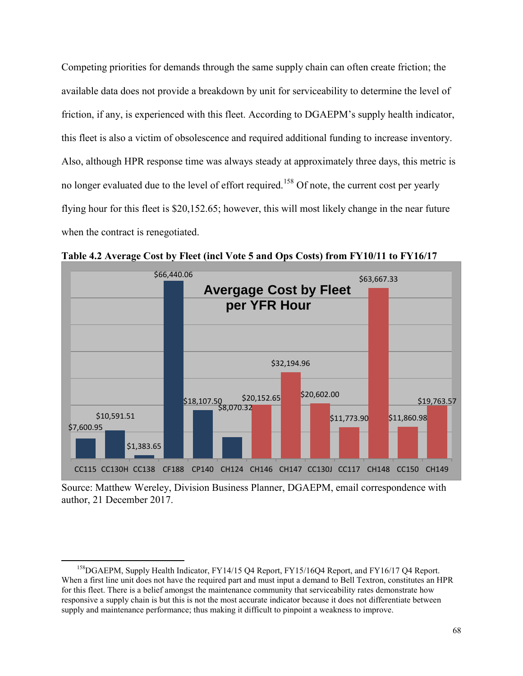Competing priorities for demands through the same supply chain can often create friction; the available data does not provide a breakdown by unit for serviceability to determine the level of friction, if any, is experienced with this fleet. According to DGAEPM's supply health indicator, this fleet is also a victim of obsolescence and required additional funding to increase inventory. Also, although HPR response time was always steady at approximately three days, this metric is no longer evaluated due to the level of effort required.<sup>158</sup> Of note, the current cost per yearly flying hour for this fleet is \$20,152.65; however, this will most likely change in the near future when the contract is renegotiated.



**Table 4.2 Average Cost by Fleet (incl Vote 5 and Ops Costs) from FY10/11 to FY16/17**

Source: Matthew Wereley, Division Business Planner, DGAEPM, email correspondence with author, 21 December 2017.

<sup>&</sup>lt;sup>158</sup>DGAEPM, Supply Health Indicator, FY14/15 Q4 Report, FY15/16Q4 Report, and FY16/17 Q4 Report. When a first line unit does not have the required part and must input a demand to Bell Textron, constitutes an HPR for this fleet. There is a belief amongst the maintenance community that serviceability rates demonstrate how responsive a supply chain is but this is not the most accurate indicator because it does not differentiate between supply and maintenance performance; thus making it difficult to pinpoint a weakness to improve.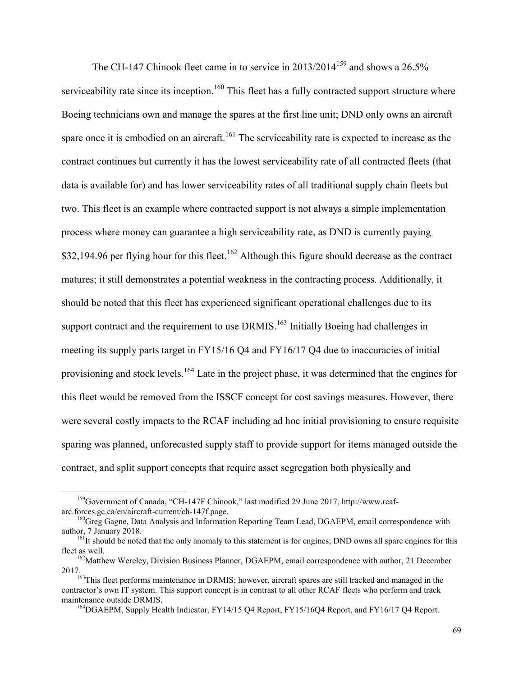The CH-147 Chinook fleet came in to service in  $2013/2014^{159}$  and shows a  $26.5\%$ serviceability rate since its inception.<sup>160</sup> This fleet has a fully contracted support structure where Boeing technicians own and manage the spares at the first line unit; DND only owns an aircraft spare once it is embodied on an aircraft.<sup>161</sup> The serviceability rate is expected to increase as the contract continues but currently it has the lowest serviceability rate of all contracted fleets (that data is available for) and has lower serviceability rates of all traditional supply chain fleets but two. This fleet is an example where contracted support is not always a simple implementation process where money can guarantee a high serviceability rate, as DND is currently paying \$32,194.96 per flying hour for this fleet.<sup>162</sup> Although this figure should decrease as the contract matures; it still demonstrates a potential weakness in the contracting process. Additionally, it should be noted that this fleet has experienced significant operational challenges due to its support contract and the requirement to use DRMIS.<sup>163</sup> Initially Boeing had challenges in meeting its supply parts target in FY15/16 Q4 and FY16/17 Q4 due to inaccuracies of initial provisioning and stock levels.<sup>164</sup> Late in the project phase, it was determined that the engines for this fleet would be removed from the ISSCF concept for cost savings measures. However, there were several costly impacts to the RCAF including ad hoc initial provisioning to ensure requisite sparing was planned, unforecasted supply staff to provide support for items managed outside the contract, and split support concepts that require asset segregation both physically and

<sup>159</sup>Government of Canada, "CH-147F Chinook," last modified 29 June 2017, http://www.rcafarc.forces.gc.ca/en/aircraft-current/ch-147f.page.

<sup>&</sup>lt;sup>160</sup>Greg Gagne, Data Analysis and Information Reporting Team Lead, DGAEPM, email correspondence with author, 7 January 2018.

<sup>&</sup>lt;sup>161</sup>It should be noted that the only anomaly to this statement is for engines; DND owns all spare engines for this fleet as well.

<sup>&</sup>lt;sup>162</sup>Matthew Wereley, Division Business Planner, DGAEPM, email correspondence with author, 21 December 2017.

<sup>&</sup>lt;sup>163</sup>This fleet performs maintenance in DRMIS; however, aircraft spares are still tracked and managed in the contractor's own IT system. This support concept is in contrast to all other RCAF fleets who perform and track maintenance outside DRMIS.

<sup>&</sup>lt;sup>164</sup>DGAEPM, Supply Health Indicator, FY14/15 Q4 Report, FY15/16Q4 Report, and FY16/17 Q4 Report.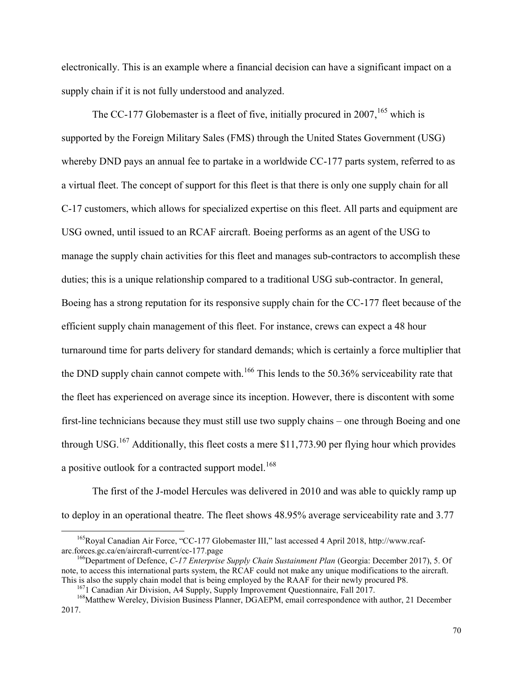electronically. This is an example where a financial decision can have a significant impact on a supply chain if it is not fully understood and analyzed.

The CC-177 Globemaster is a fleet of five, initially procured in 2007,  $165$  which is supported by the Foreign Military Sales (FMS) through the United States Government (USG) whereby DND pays an annual fee to partake in a worldwide CC-177 parts system, referred to as a virtual fleet. The concept of support for this fleet is that there is only one supply chain for all C-17 customers, which allows for specialized expertise on this fleet. All parts and equipment are USG owned, until issued to an RCAF aircraft. Boeing performs as an agent of the USG to manage the supply chain activities for this fleet and manages sub-contractors to accomplish these duties; this is a unique relationship compared to a traditional USG sub-contractor. In general, Boeing has a strong reputation for its responsive supply chain for the CC-177 fleet because of the efficient supply chain management of this fleet. For instance, crews can expect a 48 hour turnaround time for parts delivery for standard demands; which is certainly a force multiplier that the DND supply chain cannot compete with.<sup>166</sup> This lends to the 50.36% serviceability rate that the fleet has experienced on average since its inception. However, there is discontent with some first-line technicians because they must still use two supply chains – one through Boeing and one through USG.<sup>167</sup> Additionally, this fleet costs a mere \$11,773.90 per flying hour which provides a positive outlook for a contracted support model.<sup>168</sup>

The first of the J-model Hercules was delivered in 2010 and was able to quickly ramp up to deploy in an operational theatre. The fleet shows 48.95% average serviceability rate and 3.77

<sup>&</sup>lt;sup>165</sup>Royal Canadian Air Force, "CC-177 Globemaster III," last accessed 4 April 2018, http://www.rcafarc.forces.gc.ca/en/aircraft-current/cc-177.page

<sup>166</sup>Department of Defence, *C-17 Enterprise Supply Chain Sustainment Plan* (Georgia: December 2017), 5. Of note, to access this international parts system, the RCAF could not make any unique modifications to the aircraft. This is also the supply chain model that is being employed by the RAAF for their newly procured P8.

<sup>167</sup>1 Canadian Air Division, A4 Supply, Supply Improvement Questionnaire, Fall 2017.

<sup>&</sup>lt;sup>168</sup>Matthew Wereley, Division Business Planner, DGAEPM, email correspondence with author, 21 December 2017.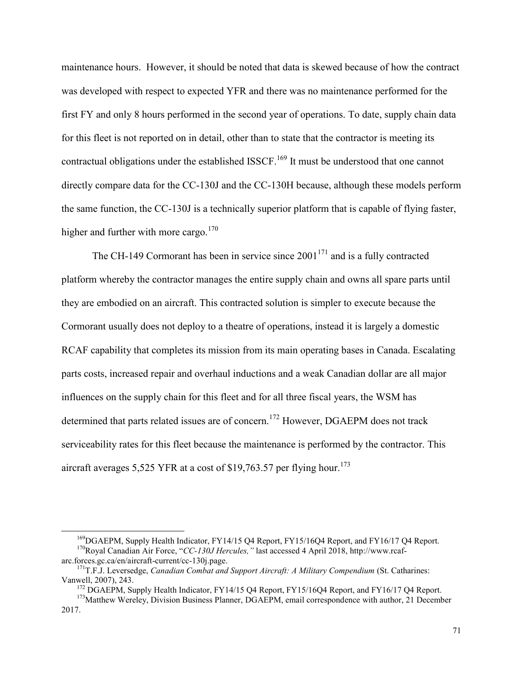maintenance hours. However, it should be noted that data is skewed because of how the contract was developed with respect to expected YFR and there was no maintenance performed for the first FY and only 8 hours performed in the second year of operations. To date, supply chain data for this fleet is not reported on in detail, other than to state that the contractor is meeting its contractual obligations under the established ISSCF.<sup>169</sup> It must be understood that one cannot directly compare data for the CC-130J and the CC-130H because, although these models perform the same function, the CC-130J is a technically superior platform that is capable of flying faster, higher and further with more cargo. $170$ 

The CH-149 Cormorant has been in service since  $2001<sup>171</sup>$  and is a fully contracted platform whereby the contractor manages the entire supply chain and owns all spare parts until they are embodied on an aircraft. This contracted solution is simpler to execute because the Cormorant usually does not deploy to a theatre of operations, instead it is largely a domestic RCAF capability that completes its mission from its main operating bases in Canada. Escalating parts costs, increased repair and overhaul inductions and a weak Canadian dollar are all major influences on the supply chain for this fleet and for all three fiscal years, the WSM has determined that parts related issues are of concern.<sup>172</sup> However, DGAEPM does not track serviceability rates for this fleet because the maintenance is performed by the contractor. This aircraft averages 5,525 YFR at a cost of \$19,763.57 per flying hour.<sup>173</sup>

<sup>&</sup>lt;sup>169</sup>DGAEPM, Supply Health Indicator, FY14/15 Q4 Report, FY15/16Q4 Report, and FY16/17 Q4 Report. <sup>170</sup>Royal Canadian Air Force, "*CC-130J Hercules,"* last accessed 4 April 2018, http://www.rcaf-

arc.forces.gc.ca/en/aircraft-current/cc-130j.page.

<sup>171</sup>T.F.J. Leversedge, *Canadian Combat and Support Aircraft: A Military Compendium* (St. Catharines: Vanwell, 2007), 243.

<sup>&</sup>lt;sup>172</sup> DGAEPM, Supply Health Indicator, FY14/15 Q4 Report, FY15/16Q4 Report, and FY16/17 Q4 Report.

<sup>&</sup>lt;sup>173</sup>Matthew Wereley, Division Business Planner, DGAEPM, email correspondence with author, 21 December 2017.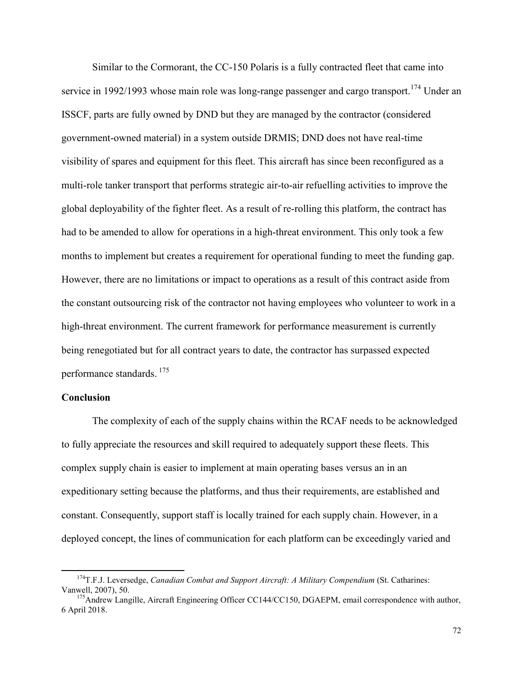Similar to the Cormorant, the CC-150 Polaris is a fully contracted fleet that came into service in 1992/1993 whose main role was long-range passenger and cargo transport.<sup>174</sup> Under an ISSCF, parts are fully owned by DND but they are managed by the contractor (considered government-owned material) in a system outside DRMIS; DND does not have real-time visibility of spares and equipment for this fleet. This aircraft has since been reconfigured as a multi-role tanker transport that performs strategic air-to-air refuelling activities to improve the global deployability of the fighter fleet. As a result of re-rolling this platform, the contract has had to be amended to allow for operations in a high-threat environment. This only took a few months to implement but creates a requirement for operational funding to meet the funding gap. However, there are no limitations or impact to operations as a result of this contract aside from the constant outsourcing risk of the contractor not having employees who volunteer to work in a high-threat environment. The current framework for performance measurement is currently being renegotiated but for all contract years to date, the contractor has surpassed expected performance standards. <sup>175</sup>

### **Conclusion**

 $\overline{a}$ 

The complexity of each of the supply chains within the RCAF needs to be acknowledged to fully appreciate the resources and skill required to adequately support these fleets. This complex supply chain is easier to implement at main operating bases versus an in an expeditionary setting because the platforms, and thus their requirements, are established and constant. Consequently, support staff is locally trained for each supply chain. However, in a deployed concept, the lines of communication for each platform can be exceedingly varied and

<sup>174</sup>T.F.J. Leversedge, *Canadian Combat and Support Aircraft: A Military Compendium* (St. Catharines: Vanwell, 2007), 50.

<sup>&</sup>lt;sup>175</sup>Andrew Langille, Aircraft Engineering Officer CC144/CC150, DGAEPM, email correspondence with author, 6 April 2018.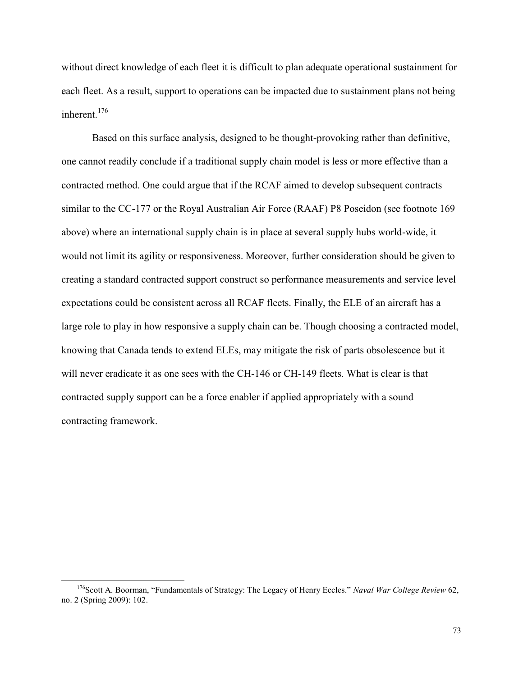without direct knowledge of each fleet it is difficult to plan adequate operational sustainment for each fleet. As a result, support to operations can be impacted due to sustainment plans not being inherent.<sup>176</sup>

Based on this surface analysis, designed to be thought-provoking rather than definitive, one cannot readily conclude if a traditional supply chain model is less or more effective than a contracted method. One could argue that if the RCAF aimed to develop subsequent contracts similar to the CC-177 or the Royal Australian Air Force (RAAF) P8 Poseidon (see footnote 169 above) where an international supply chain is in place at several supply hubs world-wide, it would not limit its agility or responsiveness. Moreover, further consideration should be given to creating a standard contracted support construct so performance measurements and service level expectations could be consistent across all RCAF fleets. Finally, the ELE of an aircraft has a large role to play in how responsive a supply chain can be. Though choosing a contracted model, knowing that Canada tends to extend ELEs, may mitigate the risk of parts obsolescence but it will never eradicate it as one sees with the CH-146 or CH-149 fleets. What is clear is that contracted supply support can be a force enabler if applied appropriately with a sound contracting framework.

<sup>176</sup>Scott A. Boorman, "Fundamentals of Strategy: The Legacy of Henry Eccles." *Naval War College Review* 62, no. 2 (Spring 2009): 102.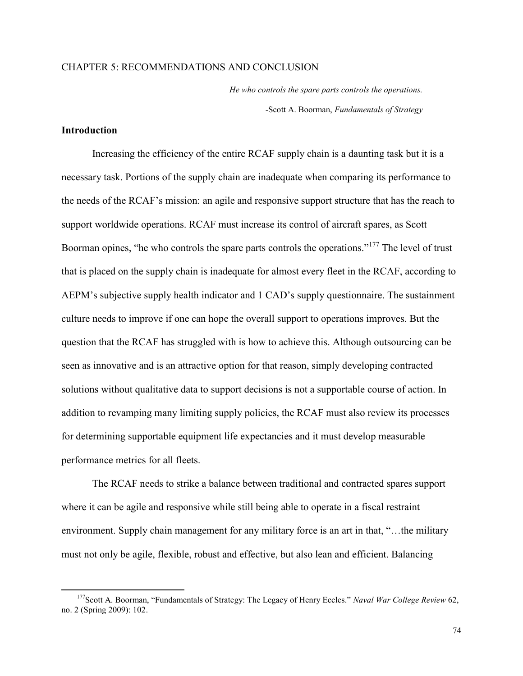# CHAPTER 5: RECOMMENDATIONS AND CONCLUSION

*He who controls the spare parts controls the operations.*  -Scott A. Boorman, *Fundamentals of Strategy*

## **Introduction**

 $\overline{a}$ 

Increasing the efficiency of the entire RCAF supply chain is a daunting task but it is a necessary task. Portions of the supply chain are inadequate when comparing its performance to the needs of the RCAF's mission: an agile and responsive support structure that has the reach to support worldwide operations. RCAF must increase its control of aircraft spares, as Scott Boorman opines, "he who controls the spare parts controls the operations."<sup>177</sup> The level of trust that is placed on the supply chain is inadequate for almost every fleet in the RCAF, according to AEPM's subjective supply health indicator and 1 CAD's supply questionnaire. The sustainment culture needs to improve if one can hope the overall support to operations improves. But the question that the RCAF has struggled with is how to achieve this. Although outsourcing can be seen as innovative and is an attractive option for that reason, simply developing contracted solutions without qualitative data to support decisions is not a supportable course of action. In addition to revamping many limiting supply policies, the RCAF must also review its processes for determining supportable equipment life expectancies and it must develop measurable performance metrics for all fleets.

 The RCAF needs to strike a balance between traditional and contracted spares support where it can be agile and responsive while still being able to operate in a fiscal restraint environment. Supply chain management for any military force is an art in that, "…the military must not only be agile, flexible, robust and effective, but also lean and efficient. Balancing

<sup>177</sup>Scott A. Boorman, "Fundamentals of Strategy: The Legacy of Henry Eccles." *Naval War College Review* 62, no. 2 (Spring 2009): 102.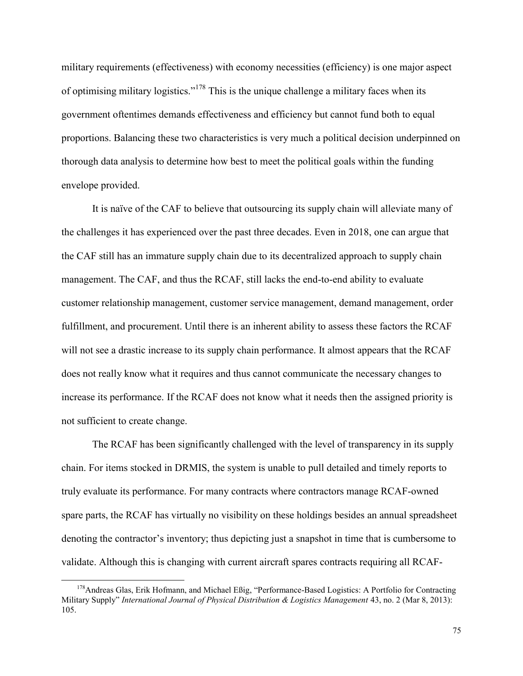military requirements (effectiveness) with economy necessities (efficiency) is one major aspect of optimising military logistics."<sup>178</sup> This is the unique challenge a military faces when its government oftentimes demands effectiveness and efficiency but cannot fund both to equal proportions. Balancing these two characteristics is very much a political decision underpinned on thorough data analysis to determine how best to meet the political goals within the funding envelope provided.

 It is naïve of the CAF to believe that outsourcing its supply chain will alleviate many of the challenges it has experienced over the past three decades. Even in 2018, one can argue that the CAF still has an immature supply chain due to its decentralized approach to supply chain management. The CAF, and thus the RCAF, still lacks the end-to-end ability to evaluate customer relationship management, customer service management, demand management, order fulfillment, and procurement. Until there is an inherent ability to assess these factors the RCAF will not see a drastic increase to its supply chain performance. It almost appears that the RCAF does not really know what it requires and thus cannot communicate the necessary changes to increase its performance. If the RCAF does not know what it needs then the assigned priority is not sufficient to create change.

The RCAF has been significantly challenged with the level of transparency in its supply chain. For items stocked in DRMIS, the system is unable to pull detailed and timely reports to truly evaluate its performance. For many contracts where contractors manage RCAF-owned spare parts, the RCAF has virtually no visibility on these holdings besides an annual spreadsheet denoting the contractor's inventory; thus depicting just a snapshot in time that is cumbersome to validate. Although this is changing with current aircraft spares contracts requiring all RCAF-

<sup>&</sup>lt;sup>178</sup>Andreas Glas, Erik Hofmann, and Michael Eßig, "Performance-Based Logistics: A Portfolio for Contracting Military Supply" *International Journal of Physical Distribution & Logistics Management* 43, no. 2 (Mar 8, 2013): 105.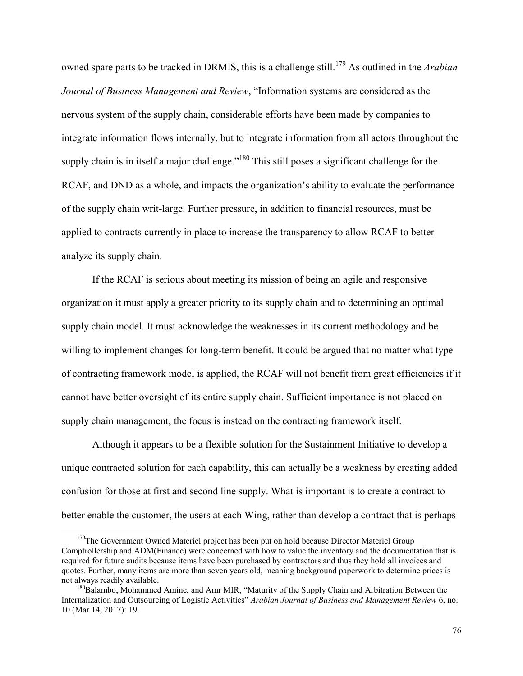owned spare parts to be tracked in DRMIS, this is a challenge still.<sup>179</sup> As outlined in the *Arabian Journal of Business Management and Review*, "Information systems are considered as the nervous system of the supply chain, considerable efforts have been made by companies to integrate information flows internally, but to integrate information from all actors throughout the supply chain is in itself a major challenge."<sup>180</sup> This still poses a significant challenge for the RCAF, and DND as a whole, and impacts the organization's ability to evaluate the performance of the supply chain writ-large. Further pressure, in addition to financial resources, must be applied to contracts currently in place to increase the transparency to allow RCAF to better analyze its supply chain.

If the RCAF is serious about meeting its mission of being an agile and responsive organization it must apply a greater priority to its supply chain and to determining an optimal supply chain model. It must acknowledge the weaknesses in its current methodology and be willing to implement changes for long-term benefit. It could be argued that no matter what type of contracting framework model is applied, the RCAF will not benefit from great efficiencies if it cannot have better oversight of its entire supply chain. Sufficient importance is not placed on supply chain management; the focus is instead on the contracting framework itself.

Although it appears to be a flexible solution for the Sustainment Initiative to develop a unique contracted solution for each capability, this can actually be a weakness by creating added confusion for those at first and second line supply. What is important is to create a contract to better enable the customer, the users at each Wing, rather than develop a contract that is perhaps

 $179$ The Government Owned Materiel project has been put on hold because Director Materiel Group Comptrollership and ADM(Finance) were concerned with how to value the inventory and the documentation that is required for future audits because items have been purchased by contractors and thus they hold all invoices and quotes. Further, many items are more than seven years old, meaning background paperwork to determine prices is not always readily available.

<sup>&</sup>lt;sup>180</sup>Balambo, Mohammed Amine, and Amr MIR, "Maturity of the Supply Chain and Arbitration Between the Internalization and Outsourcing of Logistic Activities" *Arabian Journal of Business and Management Review* 6, no. 10 (Mar 14, 2017): 19.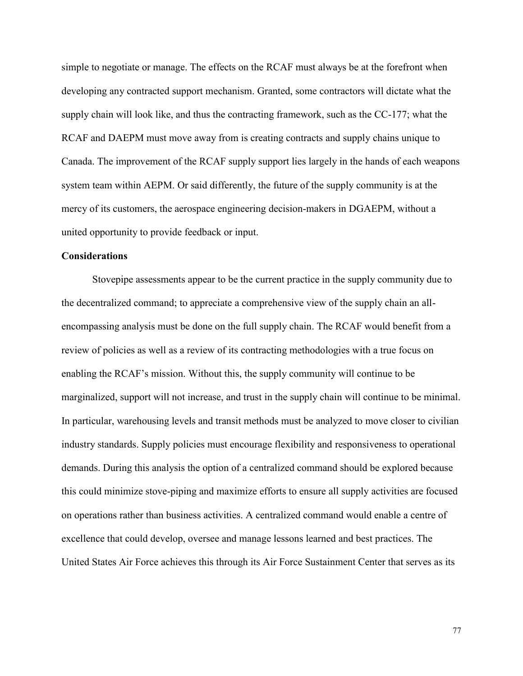simple to negotiate or manage. The effects on the RCAF must always be at the forefront when developing any contracted support mechanism. Granted, some contractors will dictate what the supply chain will look like, and thus the contracting framework, such as the CC-177; what the RCAF and DAEPM must move away from is creating contracts and supply chains unique to Canada. The improvement of the RCAF supply support lies largely in the hands of each weapons system team within AEPM. Or said differently, the future of the supply community is at the mercy of its customers, the aerospace engineering decision-makers in DGAEPM, without a united opportunity to provide feedback or input.

# **Considerations**

Stovepipe assessments appear to be the current practice in the supply community due to the decentralized command; to appreciate a comprehensive view of the supply chain an allencompassing analysis must be done on the full supply chain. The RCAF would benefit from a review of policies as well as a review of its contracting methodologies with a true focus on enabling the RCAF's mission. Without this, the supply community will continue to be marginalized, support will not increase, and trust in the supply chain will continue to be minimal. In particular, warehousing levels and transit methods must be analyzed to move closer to civilian industry standards. Supply policies must encourage flexibility and responsiveness to operational demands. During this analysis the option of a centralized command should be explored because this could minimize stove-piping and maximize efforts to ensure all supply activities are focused on operations rather than business activities. A centralized command would enable a centre of excellence that could develop, oversee and manage lessons learned and best practices. The United States Air Force achieves this through its Air Force Sustainment Center that serves as its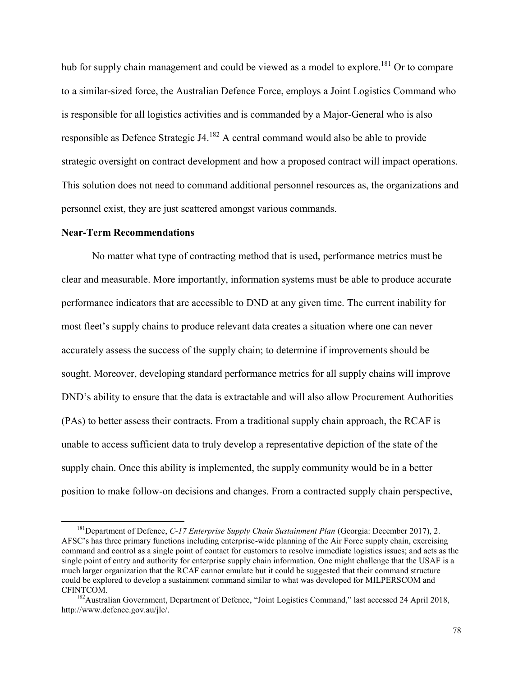hub for supply chain management and could be viewed as a model to explore.<sup>181</sup> Or to compare to a similar-sized force, the Australian Defence Force, employs a Joint Logistics Command who is responsible for all logistics activities and is commanded by a Major-General who is also responsible as Defence Strategic J4.<sup>182</sup> A central command would also be able to provide strategic oversight on contract development and how a proposed contract will impact operations. This solution does not need to command additional personnel resources as, the organizations and personnel exist, they are just scattered amongst various commands.

#### **Near-Term Recommendations**

 $\overline{a}$ 

No matter what type of contracting method that is used, performance metrics must be clear and measurable. More importantly, information systems must be able to produce accurate performance indicators that are accessible to DND at any given time. The current inability for most fleet's supply chains to produce relevant data creates a situation where one can never accurately assess the success of the supply chain; to determine if improvements should be sought. Moreover, developing standard performance metrics for all supply chains will improve DND's ability to ensure that the data is extractable and will also allow Procurement Authorities (PAs) to better assess their contracts. From a traditional supply chain approach, the RCAF is unable to access sufficient data to truly develop a representative depiction of the state of the supply chain. Once this ability is implemented, the supply community would be in a better position to make follow-on decisions and changes. From a contracted supply chain perspective,

<sup>&</sup>lt;sup>181</sup>Department of Defence, *C-17 Enterprise Supply Chain Sustainment Plan* (Georgia: December 2017), 2. AFSC's has three primary functions including enterprise-wide planning of the Air Force supply chain, exercising command and control as a single point of contact for customers to resolve immediate logistics issues; and acts as the single point of entry and authority for enterprise supply chain information. One might challenge that the USAF is a much larger organization that the RCAF cannot emulate but it could be suggested that their command structure could be explored to develop a sustainment command similar to what was developed for MILPERSCOM and CFINTCOM.

<sup>&</sup>lt;sup>182</sup>Australian Government, Department of Defence, "Joint Logistics Command," last accessed 24 April 2018, http://www.defence.gov.au/jlc/.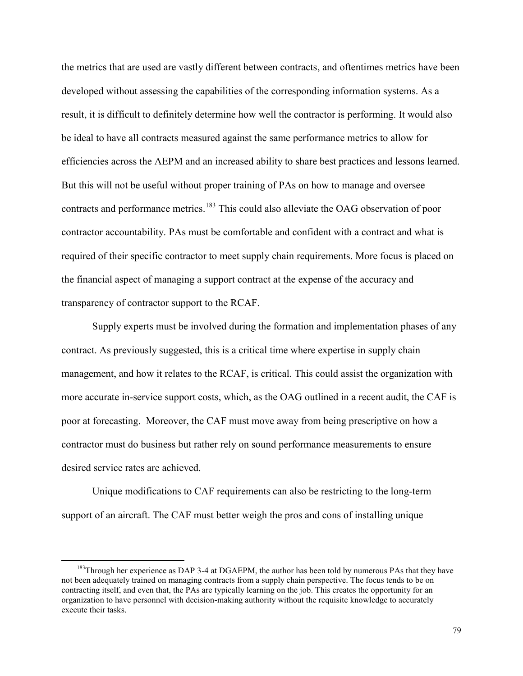the metrics that are used are vastly different between contracts, and oftentimes metrics have been developed without assessing the capabilities of the corresponding information systems. As a result, it is difficult to definitely determine how well the contractor is performing. It would also be ideal to have all contracts measured against the same performance metrics to allow for efficiencies across the AEPM and an increased ability to share best practices and lessons learned. But this will not be useful without proper training of PAs on how to manage and oversee contracts and performance metrics.<sup>183</sup> This could also alleviate the OAG observation of poor contractor accountability. PAs must be comfortable and confident with a contract and what is required of their specific contractor to meet supply chain requirements. More focus is placed on the financial aspect of managing a support contract at the expense of the accuracy and transparency of contractor support to the RCAF.

Supply experts must be involved during the formation and implementation phases of any contract. As previously suggested, this is a critical time where expertise in supply chain management, and how it relates to the RCAF, is critical. This could assist the organization with more accurate in-service support costs, which, as the OAG outlined in a recent audit, the CAF is poor at forecasting. Moreover, the CAF must move away from being prescriptive on how a contractor must do business but rather rely on sound performance measurements to ensure desired service rates are achieved.

Unique modifications to CAF requirements can also be restricting to the long-term support of an aircraft. The CAF must better weigh the pros and cons of installing unique

<sup>&</sup>lt;sup>183</sup>Through her experience as DAP 3-4 at DGAEPM, the author has been told by numerous PAs that they have not been adequately trained on managing contracts from a supply chain perspective. The focus tends to be on contracting itself, and even that, the PAs are typically learning on the job. This creates the opportunity for an organization to have personnel with decision-making authority without the requisite knowledge to accurately execute their tasks.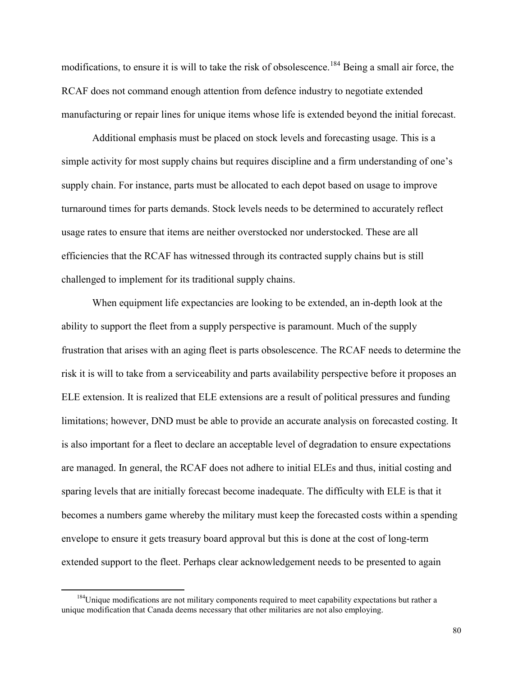modifications, to ensure it is will to take the risk of obsolescence.<sup>184</sup> Being a small air force, the RCAF does not command enough attention from defence industry to negotiate extended manufacturing or repair lines for unique items whose life is extended beyond the initial forecast.

Additional emphasis must be placed on stock levels and forecasting usage. This is a simple activity for most supply chains but requires discipline and a firm understanding of one's supply chain. For instance, parts must be allocated to each depot based on usage to improve turnaround times for parts demands. Stock levels needs to be determined to accurately reflect usage rates to ensure that items are neither overstocked nor understocked. These are all efficiencies that the RCAF has witnessed through its contracted supply chains but is still challenged to implement for its traditional supply chains.

When equipment life expectancies are looking to be extended, an in-depth look at the ability to support the fleet from a supply perspective is paramount. Much of the supply frustration that arises with an aging fleet is parts obsolescence. The RCAF needs to determine the risk it is will to take from a serviceability and parts availability perspective before it proposes an ELE extension. It is realized that ELE extensions are a result of political pressures and funding limitations; however, DND must be able to provide an accurate analysis on forecasted costing. It is also important for a fleet to declare an acceptable level of degradation to ensure expectations are managed. In general, the RCAF does not adhere to initial ELEs and thus, initial costing and sparing levels that are initially forecast become inadequate. The difficulty with ELE is that it becomes a numbers game whereby the military must keep the forecasted costs within a spending envelope to ensure it gets treasury board approval but this is done at the cost of long-term extended support to the fleet. Perhaps clear acknowledgement needs to be presented to again

<sup>&</sup>lt;sup>184</sup>Unique modifications are not military components required to meet capability expectations but rather a unique modification that Canada deems necessary that other militaries are not also employing.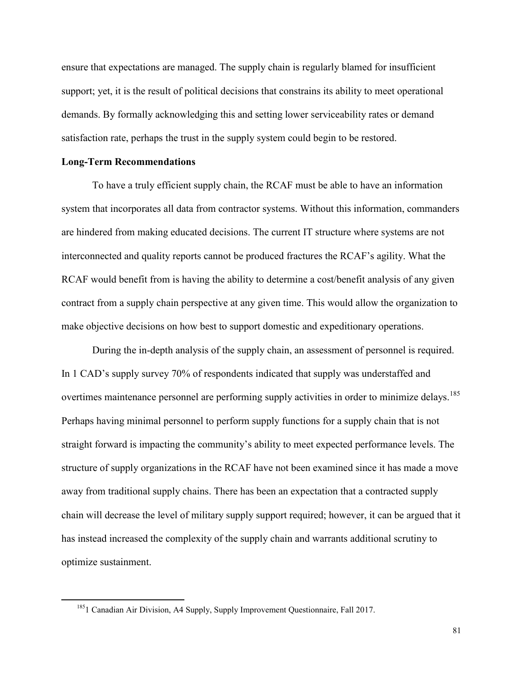ensure that expectations are managed. The supply chain is regularly blamed for insufficient support; yet, it is the result of political decisions that constrains its ability to meet operational demands. By formally acknowledging this and setting lower serviceability rates or demand satisfaction rate, perhaps the trust in the supply system could begin to be restored.

#### **Long-Term Recommendations**

 $\overline{a}$ 

To have a truly efficient supply chain, the RCAF must be able to have an information system that incorporates all data from contractor systems. Without this information, commanders are hindered from making educated decisions. The current IT structure where systems are not interconnected and quality reports cannot be produced fractures the RCAF's agility. What the RCAF would benefit from is having the ability to determine a cost/benefit analysis of any given contract from a supply chain perspective at any given time. This would allow the organization to make objective decisions on how best to support domestic and expeditionary operations.

During the in-depth analysis of the supply chain, an assessment of personnel is required. In 1 CAD's supply survey 70% of respondents indicated that supply was understaffed and overtimes maintenance personnel are performing supply activities in order to minimize delays.<sup>185</sup> Perhaps having minimal personnel to perform supply functions for a supply chain that is not straight forward is impacting the community's ability to meet expected performance levels. The structure of supply organizations in the RCAF have not been examined since it has made a move away from traditional supply chains. There has been an expectation that a contracted supply chain will decrease the level of military supply support required; however, it can be argued that it has instead increased the complexity of the supply chain and warrants additional scrutiny to optimize sustainment.

<sup>&</sup>lt;sup>185</sup>1 Canadian Air Division, A4 Supply, Supply Improvement Questionnaire, Fall 2017.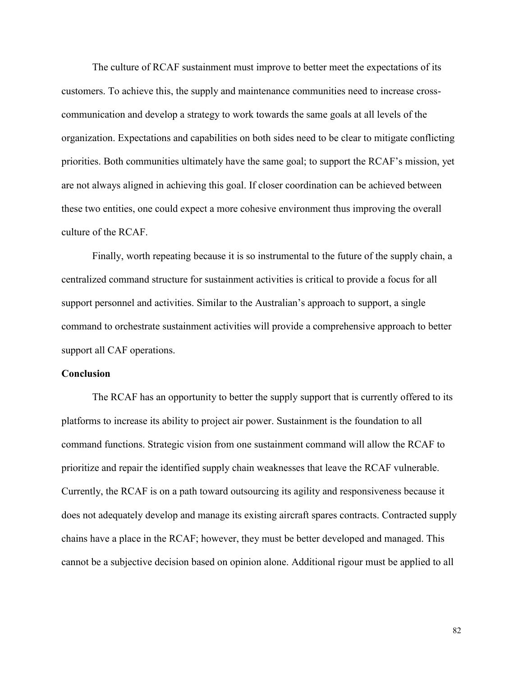The culture of RCAF sustainment must improve to better meet the expectations of its customers. To achieve this, the supply and maintenance communities need to increase crosscommunication and develop a strategy to work towards the same goals at all levels of the organization. Expectations and capabilities on both sides need to be clear to mitigate conflicting priorities. Both communities ultimately have the same goal; to support the RCAF's mission, yet are not always aligned in achieving this goal. If closer coordination can be achieved between these two entities, one could expect a more cohesive environment thus improving the overall culture of the RCAF.

Finally, worth repeating because it is so instrumental to the future of the supply chain, a centralized command structure for sustainment activities is critical to provide a focus for all support personnel and activities. Similar to the Australian's approach to support, a single command to orchestrate sustainment activities will provide a comprehensive approach to better support all CAF operations.

#### **Conclusion**

The RCAF has an opportunity to better the supply support that is currently offered to its platforms to increase its ability to project air power. Sustainment is the foundation to all command functions. Strategic vision from one sustainment command will allow the RCAF to prioritize and repair the identified supply chain weaknesses that leave the RCAF vulnerable. Currently, the RCAF is on a path toward outsourcing its agility and responsiveness because it does not adequately develop and manage its existing aircraft spares contracts. Contracted supply chains have a place in the RCAF; however, they must be better developed and managed. This cannot be a subjective decision based on opinion alone. Additional rigour must be applied to all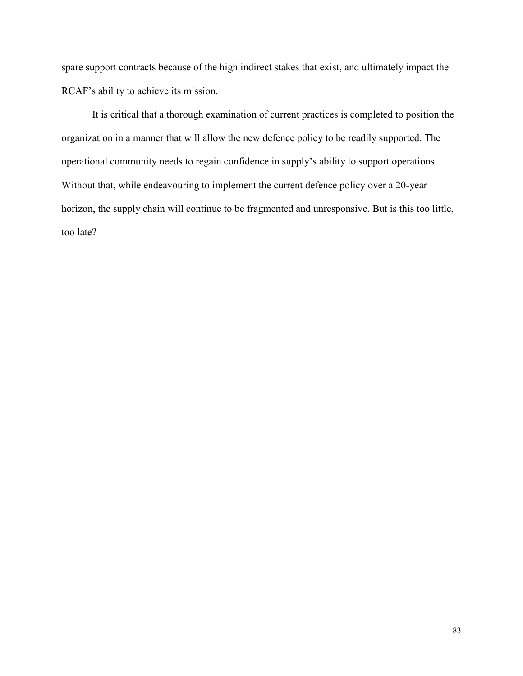spare support contracts because of the high indirect stakes that exist, and ultimately impact the RCAF's ability to achieve its mission.

It is critical that a thorough examination of current practices is completed to position the organization in a manner that will allow the new defence policy to be readily supported. The operational community needs to regain confidence in supply's ability to support operations. Without that, while endeavouring to implement the current defence policy over a 20-year horizon, the supply chain will continue to be fragmented and unresponsive. But is this too little, too late?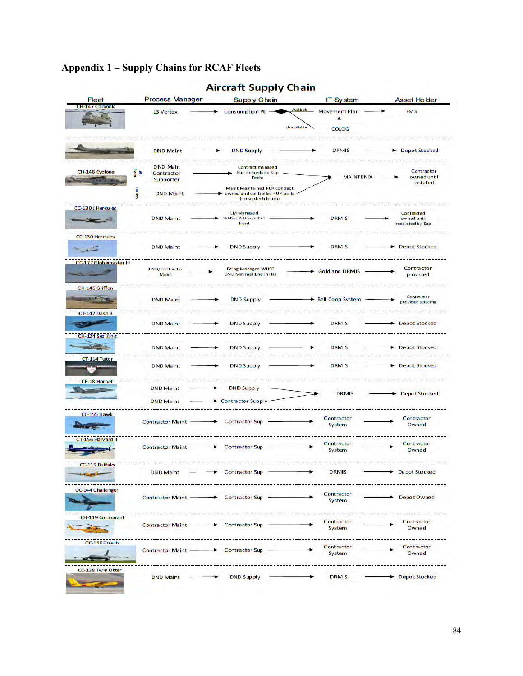# **Appendix 1 – Supply Chains for RCAF Fleets**

| CH-147 Chinook         |                                  |                                                                                       | Available    |                                           |                                                      |
|------------------------|----------------------------------|---------------------------------------------------------------------------------------|--------------|-------------------------------------------|------------------------------------------------------|
|                        | L3 Vertex                        | Consumption Pt -                                                                      | Una vailable | <b>Movement Plan</b><br>Ť<br><b>COLOG</b> | <b>FMS</b>                                           |
|                        | <b>DND Maint</b>                 | <b>DND Supply</b>                                                                     |              | <b>DRMIS</b>                              | <b>Depot Stocked</b>                                 |
|                        | <b>DND Main</b>                  |                                                                                       |              |                                           |                                                      |
| CH-148 Cyclone         | Home<br>晋<br>Contractor          | Contract managed<br>Sup embedded Sup                                                  |              |                                           | Contractor                                           |
|                        | Supporter                        | Techs                                                                                 |              | <b>MAINTENIX</b>                          | owned until<br>installed                             |
|                        | On Ship<br><b>DND Maint</b>      | Maint Maintained PUK contract<br>owned and controlled PUK parts<br>(no suptech touch) |              |                                           |                                                      |
| CC-130 J Hercules      |                                  |                                                                                       |              |                                           |                                                      |
| $\sim$                 | <b>DND Maint</b>                 | <b>LM Managed</b><br>WHSEDND Sup thin<br>front                                        |              | <b>DRMIS</b>                              | <b>Contracted</b><br>owned until<br>receipted by Sup |
| CC-130 Hercules        |                                  |                                                                                       |              |                                           |                                                      |
| <b>Provident</b>       | <b>DND Maint</b>                 | <b>DND Supply</b>                                                                     |              | <b>DRMIS</b>                              | Depot Stocked                                        |
| CC-177 Globemaster III | DN D/Contract or<br><b>Maint</b> | <b>Being Managed WHSE</b><br><b>DND Minimal Line in Hrs</b>                           |              | Gold and DRMIS                            | Contractor<br>provided                               |
|                        |                                  |                                                                                       |              |                                           |                                                      |
| CH-146 Griffon         |                                  |                                                                                       |              |                                           |                                                      |
| <b>STATISTICS</b>      | <b>DND Maint</b>                 | <b>DND Supply</b>                                                                     |              | Bell Coop System                          | Contractor<br>provided spacing                       |
| <b>CT-142 Dash 8</b>   |                                  |                                                                                       |              |                                           |                                                      |
|                        | <b>DND Maint</b>                 | <b>DND Supply</b>                                                                     |              | <b>DRMIS</b>                              | <b>Depot Stocked</b>                                 |
| CH-124 Sea King        |                                  |                                                                                       |              |                                           |                                                      |
| <b>SALES AND STATE</b> | <b>DND Maint</b>                 | <b>DND Supply</b>                                                                     |              | <b>DRMIS</b>                              | Depot Stocked                                        |
| CI-114 Tutor           | <b>DND Maint</b>                 | <b>DND Supply</b>                                                                     |              | <b>DRMIS</b>                              | <b>Depot Stocked</b>                                 |
| <b>CF-18 Hornet</b>    | <b>DND Maint</b>                 | <b>DND Supply</b>                                                                     |              |                                           |                                                      |
|                        |                                  |                                                                                       |              | <b>DRMIS</b>                              | <b>Depot Stocked</b>                                 |
|                        | <b>DND Maint</b>                 | Contractor Supply                                                                     |              |                                           |                                                      |
| CT-155 Hawk            | <b>Contractor Maint</b>          | <b>Contractor Sup</b>                                                                 |              | Contractor<br>System                      | Contractor<br>Owned                                  |
| CT-156 Harvard II      |                                  |                                                                                       |              |                                           |                                                      |
|                        | Contractor Maint -               | <b>Contractor Sup</b>                                                                 |              | Contractor<br>System                      | Contractor<br>Owned                                  |
| CC-115 Buffalo         | <b>DND Maint</b>                 | <b>Contractor Sup</b>                                                                 |              | <b>DRMIS</b>                              | <b>Depot Stocked</b>                                 |
| CC-144 Challenger      |                                  |                                                                                       |              |                                           |                                                      |
|                        | Contractor Maint -               | Contractor Sup -                                                                      |              | Contractor<br>System                      | Depot Owned                                          |
| CH-149 Cormorant       |                                  |                                                                                       |              |                                           |                                                      |
|                        | Contractor Maint -               | <b>Contractor Sup</b>                                                                 |              | Contractor<br>System                      | Contractor<br>Owned                                  |
| CC-150 Polaris         |                                  |                                                                                       |              |                                           |                                                      |
|                        | <b>Contractor Maint -</b>        | Contractor Sup                                                                        |              | Contractor<br>System                      | Contractor<br>Owned                                  |
| CC-138 Twin Otter      |                                  |                                                                                       |              |                                           |                                                      |

# **Aircraft Supply Chain**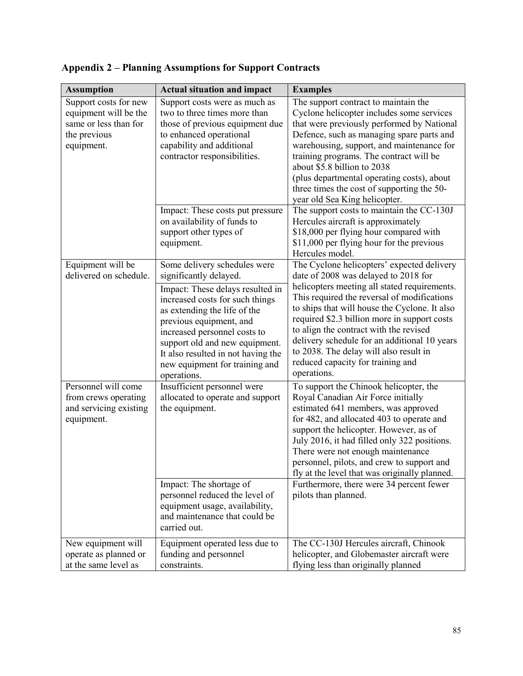| <b>Assumption</b>                                                                                     | <b>Actual situation and impact</b>                                                                                                                                                                                                                                                                                                                | <b>Examples</b>                                                                                                                                                                                                                                                                                                                                                                                                                                                            |
|-------------------------------------------------------------------------------------------------------|---------------------------------------------------------------------------------------------------------------------------------------------------------------------------------------------------------------------------------------------------------------------------------------------------------------------------------------------------|----------------------------------------------------------------------------------------------------------------------------------------------------------------------------------------------------------------------------------------------------------------------------------------------------------------------------------------------------------------------------------------------------------------------------------------------------------------------------|
| Support costs for new<br>equipment will be the<br>same or less than for<br>the previous<br>equipment. | Support costs were as much as<br>two to three times more than<br>those of previous equipment due<br>to enhanced operational<br>capability and additional<br>contractor responsibilities.                                                                                                                                                          | The support contract to maintain the<br>Cyclone helicopter includes some services<br>that were previously performed by National<br>Defence, such as managing spare parts and<br>warehousing, support, and maintenance for<br>training programs. The contract will be<br>about \$5.8 billion to 2038<br>(plus departmental operating costs), about<br>three times the cost of supporting the 50-<br>year old Sea King helicopter.                                           |
|                                                                                                       | Impact: These costs put pressure<br>on availability of funds to<br>support other types of<br>equipment.                                                                                                                                                                                                                                           | The support costs to maintain the CC-130J<br>Hercules aircraft is approximately<br>\$18,000 per flying hour compared with<br>\$11,000 per flying hour for the previous<br>Hercules model.                                                                                                                                                                                                                                                                                  |
| Equipment will be<br>delivered on schedule.                                                           | Some delivery schedules were<br>significantly delayed.<br>Impact: These delays resulted in<br>increased costs for such things<br>as extending the life of the<br>previous equipment, and<br>increased personnel costs to<br>support old and new equipment.<br>It also resulted in not having the<br>new equipment for training and<br>operations. | The Cyclone helicopters' expected delivery<br>date of 2008 was delayed to 2018 for<br>helicopters meeting all stated requirements.<br>This required the reversal of modifications<br>to ships that will house the Cyclone. It also<br>required \$2.3 billion more in support costs<br>to align the contract with the revised<br>delivery schedule for an additional 10 years<br>to 2038. The delay will also result in<br>reduced capacity for training and<br>operations. |
| Personnel will come<br>from crews operating<br>and servicing existing<br>equipment.                   | Insufficient personnel were<br>allocated to operate and support<br>the equipment.                                                                                                                                                                                                                                                                 | To support the Chinook helicopter, the<br>Royal Canadian Air Force initially<br>estimated 641 members, was approved<br>for 482, and allocated 403 to operate and<br>support the helicopter. However, as of<br>July 2016, it had filled only 322 positions.<br>There were not enough maintenance<br>personnel, pilots, and crew to support and<br>fly at the level that was originally planned.                                                                             |
|                                                                                                       | Impact: The shortage of<br>personnel reduced the level of<br>equipment usage, availability,<br>and maintenance that could be<br>carried out.                                                                                                                                                                                                      | Furthermore, there were 34 percent fewer<br>pilots than planned.                                                                                                                                                                                                                                                                                                                                                                                                           |
| New equipment will<br>operate as planned or<br>at the same level as                                   | Equipment operated less due to<br>funding and personnel<br>constraints.                                                                                                                                                                                                                                                                           | The CC-130J Hercules aircraft, Chinook<br>helicopter, and Globemaster aircraft were<br>flying less than originally planned                                                                                                                                                                                                                                                                                                                                                 |

**Appendix 2 – Planning Assumptions for Support Contracts**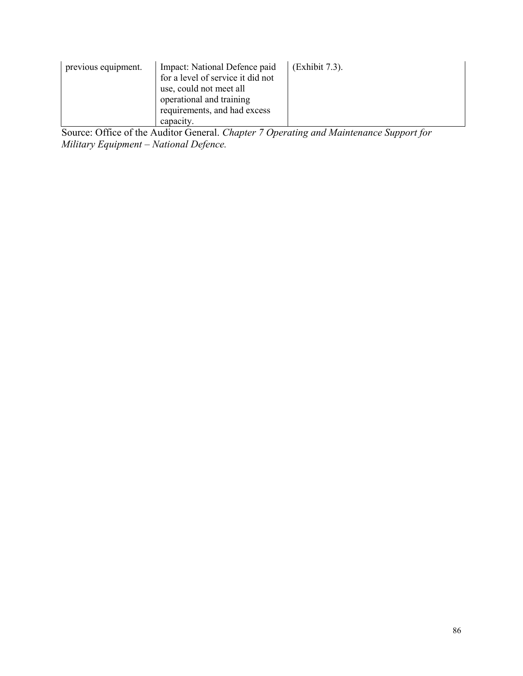| Impact: National Defence paid<br>previous equipment.<br>for a level of service it did not<br>use, could not meet all<br>operational and training<br>requirements, and had excess<br>capacity. | (Exhibit 7.3). |
|-----------------------------------------------------------------------------------------------------------------------------------------------------------------------------------------------|----------------|
|-----------------------------------------------------------------------------------------------------------------------------------------------------------------------------------------------|----------------|

Source: Office of the Auditor General. *Chapter 7 Operating and Maintenance Support for Military Equipment – National Defence.*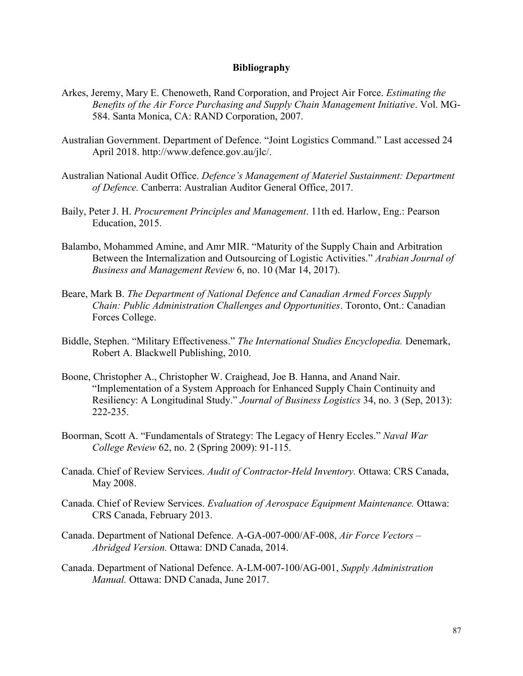## **Bibliography**

- Arkes, Jeremy, Mary E. Chenoweth, Rand Corporation, and Project Air Force. *Estimating the Benefits of the Air Force Purchasing and Supply Chain Management Initiative*. Vol. MG-584. Santa Monica, CA: RAND Corporation, 2007.
- Australian Government. Department of Defence. "Joint Logistics Command." Last accessed 24 April 2018. http://www.defence.gov.au/jlc/.
- Australian National Audit Office. *Defence's Management of Materiel Sustainment: Department of Defence.* Canberra: Australian Auditor General Office, 2017.
- Baily, Peter J. H. *Procurement Principles and Management*. 11th ed. Harlow, Eng.: Pearson Education, 2015.
- Balambo, Mohammed Amine, and Amr MIR. "Maturity of the Supply Chain and Arbitration Between the Internalization and Outsourcing of Logistic Activities." *Arabian Journal of Business and Management Review* 6, no. 10 (Mar 14, 2017).
- Beare, Mark B. *The Department of National Defence and Canadian Armed Forces Supply Chain: Public Administration Challenges and Opportunities*. Toronto, Ont.: Canadian Forces College.
- Biddle, Stephen. "Military Effectiveness." *The International Studies Encyclopedia.* Denemark, Robert A. Blackwell Publishing, 2010.
- Boone, Christopher A., Christopher W. Craighead, Joe B. Hanna, and Anand Nair. "Implementation of a System Approach for Enhanced Supply Chain Continuity and Resiliency: A Longitudinal Study." *Journal of Business Logistics* 34, no. 3 (Sep, 2013): 222-235.
- Boorman, Scott A. "Fundamentals of Strategy: The Legacy of Henry Eccles." *Naval War College Review* 62, no. 2 (Spring 2009): 91-115.
- Canada. Chief of Review Services. *Audit of Contractor-Held Inventory.* Ottawa: CRS Canada, May 2008.
- Canada. Chief of Review Services. *Evaluation of Aerospace Equipment Maintenance.* Ottawa: CRS Canada, February 2013.
- Canada. Department of National Defence. A-GA-007-000/AF-008, *Air Force Vectors – Abridged Version.* Ottawa: DND Canada, 2014.
- Canada. Department of National Defence. A-LM-007-100/AG-001, *Supply Administration Manual.* Ottawa: DND Canada, June 2017.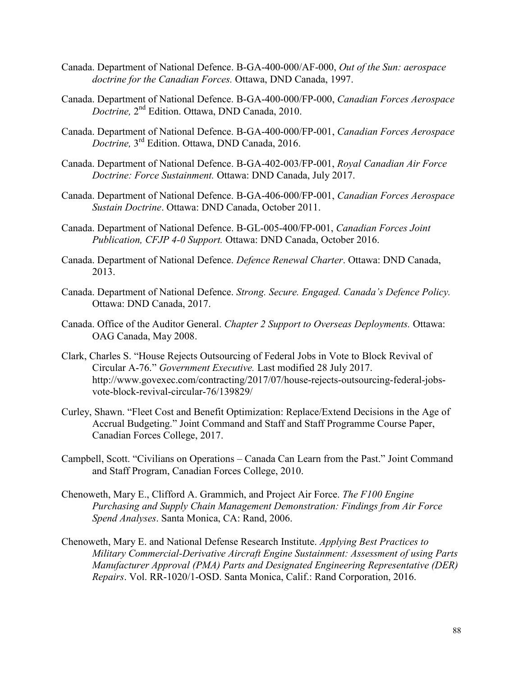- Canada. Department of National Defence. B-GA-400-000/AF-000, *Out of the Sun: aerospace doctrine for the Canadian Forces.* Ottawa, DND Canada, 1997.
- Canada. Department of National Defence. B-GA-400-000/FP-000, *Canadian Forces Aerospace Doctrine,* 2 nd Edition. Ottawa, DND Canada, 2010.
- Canada. Department of National Defence. B-GA-400-000/FP-001, *Canadian Forces Aerospace Doctrine,* 3 rd Edition. Ottawa, DND Canada, 2016.
- Canada. Department of National Defence. B-GA-402-003/FP-001, *Royal Canadian Air Force Doctrine: Force Sustainment.* Ottawa: DND Canada, July 2017.
- Canada. Department of National Defence. B-GA-406-000/FP-001, *Canadian Forces Aerospace Sustain Doctrine*. Ottawa: DND Canada, October 2011.
- Canada. Department of National Defence. B-GL-005-400/FP-001, *Canadian Forces Joint Publication, CFJP 4-0 Support.* Ottawa: DND Canada, October 2016.
- Canada. Department of National Defence. *Defence Renewal Charter*. Ottawa: DND Canada, 2013.
- Canada. Department of National Defence. *Strong. Secure. Engaged. Canada's Defence Policy.* Ottawa: DND Canada, 2017.
- Canada. Office of the Auditor General. *Chapter 2 Support to Overseas Deployments.* Ottawa: OAG Canada, May 2008.
- Clark, Charles S. "House Rejects Outsourcing of Federal Jobs in Vote to Block Revival of Circular A-76." *Government Executive.* Last modified 28 July 2017. http://www.govexec.com/contracting/2017/07/house-rejects-outsourcing-federal-jobsvote-block-revival-circular-76/139829/
- Curley, Shawn. "Fleet Cost and Benefit Optimization: Replace/Extend Decisions in the Age of Accrual Budgeting." Joint Command and Staff and Staff Programme Course Paper, Canadian Forces College, 2017.
- Campbell, Scott. "Civilians on Operations Canada Can Learn from the Past." Joint Command and Staff Program, Canadian Forces College, 2010.
- Chenoweth, Mary E., Clifford A. Grammich, and Project Air Force. *The F100 Engine Purchasing and Supply Chain Management Demonstration: Findings from Air Force Spend Analyses*. Santa Monica, CA: Rand, 2006.
- Chenoweth, Mary E. and National Defense Research Institute. *Applying Best Practices to Military Commercial-Derivative Aircraft Engine Sustainment: Assessment of using Parts Manufacturer Approval (PMA) Parts and Designated Engineering Representative (DER) Repairs*. Vol. RR-1020/1-OSD. Santa Monica, Calif.: Rand Corporation, 2016.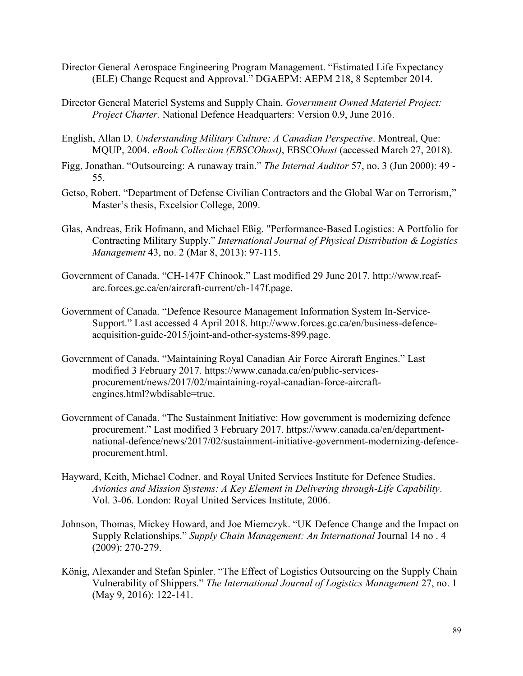- Director General Aerospace Engineering Program Management. "Estimated Life Expectancy (ELE) Change Request and Approval." DGAEPM: AEPM 218, 8 September 2014.
- Director General Materiel Systems and Supply Chain. *Government Owned Materiel Project: Project Charter.* National Defence Headquarters: Version 0.9, June 2016.
- English, Allan D. *Understanding Military Culture: A Canadian Perspective*. Montreal, Que: MQUP, 2004. *eBook Collection (EBSCOhost)*, EBSCO*host* (accessed March 27, 2018).
- Figg, Jonathan. "Outsourcing: A runaway train." *The Internal Auditor* 57, no. 3 (Jun 2000): 49 55.
- Getso, Robert. "Department of Defense Civilian Contractors and the Global War on Terrorism," Master's thesis, Excelsior College, 2009.
- Glas, Andreas, Erik Hofmann, and Michael Eßig. "Performance-Based Logistics: A Portfolio for Contracting Military Supply." *International Journal of Physical Distribution & Logistics Management* 43, no. 2 (Mar 8, 2013): 97-115.
- Government of Canada. "CH-147F Chinook." Last modified 29 June 2017. http://www.rcafarc.forces.gc.ca/en/aircraft-current/ch-147f.page.
- Government of Canada. "Defence Resource Management Information System In-Service-Support." Last accessed 4 April 2018. http://www.forces.gc.ca/en/business-defenceacquisition-guide-2015/joint-and-other-systems-899.page.
- Government of Canada. "Maintaining Royal Canadian Air Force Aircraft Engines." Last modified 3 February 2017. https://www.canada.ca/en/public-servicesprocurement/news/2017/02/maintaining-royal-canadian-force-aircraftengines.html?wbdisable=true.
- Government of Canada. "The Sustainment Initiative: How government is modernizing defence procurement." Last modified 3 February 2017. https://www.canada.ca/en/departmentnational-defence/news/2017/02/sustainment-initiative-government-modernizing-defenceprocurement.html.
- Hayward, Keith, Michael Codner, and Royal United Services Institute for Defence Studies. *Avionics and Mission Systems: A Key Element in Delivering through-Life Capability*. Vol. 3-06. London: Royal United Services Institute, 2006.
- Johnson, Thomas, Mickey Howard, and Joe Miemczyk. "UK Defence Change and the Impact on Supply Relationships." *Supply Chain Management: An International* Journal 14 no . 4 (2009): 270-279.
- König, Alexander and Stefan Spinler. "The Effect of Logistics Outsourcing on the Supply Chain Vulnerability of Shippers." *The International Journal of Logistics Management* 27, no. 1 (May 9, 2016): 122-141.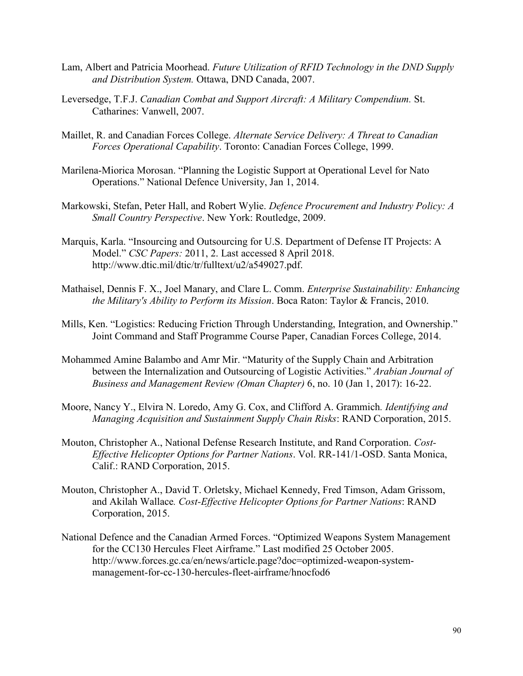- Lam, Albert and Patricia Moorhead. *Future Utilization of RFID Technology in the DND Supply and Distribution System.* Ottawa, DND Canada, 2007.
- Leversedge, T.F.J. *Canadian Combat and Support Aircraft: A Military Compendium.* St. Catharines: Vanwell, 2007.
- Maillet, R. and Canadian Forces College. *Alternate Service Delivery: A Threat to Canadian Forces Operational Capability*. Toronto: Canadian Forces College, 1999.
- Marilena-Miorica Morosan. "Planning the Logistic Support at Operational Level for Nato Operations." National Defence University, Jan 1, 2014.
- Markowski, Stefan, Peter Hall, and Robert Wylie. *Defence Procurement and Industry Policy: A Small Country Perspective*. New York: Routledge, 2009.
- Marquis, Karla. "Insourcing and Outsourcing for U.S. Department of Defense IT Projects: A Model." *CSC Papers:* 2011, 2. Last accessed 8 April 2018. http://www.dtic.mil/dtic/tr/fulltext/u2/a549027.pdf.
- Mathaisel, Dennis F. X., Joel Manary, and Clare L. Comm. *Enterprise Sustainability: Enhancing the Military's Ability to Perform its Mission*. Boca Raton: Taylor & Francis, 2010.
- Mills, Ken. "Logistics: Reducing Friction Through Understanding, Integration, and Ownership." Joint Command and Staff Programme Course Paper, Canadian Forces College, 2014.
- Mohammed Amine Balambo and Amr Mir. "Maturity of the Supply Chain and Arbitration between the Internalization and Outsourcing of Logistic Activities." *Arabian Journal of Business and Management Review (Oman Chapter)* 6, no. 10 (Jan 1, 2017): 16-22.
- Moore, Nancy Y., Elvira N. Loredo, Amy G. Cox, and Clifford A. Grammich*. Identifying and Managing Acquisition and Sustainment Supply Chain Risks*: RAND Corporation, 2015.
- Mouton, Christopher A., National Defense Research Institute, and Rand Corporation. *Cost-Effective Helicopter Options for Partner Nations*. Vol. RR-141/1-OSD. Santa Monica, Calif.: RAND Corporation, 2015.
- Mouton, Christopher A., David T. Orletsky, Michael Kennedy, Fred Timson, Adam Grissom, and Akilah Wallace*. Cost-Effective Helicopter Options for Partner Nations*: RAND Corporation, 2015.
- National Defence and the Canadian Armed Forces. "Optimized Weapons System Management for the CC130 Hercules Fleet Airframe." Last modified 25 October 2005. http://www.forces.gc.ca/en/news/article.page?doc=optimized-weapon-systemmanagement-for-cc-130-hercules-fleet-airframe/hnocfod6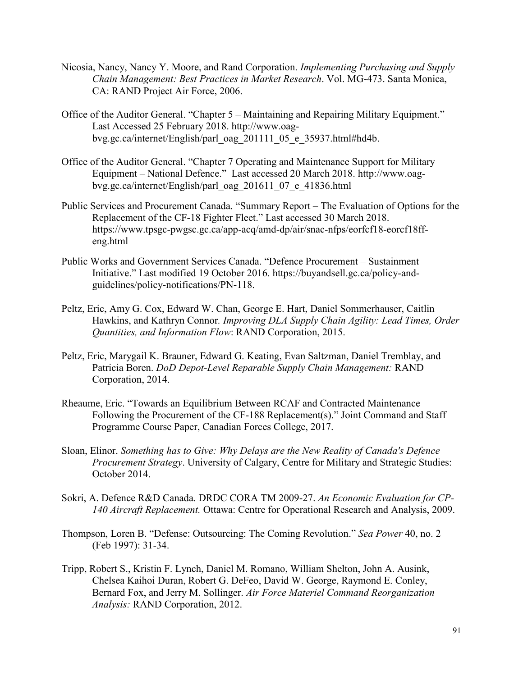- Nicosia, Nancy, Nancy Y. Moore, and Rand Corporation. *Implementing Purchasing and Supply Chain Management: Best Practices in Market Research*. Vol. MG-473. Santa Monica, CA: RAND Project Air Force, 2006.
- Office of the Auditor General. "Chapter 5 Maintaining and Repairing Military Equipment." Last Accessed 25 February 2018. http://www.oagbvg.gc.ca/internet/English/parl\_oag\_201111\_05\_e\_35937.html#hd4b.
- Office of the Auditor General. "Chapter 7 Operating and Maintenance Support for Military Equipment – National Defence." Last accessed 20 March 2018. http://www.oagbvg.gc.ca/internet/English/parl\_oag\_201611\_07\_e\_41836.html
- Public Services and Procurement Canada. "Summary Report The Evaluation of Options for the Replacement of the CF-18 Fighter Fleet." Last accessed 30 March 2018. https://www.tpsgc-pwgsc.gc.ca/app-acq/amd-dp/air/snac-nfps/eorfcf18-eorcf18ffeng.html
- Public Works and Government Services Canada. "Defence Procurement Sustainment Initiative." Last modified 19 October 2016. https://buyandsell.gc.ca/policy-andguidelines/policy-notifications/PN-118.
- Peltz, Eric, Amy G. Cox, Edward W. Chan, George E. Hart, Daniel Sommerhauser, Caitlin Hawkins, and Kathryn Connor*. Improving DLA Supply Chain Agility: Lead Times, Order Quantities, and Information Flow*: RAND Corporation, 2015.
- Peltz, Eric, Marygail K. Brauner, Edward G. Keating, Evan Saltzman, Daniel Tremblay, and Patricia Boren. *DoD Depot-Level Reparable Supply Chain Management:* RAND Corporation, 2014.
- Rheaume, Eric. "Towards an Equilibrium Between RCAF and Contracted Maintenance Following the Procurement of the CF-188 Replacement(s)." Joint Command and Staff Programme Course Paper, Canadian Forces College, 2017.
- Sloan, Elinor. *Something has to Give: Why Delays are the New Reality of Canada's Defence Procurement Strategy*. University of Calgary, Centre for Military and Strategic Studies: October 2014.
- Sokri, A. Defence R&D Canada. DRDC CORA TM 2009-27. *An Economic Evaluation for CP-140 Aircraft Replacement.* Ottawa: Centre for Operational Research and Analysis, 2009.
- Thompson, Loren B. "Defense: Outsourcing: The Coming Revolution." *Sea Power* 40, no. 2 (Feb 1997): 31-34.
- Tripp, Robert S., Kristin F. Lynch, Daniel M. Romano, William Shelton, John A. Ausink, Chelsea Kaihoi Duran, Robert G. DeFeo, David W. George, Raymond E. Conley, Bernard Fox, and Jerry M. Sollinger. *Air Force Materiel Command Reorganization Analysis:* RAND Corporation, 2012.